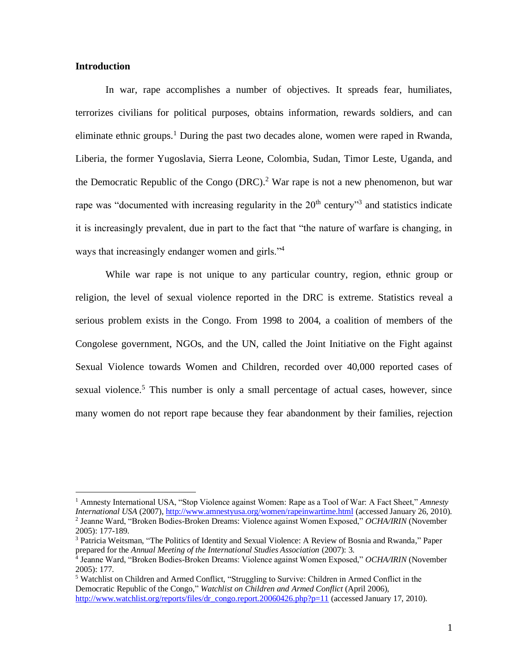## **Introduction**

In war, rape accomplishes a number of objectives. It spreads fear, humiliates, terrorizes civilians for political purposes, obtains information, rewards soldiers, and can eliminate ethnic groups.<sup>1</sup> During the past two decades alone, women were raped in Rwanda, Liberia, the former Yugoslavia, Sierra Leone, Colombia, Sudan, Timor Leste, Uganda, and the Democratic Republic of the Congo  $(DRC)$ .<sup>2</sup> War rape is not a new phenomenon, but war rape was "documented with increasing regularity in the  $20<sup>th</sup>$  century"<sup>3</sup> and statistics indicate it is increasingly prevalent, due in part to the fact that "the nature of warfare is changing, in ways that increasingly endanger women and girls."<sup>4</sup>

While war rape is not unique to any particular country, region, ethnic group or religion, the level of sexual violence reported in the DRC is extreme. Statistics reveal a serious problem exists in the Congo. From 1998 to 2004, a coalition of members of the Congolese government, NGOs, and the UN, called the Joint Initiative on the Fight against Sexual Violence towards Women and Children, recorded over 40,000 reported cases of sexual violence.<sup>5</sup> This number is only a small percentage of actual cases, however, since many women do not report rape because they fear abandonment by their families, rejection

<sup>1</sup> Amnesty International USA, "Stop Violence against Women: Rape as a Tool of War: A Fact Sheet," *Amnesty International USA* (2007),<http://www.amnestyusa.org/women/rapeinwartime.html> (accessed January 26, 2010). 2 Jeanne Ward, "Broken Bodies-Broken Dreams: Violence against Women Exposed," *OCHA/IRIN* (November 2005): 177-189.

<sup>3</sup> Patricia Weitsman, "The Politics of Identity and Sexual Violence: A Review of Bosnia and Rwanda," Paper prepared for the *Annual Meeting of the International Studies Association* (2007): 3.

<sup>4</sup> Jeanne Ward, "Broken Bodies-Broken Dreams: Violence against Women Exposed," *OCHA/IRIN* (November 2005): 177.

<sup>5</sup> Watchlist on Children and Armed Conflict, "Struggling to Survive: Children in Armed Conflict in the Democratic Republic of the Congo," *Watchlist on Children and Armed Conflict* (April 2006), [http://www.watchlist.org/reports/files/dr\\_congo.report.20060426.php?p=11](http://www.watchlist.org/reports/files/dr_congo.report.20060426.php?p=11) (accessed January 17, 2010).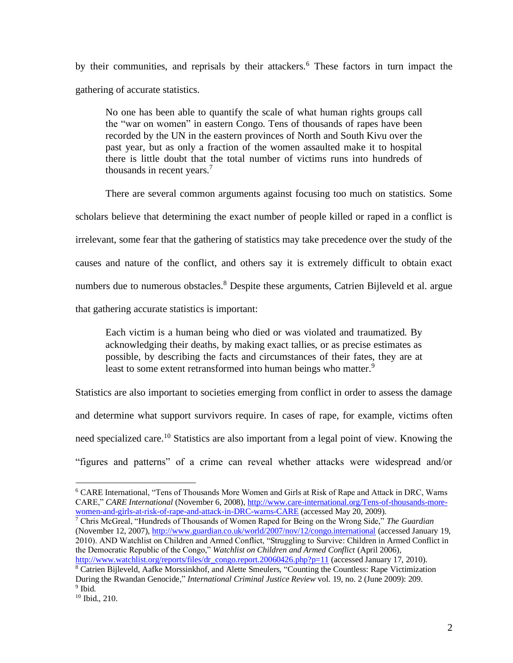by their communities, and reprisals by their attackers.<sup>6</sup> These factors in turn impact the gathering of accurate statistics.

No one has been able to quantify the scale of what human rights groups call the "war on women" in eastern Congo. Tens of thousands of rapes have been recorded by the UN in the eastern provinces of North and South Kivu over the past year, but as only a fraction of the women assaulted make it to hospital there is little doubt that the total number of victims runs into hundreds of thousands in recent years.<sup>7</sup>

There are several common arguments against focusing too much on statistics. Some scholars believe that determining the exact number of people killed or raped in a conflict is irrelevant, some fear that the gathering of statistics may take precedence over the study of the causes and nature of the conflict, and others say it is extremely difficult to obtain exact numbers due to numerous obstacles.<sup>8</sup> Despite these arguments, Catrien Bijleveld et al. argue that gathering accurate statistics is important:

Each victim is a human being who died or was violated and traumatized. By acknowledging their deaths, by making exact tallies, or as precise estimates as possible, by describing the facts and circumstances of their fates, they are at least to some extent retransformed into human beings who matter.<sup>9</sup>

Statistics are also important to societies emerging from conflict in order to assess the damage and determine what support survivors require. In cases of rape, for example, victims often need specialized care.<sup>10</sup> Statistics are also important from a legal point of view. Knowing the "figures and patterns" of a crime can reveal whether attacks were widespread and/or

<sup>6</sup> CARE International, "Tens of Thousands More Women and Girls at Risk of Rape and Attack in DRC, Warns CARE," *CARE International* (November 6, 2008), [http://www.care-international.org/Tens-of-thousands-more](http://www.care-international.org/Tens-of-thousands-more-women-and-girls-at-risk-of-rape-and-attack-in-DRC-warns-CARE)[women-and-girls-at-risk-of-rape-and-attack-in-DRC-warns-CARE](http://www.care-international.org/Tens-of-thousands-more-women-and-girls-at-risk-of-rape-and-attack-in-DRC-warns-CARE) (accessed May 20, 2009).

<sup>7</sup> Chris McGreal, "Hundreds of Thousands of Women Raped for Being on the Wrong Side," *The Guardian*  (November 12, 2007), <http://www.guardian.co.uk/world/2007/nov/12/congo.international> (accessed January 19, 2010). AND Watchlist on Children and Armed Conflict, "Struggling to Survive: Children in Armed Conflict in the Democratic Republic of the Congo," *Watchlist on Children and Armed Conflict* (April 2006), [http://www.watchlist.org/reports/files/dr\\_congo.report.20060426.php?p=11](http://www.watchlist.org/reports/files/dr_congo.report.20060426.php?p=11) (accessed January 17, 2010).

<sup>8</sup> Catrie[n Bijleveld, Aafke](http://search0.scholarsportal.info.ezproxy.uwindsor.ca/ids70/p_search_form.php?field=au&query=bijleveld+catrien&log=literal&SID=8a0074029ff2575b4019a46e4ca961b6) [Morssinkhof, a](http://search0.scholarsportal.info.ezproxy.uwindsor.ca/ids70/p_search_form.php?field=au&query=morssinkhof+aafke&log=literal&SID=8a0074029ff2575b4019a46e4ca961b6)nd Alette [Smeulers,](http://search0.scholarsportal.info.ezproxy.uwindsor.ca/ids70/p_search_form.php?field=au&query=smeulers+alette&log=literal&SID=8a0074029ff2575b4019a46e4ca961b6) ["Counting the Countless: Rape](http://search0.scholarsportal.info.ezproxy.uwindsor.ca/ids70/view_record.php?id=11&recnum=3&log=from_res&SID=8a0074029ff2575b4019a46e4ca961b6) Victimization [During the Rwandan Genocide,"](http://search0.scholarsportal.info.ezproxy.uwindsor.ca/ids70/view_record.php?id=11&recnum=3&log=from_res&SID=8a0074029ff2575b4019a46e4ca961b6) *International Criminal Justice Review* vol. 19, no. 2 (June 2009): 209. <sup>9</sup> Ibid.

<sup>10</sup> Ibid., 210.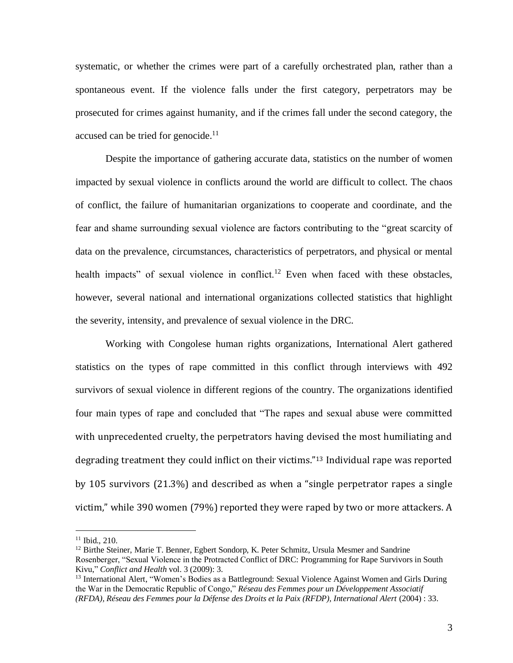systematic, or whether the crimes were part of a carefully orchestrated plan, rather than a spontaneous event. If the violence falls under the first category, perpetrators may be prosecuted for crimes against humanity, and if the crimes fall under the second category, the accused can be tried for genocide. $11$ 

Despite the importance of gathering accurate data, statistics on the number of women impacted by sexual violence in conflicts around the world are difficult to collect. The chaos of conflict, the failure of humanitarian organizations to cooperate and coordinate, and the fear and shame surrounding sexual violence are factors contributing to the "great scarcity of data on the prevalence, circumstances, characteristics of perpetrators, and physical or mental health impacts" of sexual violence in conflict.<sup>12</sup> Even when faced with these obstacles, however, several national and international organizations collected statistics that highlight the severity, intensity, and prevalence of sexual violence in the DRC.

Working with Congolese human rights organizations, International Alert gathered statistics on the types of rape committed in this conflict through interviews with 492 survivors of sexual violence in different regions of the country. The organizations identified four main types of rape and concluded that "The rapes and sexual abuse were committed with unprecedented cruelty, the perpetrators having devised the most humiliating and degrading treatment they could inflict on their victims."<sup>13</sup> Individual rape was reported by 105 survivors (21.3%) and described as when a "single perpetrator rapes a single victim," while 390 women (79%) reported they were raped by two or more attackers. A

<sup>11</sup> Ibid., 210.

<sup>&</sup>lt;sup>12</sup> Birthe Steiner, Marie T. Benner, Egbert Sondorp, K. Peter Schmitz, Ursula Mesmer and Sandrine Rosenberger, "Sexual Violence in the Protracted Conflict of DRC: Programming for Rape Survivors in South Kivu," *Conflict and Health* vol. 3 (2009): 3.

<sup>&</sup>lt;sup>13</sup> International Alert, "Women's Bodies as a Battleground: Sexual Violence Against Women and Girls During the War in the Democratic Republic of Congo," *Réseau des Femmes pour un Développement Associatif (RFDA), Réseau des Femmes pour la Défense des Droits et la Paix (RFDP), International Alert* (2004) : 33.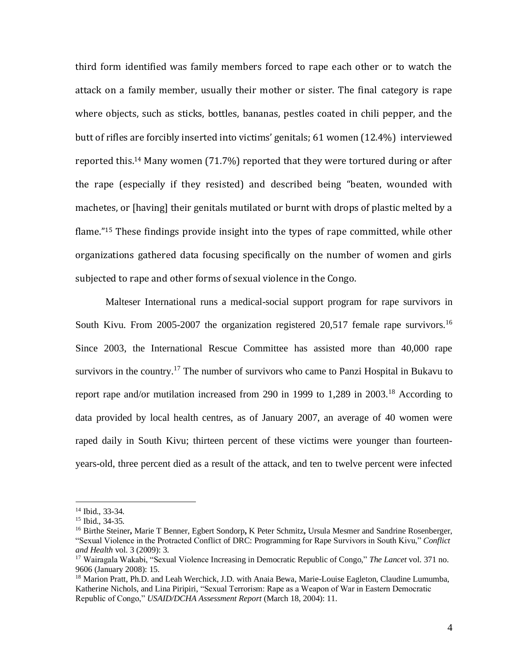third form identified was family members forced to rape each other or to watch the attack on a family member, usually their mother or sister. The final category is rape where objects, such as sticks, bottles, bananas, pestles coated in chili pepper, and the butt of rifles are forcibly inserted into victims' genitals; 61 women (12.4%) interviewed reported this. <sup>14</sup> Many women (71.7%) reported that they were tortured during or after the rape (especially if they resisted) and described being "beaten, wounded with machetes, or [having] their genitals mutilated or burnt with drops of plastic melted by a flame."<sup>15</sup> These findings provide insight into the types of rape committed, while other organizations gathered data focusing specifically on the number of women and girls subjected to rape and other forms of sexual violence in the Congo.

Malteser International runs a medical-social support program for rape survivors in South Kivu. From 2005-2007 the organization registered 20,517 female rape survivors.<sup>16</sup> Since 2003, the International Rescue Committee has assisted more than 40,000 rape survivors in the country.<sup>17</sup> The number of survivors who came to Panzi Hospital in Bukavu to report rape and/or mutilation increased from 290 in 1999 to 1,289 in 2003.<sup>18</sup> According to data provided by local health centres, as of January 2007, an average of 40 women were raped daily in South Kivu; thirteen percent of these victims were younger than fourteenyears-old, three percent died as a result of the attack, and ten to twelve percent were infected

<sup>14</sup> Ibid., 33-34.

<sup>15</sup> Ibid., 34-35.

<sup>16</sup> Birthe Steiner**,** Marie T Benner, Egbert Sondorp**,** K Peter Schmitz**,** Ursula Mesmer and Sandrine Rosenberger, "Sexual Violence in the Protracted Conflict of DRC: Programming for Rape Survivors in South Kivu," *Conflict and Health* vol. 3 (2009): 3.

<sup>17</sup> Wairagala Wakabi, "Sexual Violence Increasing in Democratic Republic of Congo," *The Lancet* vol. 371 no. 9606 (January 2008): 15.

<sup>&</sup>lt;sup>18</sup> Marion Pratt, Ph.D. and Leah Werchick, J.D. with Anaia Bewa, Marie-Louise Eagleton, Claudine Lumumba, Katherine Nichols, and Lina Piripiri, "Sexual Terrorism: Rape as a Weapon of War in Eastern Democratic Republic of Congo," *USAID/DCHA Assessment Report* (March 18, 2004): 11.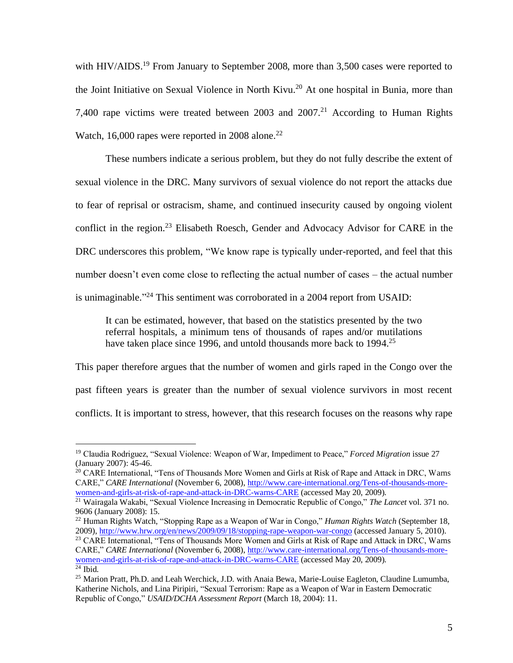with HIV/AIDS.<sup>19</sup> From January to September 2008, more than 3,500 cases were reported to the Joint Initiative on Sexual Violence in North Kivu.<sup>20</sup> At one hospital in Bunia, more than 7,400 rape victims were treated between 2003 and  $2007<sup>21</sup>$  According to Human Rights Watch, 16,000 rapes were reported in 2008 alone.<sup>22</sup>

These numbers indicate a serious problem, but they do not fully describe the extent of sexual violence in the DRC. Many survivors of sexual violence do not report the attacks due to fear of reprisal or ostracism, shame, and continued insecurity caused by ongoing violent conflict in the region.<sup>23</sup> Elisabeth Roesch, Gender and Advocacy Advisor for CARE in the DRC underscores this problem, "We know rape is typically under-reported, and feel that this number doesn't even come close to reflecting the actual number of cases – the actual number is unimaginable."<sup>24</sup> This sentiment was corroborated in a 2004 report from USAID:

It can be estimated, however, that based on the statistics presented by the two referral hospitals, a minimum tens of thousands of rapes and/or mutilations have taken place since 1996, and untold thousands more back to 1994.<sup>25</sup>

This paper therefore argues that the number of women and girls raped in the Congo over the past fifteen years is greater than the number of sexual violence survivors in most recent conflicts. It is important to stress, however, that this research focuses on the reasons why rape

<sup>19</sup> Claudia Rodriguez, "Sexual Violence: Weapon of War, Impediment to Peace," *Forced Migration* issue 27 (January 2007): 45-46.

<sup>&</sup>lt;sup>20</sup> CARE International, "Tens of Thousands More Women and Girls at Risk of Rape and Attack in DRC, Warns CARE," *CARE International* (November 6, 2008), [http://www.care-international.org/Tens-of-thousands-more](http://www.care-international.org/Tens-of-thousands-more-women-and-girls-at-risk-of-rape-and-attack-in-DRC-warns-CARE)[women-and-girls-at-risk-of-rape-and-attack-in-DRC-warns-CARE](http://www.care-international.org/Tens-of-thousands-more-women-and-girls-at-risk-of-rape-and-attack-in-DRC-warns-CARE) (accessed May 20, 2009).

<sup>21</sup> Wairagala Wakabi, "Sexual Violence Increasing in Democratic Republic of Congo," *The Lancet* vol. 371 no. 9606 (January 2008): 15.

<sup>22</sup> Human Rights Watch, "Stopping Rape as a Weapon of War in Congo," *Human Rights Watch* (September 18, 2009), <http://www.hrw.org/en/news/2009/09/18/stopping-rape-weapon-war-congo> (accessed January 5, 2010).

<sup>&</sup>lt;sup>23</sup> CARE International, "Tens of Thousands More Women and Girls at Risk of Rape and Attack in DRC, Warns CARE," *CARE International* (November 6, 2008), [http://www.care-international.org/Tens-of-thousands-more](http://www.care-international.org/Tens-of-thousands-more-women-and-girls-at-risk-of-rape-and-attack-in-DRC-warns-CARE)[women-and-girls-at-risk-of-rape-and-attack-in-DRC-warns-CARE](http://www.care-international.org/Tens-of-thousands-more-women-and-girls-at-risk-of-rape-and-attack-in-DRC-warns-CARE) (accessed May 20, 2009).  $24$  Ibid.

<sup>&</sup>lt;sup>25</sup> Marion Pratt, Ph.D. and Leah Werchick, J.D. with Anaia Bewa, Marie-Louise Eagleton, Claudine Lumumba, Katherine Nichols, and Lina Piripiri, "Sexual Terrorism: Rape as a Weapon of War in Eastern Democratic Republic of Congo," *USAID/DCHA Assessment Report* (March 18, 2004): 11.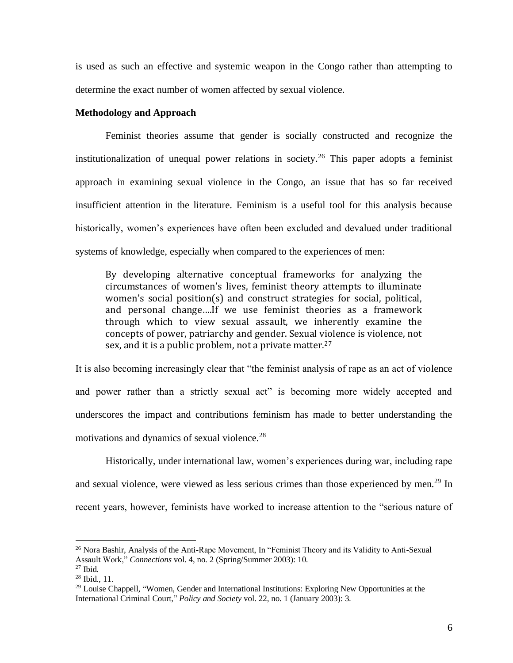is used as such an effective and systemic weapon in the Congo rather than attempting to determine the exact number of women affected by sexual violence.

## **Methodology and Approach**

 Feminist theories assume that gender is socially constructed and recognize the institutionalization of unequal power relations in society.<sup>26</sup> This paper adopts a feminist approach in examining sexual violence in the Congo, an issue that has so far received insufficient attention in the literature. Feminism is a useful tool for this analysis because historically, women's experiences have often been excluded and devalued under traditional systems of knowledge, especially when compared to the experiences of men:

By developing alternative conceptual frameworks for analyzing the circumstances of women's lives, feminist theory attempts to illuminate women's social position(s) and construct strategies for social, political, and personal change….If we use feminist theories as a framework through which to view sexual assault, we inherently examine the concepts of power, patriarchy and gender. Sexual violence is violence, not sex, and it is a public problem, not a private matter.<sup>27</sup>

It is also becoming increasingly clear that "the feminist analysis of rape as an act of violence and power rather than a strictly sexual act" is becoming more widely accepted and underscores the impact and contributions feminism has made to better understanding the motivations and dynamics of sexual violence.<sup>28</sup>

Historically, under international law, women's experiences during war, including rape and sexual violence, were viewed as less serious crimes than those experienced by men.<sup>29</sup> In recent years, however, feminists have worked to increase attention to the "serious nature of

<sup>&</sup>lt;sup>26</sup> Nora Bashir, Analysis of the Anti-Rape Movement, In "Feminist Theory and its Validity to Anti-Sexual Assault Work," *Connections* vol. 4, no. 2 (Spring/Summer 2003): 10.

 $27$  Ibid.

 $28$  Ibid., 11.

<sup>&</sup>lt;sup>29</sup> Louise [Chappell,](http://journals2.scholarsportal.info.ezproxy.uwindsor.ca/search-advanced.xqy?q=Louise%20Chappell&field=AU) "Women, Gender and International Institutions: Exploring New Opportunities at the International Criminal Court," *Policy and Society* vol. 22, no. 1 (January 2003): 3.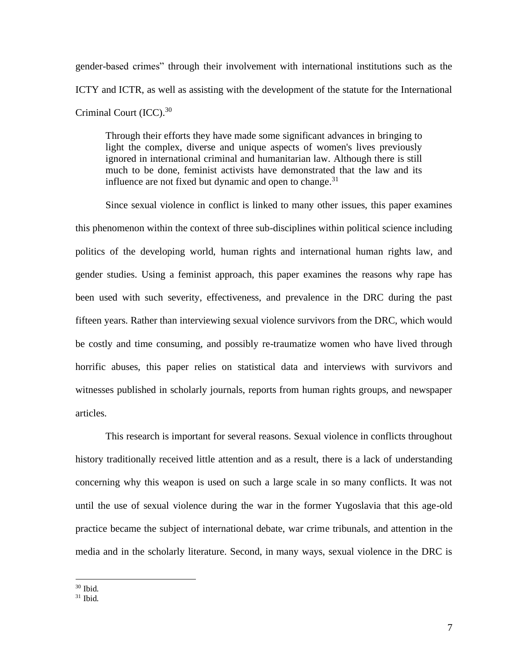gender-based crimes" through their involvement with international institutions such as the ICTY and ICTR, as well as assisting with the development of the statute for the International Criminal Court (ICC).<sup>30</sup>

Through their efforts they have made some significant advances in bringing to light the complex, diverse and unique aspects of women's lives previously ignored in international criminal and humanitarian law. Although there is still much to be done, feminist activists have demonstrated that the law and its influence are not fixed but dynamic and open to change.<sup>31</sup>

Since sexual violence in conflict is linked to many other issues, this paper examines this phenomenon within the context of three sub-disciplines within political science including politics of the developing world, human rights and international human rights law, and gender studies. Using a feminist approach, this paper examines the reasons why rape has been used with such severity, effectiveness, and prevalence in the DRC during the past fifteen years. Rather than interviewing sexual violence survivors from the DRC, which would be costly and time consuming, and possibly re-traumatize women who have lived through horrific abuses, this paper relies on statistical data and interviews with survivors and witnesses published in scholarly journals, reports from human rights groups, and newspaper articles.

This research is important for several reasons. Sexual violence in conflicts throughout history traditionally received little attention and as a result, there is a lack of understanding concerning why this weapon is used on such a large scale in so many conflicts. It was not until the use of sexual violence during the war in the former Yugoslavia that this age-old practice became the subject of international debate, war crime tribunals, and attention in the media and in the scholarly literature. Second, in many ways, sexual violence in the DRC is

<sup>30</sup> Ibid.

 $31$  Ibid.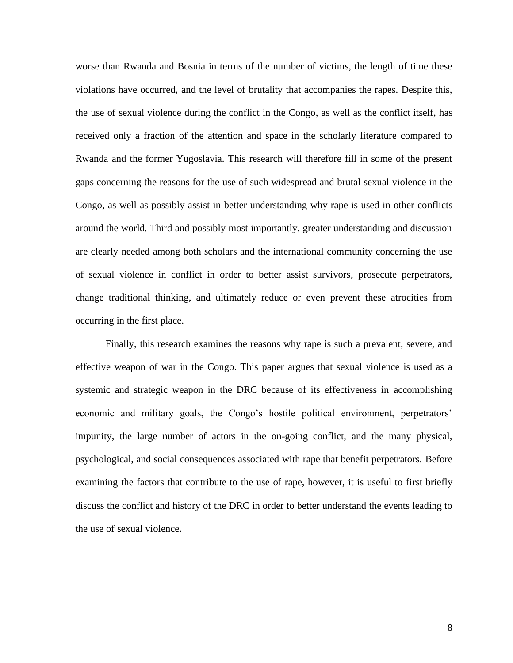worse than Rwanda and Bosnia in terms of the number of victims, the length of time these violations have occurred, and the level of brutality that accompanies the rapes. Despite this, the use of sexual violence during the conflict in the Congo, as well as the conflict itself, has received only a fraction of the attention and space in the scholarly literature compared to Rwanda and the former Yugoslavia. This research will therefore fill in some of the present gaps concerning the reasons for the use of such widespread and brutal sexual violence in the Congo, as well as possibly assist in better understanding why rape is used in other conflicts around the world. Third and possibly most importantly, greater understanding and discussion are clearly needed among both scholars and the international community concerning the use of sexual violence in conflict in order to better assist survivors, prosecute perpetrators, change traditional thinking, and ultimately reduce or even prevent these atrocities from occurring in the first place.

 Finally, this research examines the reasons why rape is such a prevalent, severe, and effective weapon of war in the Congo. This paper argues that sexual violence is used as a systemic and strategic weapon in the DRC because of its effectiveness in accomplishing economic and military goals, the Congo's hostile political environment, perpetrators' impunity, the large number of actors in the on-going conflict, and the many physical, psychological, and social consequences associated with rape that benefit perpetrators. Before examining the factors that contribute to the use of rape, however, it is useful to first briefly discuss the conflict and history of the DRC in order to better understand the events leading to the use of sexual violence.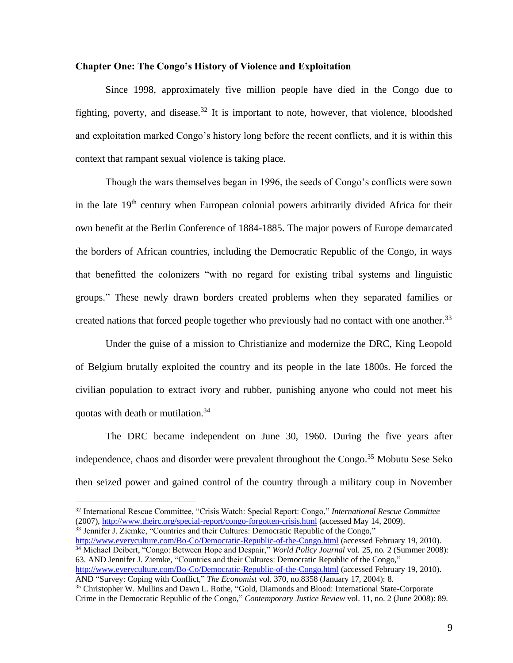## **Chapter One: The Congo's History of Violence and Exploitation**

Since 1998, approximately five million people have died in the Congo due to fighting, poverty, and disease.<sup>32</sup> It is important to note, however, that violence, bloodshed and exploitation marked Congo's history long before the recent conflicts, and it is within this context that rampant sexual violence is taking place.

 Though the wars themselves began in 1996, the seeds of Congo's conflicts were sown in the late  $19<sup>th</sup>$  century when European colonial powers arbitrarily divided Africa for their own benefit at the Berlin Conference of 1884-1885. The major powers of Europe demarcated the borders of African countries, including the Democratic Republic of the Congo, in ways that benefitted the colonizers "with no regard for existing tribal systems and linguistic groups." These newly drawn borders created problems when they separated families or created nations that forced people together who previously had no contact with one another.<sup>33</sup>

 Under the guise of a mission to Christianize and modernize the DRC, King Leopold of Belgium brutally exploited the country and its people in the late 1800s. He forced the civilian population to extract ivory and rubber, punishing anyone who could not meet his quotas with death or mutilation.<sup>34</sup>

 The DRC became independent on June 30, 1960. During the five years after independence, chaos and disorder were prevalent throughout the Congo.<sup>35</sup> Mobutu Sese Seko then seized power and gained control of the country through a military coup in November

<http://www.everyculture.com/Bo-Co/Democratic-Republic-of-the-Congo.html> (accessed February 19, 2010). <sup>34</sup> Michael Deibert, "Congo: Between Hope and Despair," *World Policy Journal* vol. 25, no. 2 (Summer 2008): 63. AND Jennifer J. Ziemke, "Countries and their Cultures: Democratic Republic of the Congo," <http://www.everyculture.com/Bo-Co/Democratic-Republic-of-the-Congo.html> (accessed February 19, 2010). AND ["Survey: Coping with Conflict,"](http://search0.scholarsportal.info.ezproxy.uwindsor.ca/ids70/view_record.php?id=7&recnum=12&log=from_res&SID=8a0074029ff2575b4019a46e4ca961b6) *The Economist* vol. 370, no.8358 (January 17, 2004): 8.

<sup>32</sup> International Rescue Committee, "Crisis Watch: Special Report: Congo," *International Rescue Committee* (2007)*,* <http://www.theirc.org/special-report/congo-forgotten-crisis.html> (accessed May 14, 2009). <sup>33</sup> Jennifer J. Ziemke, "Countries and their Cultures: Democratic Republic of the Congo,"

<sup>&</sup>lt;sup>35</sup> [Christopher W.](http://search0.scholarsportal.info.ezproxy.uwindsor.ca/ids70/p_search_form.php?field=au&query=mullins+christopher+w&log=literal&SID=8a0074029ff2575b4019a46e4ca961b6) Mullins and Dawn L. Rothe, "Gold, Diamonds and Blood: International State-Corporate [Crime in the Democratic Republic of the Congo,](http://search0.scholarsportal.info.ezproxy.uwindsor.ca/ids70/view_record.php?id=3&recnum=36&log=from_res&SID=8a0074029ff2575b4019a46e4ca961b6)" *Contemporary Justice Review* vol. 11, no. 2 (June 2008): 89.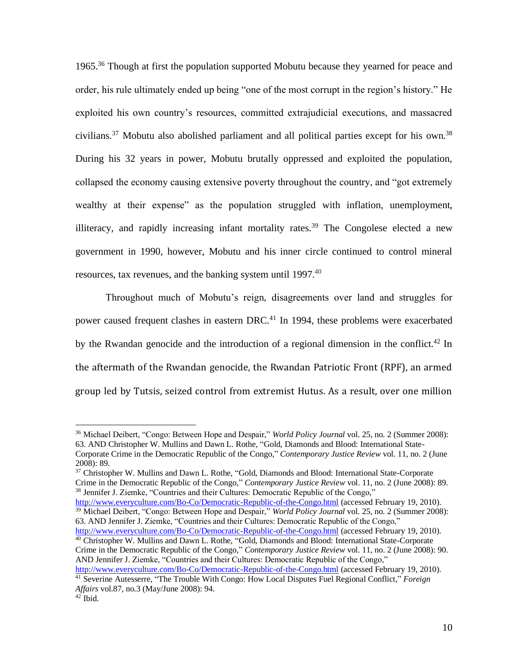1965.<sup>36</sup> Though at first the population supported Mobutu because they yearned for peace and order, his rule ultimately ended up being "one of the most corrupt in the region's history." He exploited his own country's resources, committed extrajudicial executions, and massacred civilians.<sup>37</sup> Mobutu also abolished parliament and all political parties except for his own.<sup>38</sup> During his 32 years in power, Mobutu brutally oppressed and exploited the population, collapsed the economy causing extensive poverty throughout the country, and "got extremely wealthy at their expense" as the population struggled with inflation, unemployment, illiteracy, and rapidly increasing infant mortality rates.<sup>39</sup> The Congolese elected a new government in 1990, however, Mobutu and his inner circle continued to control mineral resources, tax revenues, and the banking system until 1997.<sup>40</sup>

 Throughout much of Mobutu's reign, disagreements over land and struggles for power caused frequent clashes in eastern DRC.<sup>41</sup> In 1994, these problems were exacerbated by the Rwandan genocide and the introduction of a regional dimension in the conflict.<sup>42</sup> In the aftermath of the Rwandan genocide, the Rwandan Patriotic Front (RPF), an armed group led by Tutsis, seized control from extremist Hutus. As a result, over one million

<sup>37</sup> [Christopher W.](http://search0.scholarsportal.info.ezproxy.uwindsor.ca/ids70/p_search_form.php?field=au&query=mullins+christopher+w&log=literal&SID=8a0074029ff2575b4019a46e4ca961b6) Mullins and Dawn L. Rothe, "Gold, Diamonds and Blood: International State-Corporate [Crime in the Democratic Republic of the Congo,](http://search0.scholarsportal.info.ezproxy.uwindsor.ca/ids70/view_record.php?id=3&recnum=36&log=from_res&SID=8a0074029ff2575b4019a46e4ca961b6)" *Contemporary Justice Review* vol. 11, no. 2 (June 2008): 89. <sup>38</sup> Jennifer J. Ziemke, "Countries and their Cultures: Democratic Republic of the Congo,"

<http://www.everyculture.com/Bo-Co/Democratic-Republic-of-the-Congo.html> (accessed February 19, 2010). <sup>39</sup> Michael Deibert, "Congo: Between Hope and Despair," *World Policy Journal* vol. 25, no. 2 (Summer 2008): 63. AND Jennifer J. Ziemke, "Countries and their Cultures: Democratic Republic of the Congo,"

<http://www.everyculture.com/Bo-Co/Democratic-Republic-of-the-Congo.html> (accessed February 19, 2010). <sup>40</sup> [Christopher W.](http://search0.scholarsportal.info.ezproxy.uwindsor.ca/ids70/p_search_form.php?field=au&query=mullins+christopher+w&log=literal&SID=8a0074029ff2575b4019a46e4ca961b6) Mullins and Dawn L. Rothe, "Gold, Diamonds and Blood: International State-Corporate [Crime in the Democratic Republic of the Congo,](http://search0.scholarsportal.info.ezproxy.uwindsor.ca/ids70/view_record.php?id=3&recnum=36&log=from_res&SID=8a0074029ff2575b4019a46e4ca961b6)" *Contemporary Justice Review* vol. 11, no. 2 (June 2008): 90. AND Jennifer J. Ziemke, "Countries and their Cultures: Democratic Republic of the Congo,"

<http://www.everyculture.com/Bo-Co/Democratic-Republic-of-the-Congo.html> (accessed February 19, 2010). <sup>41</sup> Severin[e Autesserre,](http://search0.scholarsportal.info.ezproxy.uwindsor.ca/ids70/p_search_form.php?field=au&query=autesserre+severine&log=literal&SID=8a0074029ff2575b4019a46e4ca961b6) ["The Trouble With Congo: How Local Disputes Fuel Regional Conflict,](http://search0.scholarsportal.info.ezproxy.uwindsor.ca/ids70/view_record.php?id=7&recnum=23&log=from_res&SID=8a0074029ff2575b4019a46e4ca961b6)" *Foreign* 

<sup>36</sup> Michael Deibert, "Congo: Between Hope and Despair," *World Policy Journal* vol. 25, no. 2 (Summer 2008): 63. AND [Christopher W.](http://search0.scholarsportal.info.ezproxy.uwindsor.ca/ids70/p_search_form.php?field=au&query=mullins+christopher+w&log=literal&SID=8a0074029ff2575b4019a46e4ca961b6) Mullins and Dawn L. Rothe, ["Gold, Diamonds and Blood: International State-](http://search0.scholarsportal.info.ezproxy.uwindsor.ca/ids70/view_record.php?id=3&recnum=36&log=from_res&SID=8a0074029ff2575b4019a46e4ca961b6)[Corporate Crime in the Democratic Republic of the Congo,](http://search0.scholarsportal.info.ezproxy.uwindsor.ca/ids70/view_record.php?id=3&recnum=36&log=from_res&SID=8a0074029ff2575b4019a46e4ca961b6)" *Contemporary Justice Review* vol. 11, no. 2 (June 2008): 89.

*Affairs* vol.87, no.3 (May/June 2008): 94.  $42$  Ibid.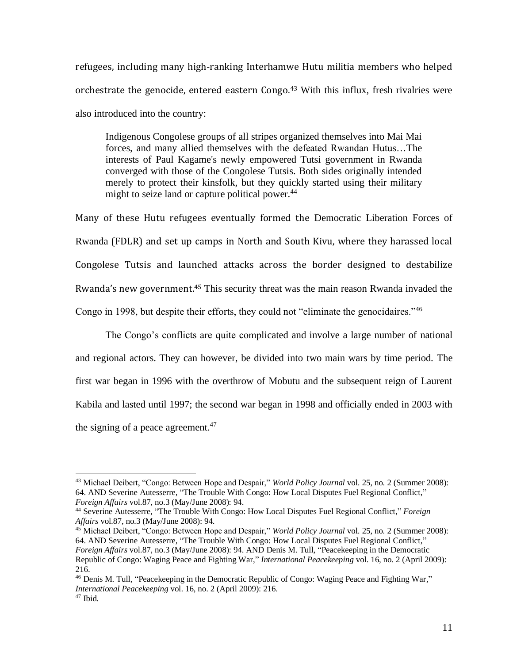refugees, including many high-ranking Interhamwe Hutu militia members who helped orchestrate the genocide, entered eastern Congo.<sup>43</sup> With this influx, fresh rivalries were also introduced into the country:

Indigenous Congolese groups of all stripes organized themselves into Mai Mai forces, and many allied themselves with the defeated Rwandan Hutus…The interests of Paul Kagame's newly empowered Tutsi government in Rwanda converged with those of the Congolese Tutsis. Both sides originally intended merely to protect their kinsfolk, but they quickly started using their military might to seize land or capture political power.<sup>44</sup>

Many of these Hutu refugees eventually formed the Democratic Liberation Forces of Rwanda (FDLR) and set up camps in North and South Kivu, where they harassed local Congolese Tutsis and launched attacks across the border designed to destabilize Rwanda's new government.<sup>45</sup> This security threat was the main reason Rwanda invaded the Congo in 1998, but despite their efforts, they could not "eliminate the genocidaires."<sup>46</sup>

 The Congo's conflicts are quite complicated and involve a large number of national and regional actors. They can however, be divided into two main wars by time period. The first war began in 1996 with the overthrow of Mobutu and the subsequent reign of Laurent Kabila and lasted until 1997; the second war began in 1998 and officially ended in 2003 with the signing of a peace agreement. $47$ 

<sup>43</sup> Michael Deibert, "Congo: Between Hope and Despair," *World Policy Journal* vol. 25, no. 2 (Summer 2008): 64. AND Severin[e Autesserre, "](http://search0.scholarsportal.info.ezproxy.uwindsor.ca/ids70/p_search_form.php?field=au&query=autesserre+severine&log=literal&SID=8a0074029ff2575b4019a46e4ca961b6)[The Trouble With Congo: How Local Disputes Fuel Regional Conflict,](http://search0.scholarsportal.info.ezproxy.uwindsor.ca/ids70/view_record.php?id=7&recnum=23&log=from_res&SID=8a0074029ff2575b4019a46e4ca961b6)" *Foreign Affairs* vol.87, no.3 (May/June 2008): 94.

<sup>44</sup> Severin[e Autesserre,](http://search0.scholarsportal.info.ezproxy.uwindsor.ca/ids70/p_search_form.php?field=au&query=autesserre+severine&log=literal&SID=8a0074029ff2575b4019a46e4ca961b6) ["The Trouble With Congo: How Local Disputes Fuel Regional Conflict,](http://search0.scholarsportal.info.ezproxy.uwindsor.ca/ids70/view_record.php?id=7&recnum=23&log=from_res&SID=8a0074029ff2575b4019a46e4ca961b6)" *Foreign Affairs* vol.87, no.3 (May/June 2008): 94.

<sup>45</sup> Michael Deibert, "Congo: Between Hope and Despair," *World Policy Journal* vol. 25, no. 2 (Summer 2008): 64. AND Severin[e Autesserre, "](http://search0.scholarsportal.info.ezproxy.uwindsor.ca/ids70/p_search_form.php?field=au&query=autesserre+severine&log=literal&SID=8a0074029ff2575b4019a46e4ca961b6)[The Trouble With Congo: How Local Disputes Fuel Regional Conflict,](http://search0.scholarsportal.info.ezproxy.uwindsor.ca/ids70/view_record.php?id=7&recnum=23&log=from_res&SID=8a0074029ff2575b4019a46e4ca961b6)" *Foreign Affairs* vol.87, no.3 (May/June 2008): 94. AND [Denis M.](http://search0.scholarsportal.info.ezproxy.uwindsor.ca/ids70/p_search_form.php?field=au&query=tull+denis+m&log=literal&SID=8a0074029ff2575b4019a46e4ca961b6) Tull, ["Peacekeeping in the Democratic](http://search0.scholarsportal.info.ezproxy.uwindsor.ca/ids70/view_record.php?id=3&recnum=44&log=from_res&SID=8a0074029ff2575b4019a46e4ca961b6)  [Republic of Congo: Waging Peace and Fighting War,](http://search0.scholarsportal.info.ezproxy.uwindsor.ca/ids70/view_record.php?id=3&recnum=44&log=from_res&SID=8a0074029ff2575b4019a46e4ca961b6)" *International Peacekeeping* vol. 16, no. 2 (April 2009): 216.

<sup>46</sup> [Denis M.](http://search0.scholarsportal.info.ezproxy.uwindsor.ca/ids70/p_search_form.php?field=au&query=tull+denis+m&log=literal&SID=8a0074029ff2575b4019a46e4ca961b6) Tull, ["Peacekeeping in the Democratic Republic of Congo: Waging Peace and Fighting War,](http://search0.scholarsportal.info.ezproxy.uwindsor.ca/ids70/view_record.php?id=3&recnum=44&log=from_res&SID=8a0074029ff2575b4019a46e4ca961b6)" *International Peacekeeping* vol. 16, no. 2 (April 2009): 216.  $47$  Ibid.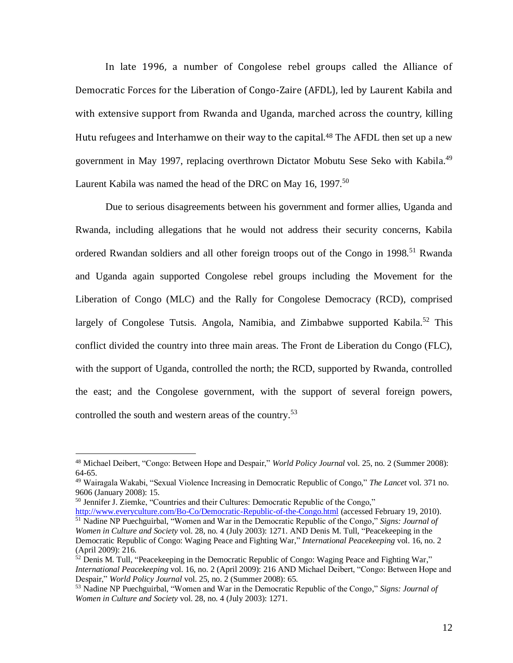In late 1996, a number of Congolese rebel groups called the Alliance of Democratic Forces for the Liberation of Congo-Zaire (AFDL), led by Laurent Kabila and with extensive support from Rwanda and Uganda, marched across the country, killing Hutu refugees and Interhamwe on their way to the capital.<sup>48</sup> The AFDL then set up a new government in May 1997, replacing overthrown Dictator Mobutu Sese Seko with Kabila.<sup>49</sup> Laurent Kabila was named the head of the DRC on May 16, 1997.<sup>50</sup>

 Due to serious disagreements between his government and former allies, Uganda and Rwanda, including allegations that he would not address their security concerns, Kabila ordered Rwandan soldiers and all other foreign troops out of the Congo in 1998.<sup>51</sup> Rwanda and Uganda again supported Congolese rebel groups including the Movement for the Liberation of Congo (MLC) and the Rally for Congolese Democracy (RCD), comprised largely of Congolese Tutsis. Angola, Namibia, and Zimbabwe supported Kabila.<sup>52</sup> This conflict divided the country into three main areas. The Front de Liberation du Congo (FLC), with the support of Uganda, controlled the north; the RCD, supported by Rwanda, controlled the east; and the Congolese government, with the support of several foreign powers, controlled the south and western areas of the country.<sup>53</sup>

<sup>50</sup> Jennifer J. Ziemke, "Countries and their Cultures: Democratic Republic of the Congo,"

<http://www.everyculture.com/Bo-Co/Democratic-Republic-of-the-Congo.html> (accessed February 19, 2010). <sup>51</sup> Nadine NP Puechguirbal, "Women and War in the Democratic Republic of the Congo," *Signs: Journal of Women in Culture and Society* vol. 28, no. 4 (July 2003): 1271. AND [Denis M.](http://search0.scholarsportal.info.ezproxy.uwindsor.ca/ids70/p_search_form.php?field=au&query=tull+denis+m&log=literal&SID=8a0074029ff2575b4019a46e4ca961b6) Tull, ["Peacekeeping in the](http://search0.scholarsportal.info.ezproxy.uwindsor.ca/ids70/view_record.php?id=3&recnum=44&log=from_res&SID=8a0074029ff2575b4019a46e4ca961b6)  [Democratic Republic of Congo: Waging Peace and Fighting War,](http://search0.scholarsportal.info.ezproxy.uwindsor.ca/ids70/view_record.php?id=3&recnum=44&log=from_res&SID=8a0074029ff2575b4019a46e4ca961b6)" *International Peacekeeping* vol. 16, no. 2 (April 2009): 216.

<sup>48</sup> Michael Deibert, "Congo: Between Hope and Despair," *World Policy Journal* vol. 25, no. 2 (Summer 2008): 64-65.

<sup>49</sup> Wairagala Wakabi, "Sexual Violence Increasing in Democratic Republic of Congo," *The Lancet* vol. 371 no. 9606 (January 2008): 15.

 $52$  [Denis M.](http://search0.scholarsportal.info.ezproxy.uwindsor.ca/ids70/p_search_form.php?field=au&query=tull+denis+m&log=literal&SID=8a0074029ff2575b4019a46e4ca961b6) Tull, ["Peacekeeping in the Democratic Republic of Congo: Waging Peace and Fighting War,](http://search0.scholarsportal.info.ezproxy.uwindsor.ca/ids70/view_record.php?id=3&recnum=44&log=from_res&SID=8a0074029ff2575b4019a46e4ca961b6)" *International Peacekeeping* vol. 16, no. 2 (April 2009): 216 AND Michael Deibert, "Congo: Between Hope and Despair," *World Policy Journal* vol. 25, no. 2 (Summer 2008): 65.

<sup>53</sup> Nadine NP Puechguirbal, "Women and War in the Democratic Republic of the Congo," *Signs: Journal of Women in Culture and Society* vol. 28, no. 4 (July 2003): 1271.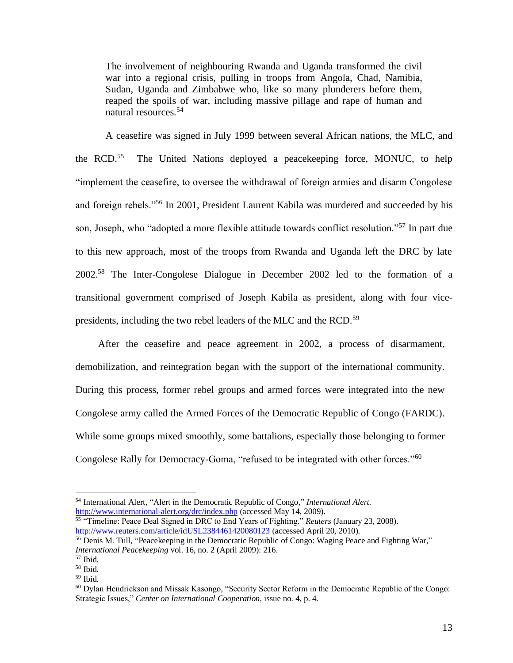The involvement of neighbouring Rwanda and Uganda transformed the civil war into a regional crisis, pulling in troops from Angola, Chad, Namibia, Sudan, Uganda and Zimbabwe who, like so many plunderers before them, reaped the spoils of war, including massive pillage and rape of human and natural resources.<sup>54</sup>

 A ceasefire was signed in July 1999 between several African nations, the MLC, and the  $RCD$ .<sup>55</sup> The United Nations deployed a peacekeeping force, MONUC, to help "implement the ceasefire, to oversee the withdrawal of foreign armies and disarm Congolese and foreign rebels."<sup>56</sup> In 2001, President Laurent Kabila was murdered and succeeded by his son, Joseph, who "adopted a more flexible attitude towards conflict resolution."<sup>57</sup> In part due to this new approach, most of the troops from Rwanda and Uganda left the DRC by late 2002.<sup>58</sup> The Inter-Congolese Dialogue in December 2002 led to the formation of a transitional government comprised of Joseph Kabila as president, along with four vicepresidents, including the two rebel leaders of the MLC and the RCD.<sup>59</sup>

 After the ceasefire and peace agreement in 2002, a process of disarmament, demobilization, and reintegration began with the support of the international community. During this process, former rebel groups and armed forces were integrated into the new Congolese army called the Armed Forces of the Democratic Republic of Congo (FARDC). While some groups mixed smoothly, some battalions, especially those belonging to former Congolese Rally for Democracy-Goma, "refused to be integrated with other forces."<sup>60</sup>

<sup>54</sup> International Alert, "Alert in the Democratic Republic of Congo," *International Alert.*  <http://www.international-alert.org/drc/index.php> (accessed May 14, 2009). <sup>55</sup> "Timeline: Peace Deal Signed in DRC to End Years of Fighting." *Reuters* (January 23, 2008).

<http://www.reuters.com/article/idUSL2384461420080123> (accessed April 20, 2010).

<sup>&</sup>lt;sup>56</sup> [Denis M.](http://search0.scholarsportal.info.ezproxy.uwindsor.ca/ids70/p_search_form.php?field=au&query=tull+denis+m&log=literal&SID=8a0074029ff2575b4019a46e4ca961b6) Tull, ["Peacekeeping in the Democratic Republic of Congo: Waging Peace and Fighting War,](http://search0.scholarsportal.info.ezproxy.uwindsor.ca/ids70/view_record.php?id=3&recnum=44&log=from_res&SID=8a0074029ff2575b4019a46e4ca961b6)" *International Peacekeeping* vol. 16, no. 2 (April 2009): 216.

 $57$  Ibid.

<sup>58</sup> Ibid.

<sup>59</sup> Ibid.

<sup>60</sup> Dylan Hendrickson and Missak Kasongo, "Security Sector Reform in the Democratic Republic of the Congo: Strategic Issues," *Center on International Cooperation*, issue no. 4, p. 4.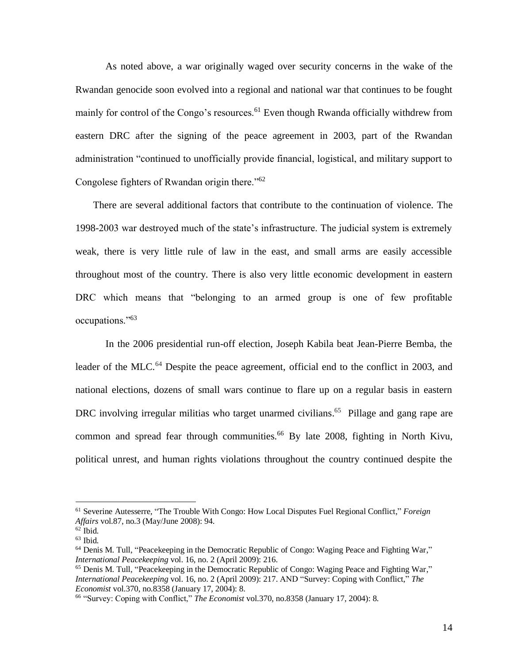As noted above, a war originally waged over security concerns in the wake of the Rwandan genocide soon evolved into a regional and national war that continues to be fought mainly for control of the Congo's resources.<sup>61</sup> Even though Rwanda officially withdrew from eastern DRC after the signing of the peace agreement in 2003, part of the Rwandan administration "continued to unofficially provide financial, logistical, and military support to Congolese fighters of Rwandan origin there."<sup>62</sup>

 There are several additional factors that contribute to the continuation of violence. The 1998-2003 war destroyed much of the state's infrastructure. The judicial system is extremely weak, there is very little rule of law in the east, and small arms are easily accessible throughout most of the country. There is also very little economic development in eastern DRC which means that "belonging to an armed group is one of few profitable occupations."<sup>63</sup>

 In the 2006 presidential run-off election, Joseph Kabila beat Jean-Pierre Bemba, the leader of the MLC.<sup>64</sup> Despite the peace agreement, official end to the conflict in 2003, and national elections, dozens of small wars continue to flare up on a regular basis in eastern DRC involving irregular militias who target unarmed civilians.<sup>65</sup> Pillage and gang rape are common and spread fear through communities.<sup>66</sup> By late 2008, fighting in North Kivu, political unrest, and human rights violations throughout the country continued despite the

<sup>61</sup> Severin[e Autesserre,](http://search0.scholarsportal.info.ezproxy.uwindsor.ca/ids70/p_search_form.php?field=au&query=autesserre+severine&log=literal&SID=8a0074029ff2575b4019a46e4ca961b6) ["The Trouble With Congo: How Local Disputes Fuel Regional Conflict,](http://search0.scholarsportal.info.ezproxy.uwindsor.ca/ids70/view_record.php?id=7&recnum=23&log=from_res&SID=8a0074029ff2575b4019a46e4ca961b6)" *Foreign Affairs* vol.87, no.3 (May/June 2008): 94.

 $62$  Ibid.

 $63$  Ibid.

<sup>64</sup> [Denis M.](http://search0.scholarsportal.info.ezproxy.uwindsor.ca/ids70/p_search_form.php?field=au&query=tull+denis+m&log=literal&SID=8a0074029ff2575b4019a46e4ca961b6) Tull, ["Peacekeeping in the Democratic Republic of Congo: Waging Peace and Fighting War,](http://search0.scholarsportal.info.ezproxy.uwindsor.ca/ids70/view_record.php?id=3&recnum=44&log=from_res&SID=8a0074029ff2575b4019a46e4ca961b6)" *International Peacekeeping* vol. 16, no. 2 (April 2009): 216.

<sup>&</sup>lt;sup>65</sup> [Denis M.](http://search0.scholarsportal.info.ezproxy.uwindsor.ca/ids70/p_search_form.php?field=au&query=tull+denis+m&log=literal&SID=8a0074029ff2575b4019a46e4ca961b6) Tull, ["Peacekeeping in the Democratic Republic of Congo: Waging Peace and Fighting War,](http://search0.scholarsportal.info.ezproxy.uwindsor.ca/ids70/view_record.php?id=3&recnum=44&log=from_res&SID=8a0074029ff2575b4019a46e4ca961b6)" *International Peacekeeping* vol. 16, no. 2 (April 2009): 217. AND ["Survey: Coping with Conflict,"](http://search0.scholarsportal.info.ezproxy.uwindsor.ca/ids70/view_record.php?id=7&recnum=12&log=from_res&SID=8a0074029ff2575b4019a46e4ca961b6) *The Economist* vol.370, no.8358 (January 17, 2004): 8.

<sup>66</sup> ["Survey: Coping with Conflict,"](http://search0.scholarsportal.info.ezproxy.uwindsor.ca/ids70/view_record.php?id=7&recnum=12&log=from_res&SID=8a0074029ff2575b4019a46e4ca961b6) *The Economist* vol.370, no.8358 (January 17, 2004): 8.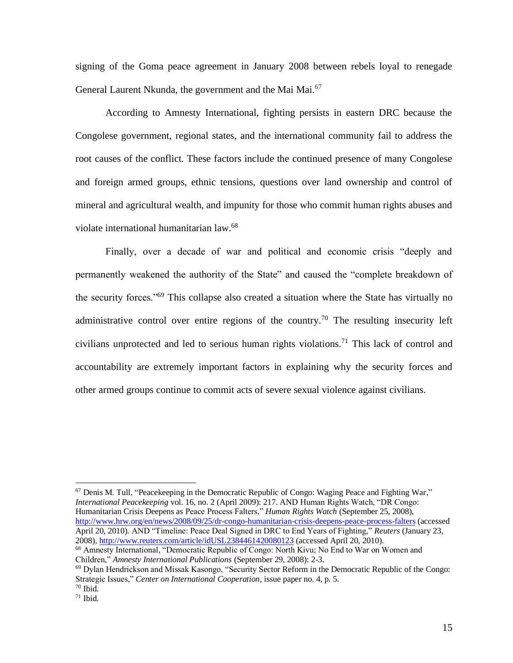signing of the Goma peace agreement in January 2008 between rebels loyal to renegade General Laurent Nkunda, the government and the Mai Mai.<sup>67</sup>

 According to Amnesty International, fighting persists in eastern DRC because the Congolese government, regional states, and the international community fail to address the root causes of the conflict. These factors include the continued presence of many Congolese and foreign armed groups, ethnic tensions, questions over land ownership and control of mineral and agricultural wealth, and impunity for those who commit human rights abuses and violate international humanitarian law.<sup>68</sup>

 Finally, over a decade of war and political and economic crisis "deeply and permanently weakened the authority of the State" and caused the "complete breakdown of the security forces."<sup>69</sup> This collapse also created a situation where the State has virtually no administrative control over entire regions of the country.<sup>70</sup> The resulting insecurity left civilians unprotected and led to serious human rights violations.<sup>71</sup> This lack of control and accountability are extremely important factors in explaining why the security forces and other armed groups continue to commit acts of severe sexual violence against civilians.

<sup>67</sup> [Denis M.](http://search0.scholarsportal.info.ezproxy.uwindsor.ca/ids70/p_search_form.php?field=au&query=tull+denis+m&log=literal&SID=8a0074029ff2575b4019a46e4ca961b6) Tull, ["Peacekeeping in the Democratic Republic of Congo: Waging Peace and Fighting War,](http://search0.scholarsportal.info.ezproxy.uwindsor.ca/ids70/view_record.php?id=3&recnum=44&log=from_res&SID=8a0074029ff2575b4019a46e4ca961b6)" *International Peacekeeping* vol. 16, no. 2 (April 2009): 217. AND Human Rights Watch, "DR Congo: Humanitarian Crisis Deepens as Peace Process Falters," *Human Rights Watch* (September 25, 2008), <http://www.hrw.org/en/news/2008/09/25/dr-congo-humanitarian-crisis-deepens-peace-process-falters> (accessed April 20, 2010). AND "Timeline: Peace Deal Signed in DRC to End Years of Fighting," *Reuters* (January 23, 2008)[, http://www.reuters.com/article/idUSL2384461420080123](http://www.reuters.com/article/idUSL2384461420080123) (accessed April 20, 2010). <sup>68</sup> Amnesty International, "Democratic Republic of Congo: North Kivu; No End to War on Women and

Children," *Amnesty International Publications* (September 29, 2008): 2-3.

 $69$  Dylan Hendrickson and Missak Kasongo, "Security Sector Reform in the Democratic Republic of the Congo: Strategic Issues," *Center on International Cooperation*, issue paper no. 4, p. 5.

 $70$  Ibid.

 $71$  Ibid.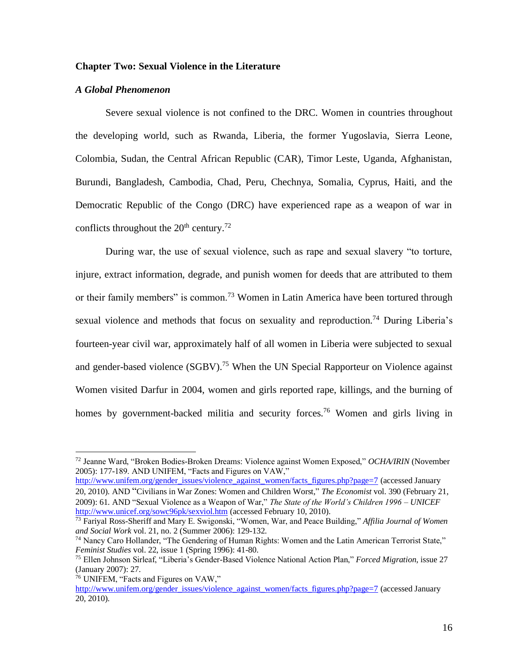## **Chapter Two: Sexual Violence in the Literature**

#### *A Global Phenomenon*

 Severe sexual violence is not confined to the DRC. Women in countries throughout the developing world, such as Rwanda, Liberia, the former Yugoslavia, Sierra Leone, Colombia, Sudan, the Central African Republic (CAR), Timor Leste, Uganda, Afghanistan, Burundi, Bangladesh, Cambodia, Chad, Peru, Chechnya, Somalia, Cyprus, Haiti, and the Democratic Republic of the Congo (DRC) have experienced rape as a weapon of war in conflicts throughout the  $20<sup>th</sup>$  century.<sup>72</sup>

 During war, the use of sexual violence, such as rape and sexual slavery "to torture, injure, extract information, degrade, and punish women for deeds that are attributed to them or their family members" is common.<sup>73</sup> Women in Latin America have been tortured through sexual violence and methods that focus on sexuality and reproduction.<sup>74</sup> During Liberia's fourteen-year civil war, approximately half of all women in Liberia were subjected to sexual and gender-based violence (SGBV).<sup>75</sup> When the UN Special Rapporteur on Violence against Women visited Darfur in 2004, women and girls reported rape, killings, and the burning of homes by government-backed militia and security forces.<sup>76</sup> Women and girls living in

[http://www.unifem.org/gender\\_issues/violence\\_against\\_women/facts\\_figures.php?page=7](http://www.unifem.org/gender_issues/violence_against_women/facts_figures.php?page=7) (accessed January 20, 2010). AND "Civilians in War [Zones: Women and Children Worst,"](http://search0.scholarsportal.info.ezproxy.uwindsor.ca/ids70/view_record.php?id=2&recnum=4&log=from_res&SID=8a0074029ff2575b4019a46e4ca961b6) *The Economist* vol. 390 (February 21, 2009): 61. AND "Sexual Violence as a Weapon of War," *The State of the World's Children 1996 – UNICEF* <http://www.unicef.org/sowc96pk/sexviol.htm> (accessed February 10, 2010).

<sup>72</sup> Jeanne Ward, "Broken Bodies-Broken Dreams: Violence against Women Exposed," *OCHA/IRIN* (November 2005): 177-189. AND UNIFEM, "Facts and Figures on VAW,"

<sup>73</sup> Fariyal Ross-Sheriff and Mary E. Swigonski, "Women, War, and Peace Building," *Affilia Journal of Women and Social Work* vol. 21, no. 2 (Summer 2006): 129-132.

<sup>74</sup> Nancy Caro Hollander, "The Gendering of Human Rights: Women and the Latin American Terrorist State," *Feminist Studies* vol. 22, issue 1 (Spring 1996): 41-80.

<sup>75</sup> Ellen Johnson Sirleaf, "Liberia's Gender-Based Violence National Action Plan," *Forced Migration*, issue 27 (January 2007): 27.

<sup>76</sup> UNIFEM, "Facts and Figures on VAW," [http://www.unifem.org/gender\\_issues/violence\\_against\\_women/facts\\_figures.php?page=7](http://www.unifem.org/gender_issues/violence_against_women/facts_figures.php?page=7) (accessed January 20, 2010).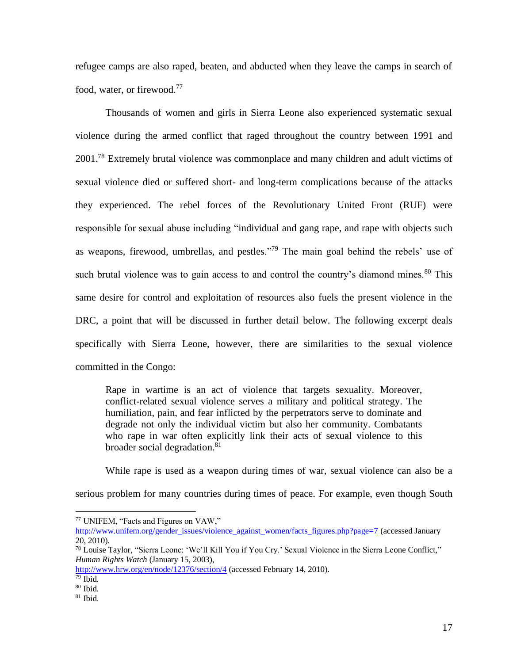refugee camps are also raped, beaten, and abducted when they leave the camps in search of food, water, or firewood.<sup>77</sup>

 Thousands of women and girls in Sierra Leone also experienced systematic sexual violence during the armed conflict that raged throughout the country between 1991 and 2001.<sup>78</sup> Extremely brutal violence was commonplace and many children and adult victims of sexual violence died or suffered short- and long-term complications because of the attacks they experienced. The rebel forces of the Revolutionary United Front (RUF) were responsible for sexual abuse including "individual and gang rape, and rape with objects such as weapons, firewood, umbrellas, and pestles."<sup>79</sup> The main goal behind the rebels' use of such brutal violence was to gain access to and control the country's diamond mines.<sup>80</sup> This same desire for control and exploitation of resources also fuels the present violence in the DRC, a point that will be discussed in further detail below. The following excerpt deals specifically with Sierra Leone, however, there are similarities to the sexual violence committed in the Congo:

Rape in wartime is an act of violence that targets sexuality. Moreover, conflict-related sexual violence serves a military and political strategy. The humiliation, pain, and fear inflicted by the perpetrators serve to dominate and degrade not only the individual victim but also her community. Combatants who rape in war often explicitly link their acts of sexual violence to this broader social degradation.<sup>81</sup>

While rape is used as a weapon during times of war, sexual violence can also be a

serious problem for many countries during times of peace. For example, even though South

<sup>77</sup> UNIFEM, "Facts and Figures on VAW,"

[http://www.unifem.org/gender\\_issues/violence\\_against\\_women/facts\\_figures.php?page=7](http://www.unifem.org/gender_issues/violence_against_women/facts_figures.php?page=7) (accessed January 20, 2010).

<sup>78</sup> Louise Taylor, "Sierra Leone: 'We'll Kill You if You Cry.' Sexual Violence in the Sierra Leone Conflict," *Human Rights Watch* (January 15, 2003),

<http://www.hrw.org/en/node/12376/section/4> (accessed February 14, 2010).

 $79$  Ibid.

 $80$  Ibid.

 $81$  Ibid.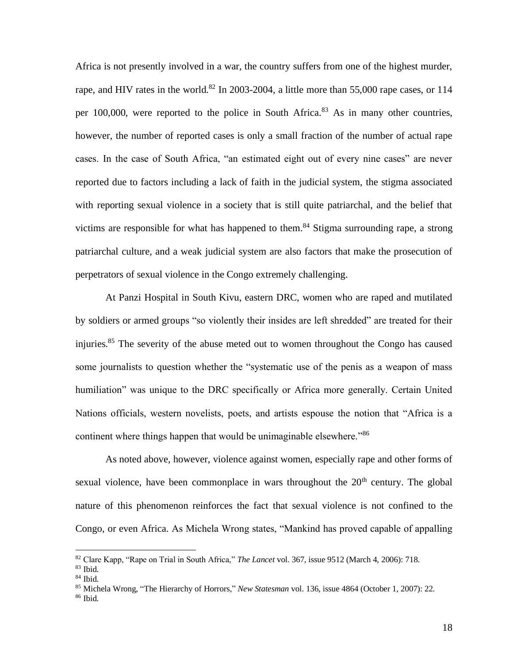Africa is not presently involved in a war, the country suffers from one of the highest murder, rape, and HIV rates in the world.<sup>82</sup> In 2003-2004, a little more than 55,000 rape cases, or 114 per  $100,000$ , were reported to the police in South Africa.<sup>83</sup> As in many other countries, however, the number of reported cases is only a small fraction of the number of actual rape cases. In the case of South Africa, "an estimated eight out of every nine cases" are never reported due to factors including a lack of faith in the judicial system, the stigma associated with reporting sexual violence in a society that is still quite patriarchal, and the belief that victims are responsible for what has happened to them.<sup>84</sup> Stigma surrounding rape, a strong patriarchal culture, and a weak judicial system are also factors that make the prosecution of perpetrators of sexual violence in the Congo extremely challenging.

 At Panzi Hospital in South Kivu, eastern DRC, women who are raped and mutilated by soldiers or armed groups "so violently their insides are left shredded" are treated for their injuries.<sup>85</sup> The severity of the abuse meted out to women throughout the Congo has caused some journalists to question whether the "systematic use of the penis as a weapon of mass humiliation" was unique to the DRC specifically or Africa more generally. Certain United Nations officials, western novelists, poets, and artists espouse the notion that "Africa is a continent where things happen that would be unimaginable elsewhere."<sup>86</sup>

As noted above, however, violence against women, especially rape and other forms of sexual violence, have been commonplace in wars throughout the  $20<sup>th</sup>$  century. The global nature of this phenomenon reinforces the fact that sexual violence is not confined to the Congo, or even Africa. As Michela Wrong states, "Mankind has proved capable of appalling

<sup>82</sup> Clare Kapp, "Rape on Trial in South Africa," *The Lancet* vol. 367, issue 9512 (March 4, 2006): 718.

<sup>83</sup> Ibid.

<sup>84</sup> Ibid.

<sup>85</sup> Michela Wrong, "The Hierarchy of Horrors," *[New Statesman](http://proquest.umi.com.ezproxy.uwindsor.ca/pqdlink?RQT=318&pmid=14007&TS=1266199811&clientId=2241&VInst=PROD&VName=PQD&VType=PQD)* vol. 136, issue 4864 (October 1, 2007): 22.

 $86$  Ibid.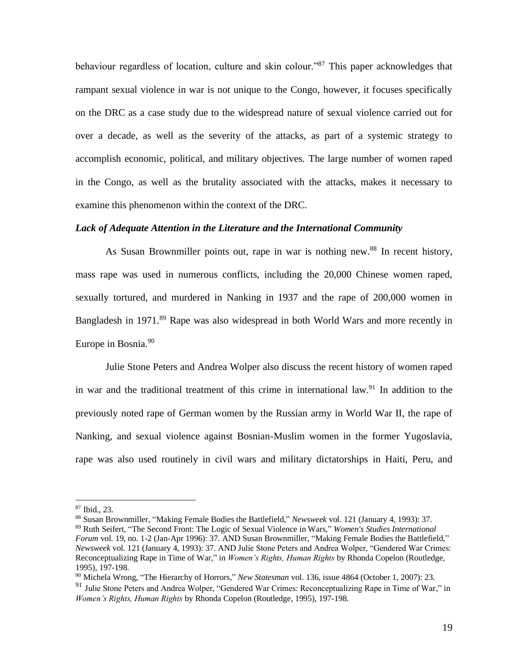behaviour regardless of location, culture and skin colour."<sup>87</sup> This paper acknowledges that rampant sexual violence in war is not unique to the Congo, however, it focuses specifically on the DRC as a case study due to the widespread nature of sexual violence carried out for over a decade, as well as the severity of the attacks, as part of a systemic strategy to accomplish economic, political, and military objectives. The large number of women raped in the Congo, as well as the brutality associated with the attacks, makes it necessary to examine this phenomenon within the context of the DRC.

#### *Lack of Adequate Attention in the Literature and the International Community*

As Susan Brownmiller points out, rape in war is nothing new.<sup>88</sup> In recent history, mass rape was used in numerous conflicts, including the 20,000 Chinese women raped, sexually tortured, and murdered in Nanking in 1937 and the rape of 200,000 women in Bangladesh in 1971.<sup>89</sup> Rape was also widespread in both World Wars and more recently in Europe in Bosnia.<sup>90</sup>

Julie Stone Peters and Andrea Wolper also discuss the recent history of women raped in war and the traditional treatment of this crime in international law.<sup>91</sup> In addition to the previously noted rape of German women by the Russian army in World War II, the rape of Nanking, and sexual violence against Bosnian-Muslim women in the former Yugoslavia, rape was also used routinely in civil wars and military dictatorships in Haiti, Peru, and

<sup>88</sup> Susa[n Brownmiller,](http://search0.scholarsportal.info.ezproxy.uwindsor.ca/ids70/p_search_form.php?field=au&query=brownmiller+susan&log=literal&SID=8a0074029ff2575b4019a46e4ca961b6) ["Making Female Bodies the Battlefield,"](http://search0.scholarsportal.info.ezproxy.uwindsor.ca/ids70/view_record.php?id=8&recnum=22&log=from_res&SID=8a0074029ff2575b4019a46e4ca961b6) *Newsweek* vol. 121 (January 4, 1993): 37.

<sup>87</sup> Ibid., 23.

<sup>89</sup> Ruth [Seifert,](http://search0.scholarsportal.info.ezproxy.uwindsor.ca/ids70/p_search_form.php?field=au&query=seifert+ruth&log=literal&SID=8a0074029ff2575b4019a46e4ca961b6) ["The Second Front: The Logic of Sexual Violence](http://search0.scholarsportal.info.ezproxy.uwindsor.ca/ids70/view_record.php?id=8&recnum=5&log=from_res&SID=8a0074029ff2575b4019a46e4ca961b6) in Wars," *Women's Studies International Forum* vol. 19, no. 1-2 (Jan-Apr 1996): 37. AND Susa[n Brownmiller,](http://search0.scholarsportal.info.ezproxy.uwindsor.ca/ids70/p_search_form.php?field=au&query=brownmiller+susan&log=literal&SID=8a0074029ff2575b4019a46e4ca961b6) ["Making Female Bodies the Battlefield,"](http://search0.scholarsportal.info.ezproxy.uwindsor.ca/ids70/view_record.php?id=8&recnum=22&log=from_res&SID=8a0074029ff2575b4019a46e4ca961b6) *Newsweek* vol. 121 (January 4, 1993): 37. AND Julie Stone Peters and Andrea Wolper, "Gendered War Crimes: Reconceptualizing Rape in Time of War*,*" in *Women's Rights, Human Rights* by Rhonda Copelon (Routledge, 1995), 197-198.

<sup>90</sup> Michel[a Wrong,](javascript:void(0);) "The Hierarchy of Horrors," *[New Statesman](http://proquest.umi.com.ezproxy.uwindsor.ca/pqdlink?RQT=318&pmid=14007&TS=1266199811&clientId=2241&VInst=PROD&VName=PQD&VType=PQD)* vol. 136, issue 4864 (October 1, 2007): 23.

<sup>91</sup> Julie Stone Peters and Andrea Wolper, "Gendered War Crimes: Reconceptualizing Rape in Time of War*,*" in *Women's Rights, Human Rights* by Rhonda Copelon (Routledge, 1995), 197-198.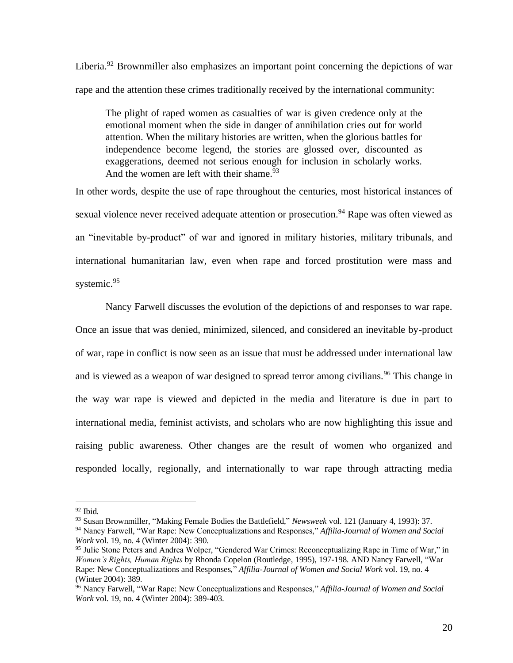Liberia.<sup>92</sup> Brownmiller also emphasizes an important point concerning the depictions of war rape and the attention these crimes traditionally received by the international community:

The plight of raped women as casualties of war is given credence only at the emotional moment when the side in danger of annihilation cries out for world attention. When the military histories are written, when the glorious battles for independence become legend, the stories are glossed over, discounted as exaggerations, deemed not serious enough for inclusion in scholarly works. And the women are left with their shame.  $93$ 

In other words, despite the use of rape throughout the centuries, most historical instances of sexual violence never received adequate attention or prosecution.<sup>94</sup> Rape was often viewed as an "inevitable by-product" of war and ignored in military histories, military tribunals, and international humanitarian law, even when rape and forced prostitution were mass and systemic.<sup>95</sup>

 Nancy Farwell discusses the evolution of the depictions of and responses to war rape. Once an issue that was denied, minimized, silenced, and considered an inevitable by-product of war, rape in conflict is now seen as an issue that must be addressed under international law and is viewed as a weapon of war designed to spread terror among civilians.<sup>96</sup> This change in the way war rape is viewed and depicted in the media and literature is due in part to international media, feminist activists, and scholars who are now highlighting this issue and raising public awareness. Other changes are the result of women who organized and responded locally, regionally, and internationally to war rape through attracting media

 $92$  Ibid.

<sup>93</sup> Susa[n Brownmiller,](http://search0.scholarsportal.info.ezproxy.uwindsor.ca/ids70/p_search_form.php?field=au&query=brownmiller+susan&log=literal&SID=8a0074029ff2575b4019a46e4ca961b6) ["Making Female Bodies the Battlefield,"](http://search0.scholarsportal.info.ezproxy.uwindsor.ca/ids70/view_record.php?id=8&recnum=22&log=from_res&SID=8a0074029ff2575b4019a46e4ca961b6) *Newsweek* vol. 121 (January 4, 1993): 37.

<sup>94</sup> Nancy Farwell, "War Rape: New Conceptualizations and Responses," *Affilia-Journal of Women and Social Work* vol. 19, no. 4 (Winter 2004): 390.

<sup>95</sup> Julie Stone Peters and Andrea Wolper, "Gendered War Crimes: Reconceptualizing Rape in Time of War*,*" in *Women's Rights, Human Rights* by Rhonda Copelon (Routledge, 1995), 197-198. AND Nancy Farwell, "War Rape: New Conceptualizations and Responses," *Affilia-Journal of Women and Social Work* vol. 19, no. 4 (Winter 2004): 389.

<sup>96</sup> Nancy Farwell, "War Rape: New Conceptualizations and Responses," *Affilia-Journal of Women and Social Work* vol. 19, no. 4 (Winter 2004): 389-403.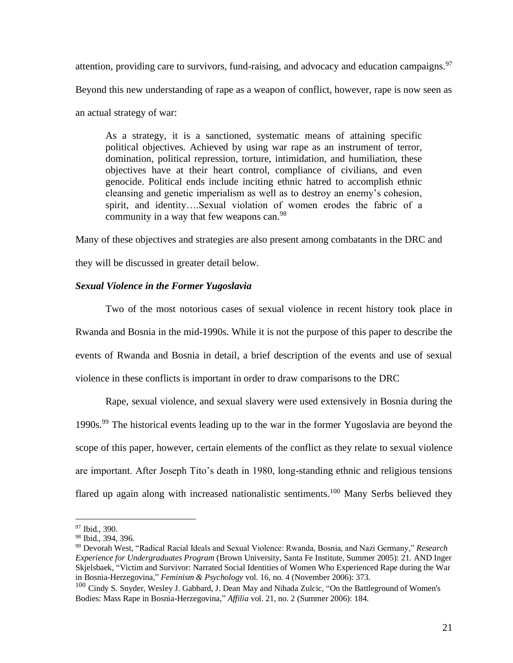attention, providing care to survivors, fund-raising, and advocacy and education campaigns.<sup>97</sup> Beyond this new understanding of rape as a weapon of conflict, however, rape is now seen as an actual strategy of war:

As a strategy, it is a sanctioned, systematic means of attaining specific political objectives. Achieved by using war rape as an instrument of terror, domination, political repression, torture, intimidation, and humiliation, these objectives have at their heart control, compliance of civilians, and even genocide. Political ends include inciting ethnic hatred to accomplish ethnic cleansing and genetic imperialism as well as to destroy an enemy's cohesion, spirit, and identity….Sexual violation of women erodes the fabric of a community in a way that few weapons can.<sup>98</sup>

Many of these objectives and strategies are also present among combatants in the DRC and they will be discussed in greater detail below.

# *Sexual Violence in the Former Yugoslavia*

 Two of the most notorious cases of sexual violence in recent history took place in Rwanda and Bosnia in the mid-1990s. While it is not the purpose of this paper to describe the events of Rwanda and Bosnia in detail, a brief description of the events and use of sexual violence in these conflicts is important in order to draw comparisons to the DRC

 Rape, sexual violence, and sexual slavery were used extensively in Bosnia during the 1990s.<sup>99</sup> The historical events leading up to the war in the former Yugoslavia are beyond the scope of this paper, however, certain elements of the conflict as they relate to sexual violence are important. After Joseph Tito's death in 1980, long-standing ethnic and religious tensions flared up again along with increased nationalistic sentiments.<sup>100</sup> Many Serbs believed they

<sup>&</sup>lt;sup>97</sup> Ibid., 390.

<sup>98</sup> Ibid., 394, 396.

<sup>99</sup> Devorah West, "Radical Racial Ideals and Sexual Violence: Rwanda, Bosnia, and Nazi Germany," *Research Experience for Undergraduates Program* (Brown University, Santa Fe Institute, Summer 2005): 21. AND Inger [Skjelsbaek, "](http://search0.scholarsportal.info.ezproxy.uwindsor.ca/ids70/p_search_form.php?field=au&query=skjelsbaek+inger&log=literal&SID=8a0074029ff2575b4019a46e4ca961b6)[Victim and Survivor: Narrated Social Identities of Women Who Experienced Rape during the War](http://search0.scholarsportal.info.ezproxy.uwindsor.ca/ids70/view_record.php?id=8&recnum=6&log=from_res&SID=8a0074029ff2575b4019a46e4ca961b6)  [in Bosnia-Herzegovina,](http://search0.scholarsportal.info.ezproxy.uwindsor.ca/ids70/view_record.php?id=8&recnum=6&log=from_res&SID=8a0074029ff2575b4019a46e4ca961b6)" *Feminism & Psychology* vol. 16, no. 4 (November 2006): 373.

<sup>&</sup>lt;sup>100</sup> [Cindy S.](http://search0.scholarsportal.info.ezproxy.uwindsor.ca/ids70/p_search_form.php?field=au&query=snyder+cindy+s&log=literal&SID=8a0074029ff2575b4019a46e4ca961b6) Snyder, Wesley J[. Gabbard,](http://search0.scholarsportal.info.ezproxy.uwindsor.ca/ids70/p_search_form.php?field=au&query=gabbard+wesley+j&log=literal&SID=8a0074029ff2575b4019a46e4ca961b6) [J. Dean](http://search0.scholarsportal.info.ezproxy.uwindsor.ca/ids70/p_search_form.php?field=au&query=may+j+dean&log=literal&SID=8a0074029ff2575b4019a46e4ca961b6) May and Nihada [Zulcic,](http://search0.scholarsportal.info.ezproxy.uwindsor.ca/ids70/p_search_form.php?field=au&query=zulcic+nihada&log=literal&SID=8a0074029ff2575b4019a46e4ca961b6) "On the Battleground of Women's [Bodies: Mass Rape in Bosnia-Herzegovina,](http://search0.scholarsportal.info.ezproxy.uwindsor.ca/ids70/view_record.php?id=8&recnum=34&log=from_res&SID=8a0074029ff2575b4019a46e4ca961b6)" *Affilia* vol. 21, no. 2 (Summer 2006): 184.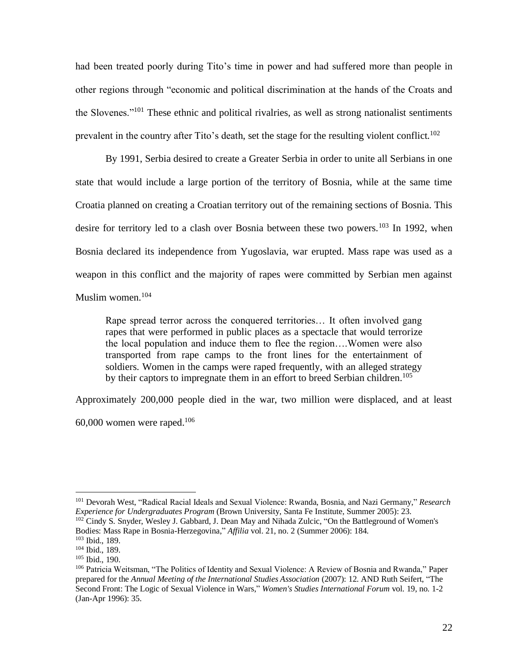had been treated poorly during Tito's time in power and had suffered more than people in other regions through "economic and political discrimination at the hands of the Croats and the Slovenes."<sup>101</sup> These ethnic and political rivalries, as well as strong nationalist sentiments prevalent in the country after Tito's death, set the stage for the resulting violent conflict.<sup>102</sup>

 By 1991, Serbia desired to create a Greater Serbia in order to unite all Serbians in one state that would include a large portion of the territory of Bosnia, while at the same time Croatia planned on creating a Croatian territory out of the remaining sections of Bosnia. This desire for territory led to a clash over Bosnia between these two powers.<sup>103</sup> In 1992, when Bosnia declared its independence from Yugoslavia, war erupted. Mass rape was used as a weapon in this conflict and the majority of rapes were committed by Serbian men against Muslim women.<sup>104</sup>

Rape spread terror across the conquered territories… It often involved gang rapes that were performed in public places as a spectacle that would terrorize the local population and induce them to flee the region….Women were also transported from rape camps to the front lines for the entertainment of soldiers. Women in the camps were raped frequently, with an alleged strategy by their captors to impregnate them in an effort to breed Serbian children.<sup>105</sup>

Approximately 200,000 people died in the war, two million were displaced, and at least

 $60,000$  women were raped.<sup>106</sup>

<sup>101</sup> Devorah West, "Radical Racial Ideals and Sexual Violence: Rwanda, Bosnia, and Nazi Germany," *Research Experience for Undergraduates Program* (Brown University, Santa Fe Institute, Summer 2005): 23. <sup>102</sup> [Cindy S.](http://search0.scholarsportal.info.ezproxy.uwindsor.ca/ids70/p_search_form.php?field=au&query=snyder+cindy+s&log=literal&SID=8a0074029ff2575b4019a46e4ca961b6) Snyder, Wesley J[. Gabbard,](http://search0.scholarsportal.info.ezproxy.uwindsor.ca/ids70/p_search_form.php?field=au&query=gabbard+wesley+j&log=literal&SID=8a0074029ff2575b4019a46e4ca961b6) [J. Dean](http://search0.scholarsportal.info.ezproxy.uwindsor.ca/ids70/p_search_form.php?field=au&query=may+j+dean&log=literal&SID=8a0074029ff2575b4019a46e4ca961b6) May and Nihada [Zulcic,](http://search0.scholarsportal.info.ezproxy.uwindsor.ca/ids70/p_search_form.php?field=au&query=zulcic+nihada&log=literal&SID=8a0074029ff2575b4019a46e4ca961b6) "On the Battleground of Women's [Bodies: Mass Rape in Bosnia-Herzegovina,](http://search0.scholarsportal.info.ezproxy.uwindsor.ca/ids70/view_record.php?id=8&recnum=34&log=from_res&SID=8a0074029ff2575b4019a46e4ca961b6)" *Affilia* vol. 21, no. 2 (Summer 2006): 184.

<sup>103</sup> Ibid., 189.

<sup>104</sup> Ibid., 189.

<sup>105</sup> Ibid., 190.

<sup>106</sup> Patricia Weitsman, "The Politics of Identity and Sexual Violence: A Review of Bosnia and Rwanda," Paper prepared for the *Annual Meeting of the International Studies Association* (2007): 12. AND Ruth [Seifert,](http://search0.scholarsportal.info.ezproxy.uwindsor.ca/ids70/p_search_form.php?field=au&query=seifert+ruth&log=literal&SID=8a0074029ff2575b4019a46e4ca961b6) ["The](http://search0.scholarsportal.info.ezproxy.uwindsor.ca/ids70/view_record.php?id=8&recnum=5&log=from_res&SID=8a0074029ff2575b4019a46e4ca961b6)  [Second Front: The Logic of Sexual Violence](http://search0.scholarsportal.info.ezproxy.uwindsor.ca/ids70/view_record.php?id=8&recnum=5&log=from_res&SID=8a0074029ff2575b4019a46e4ca961b6) in Wars," *Women's Studies International Forum* vol. 19, no. 1-2 (Jan-Apr 1996): 35.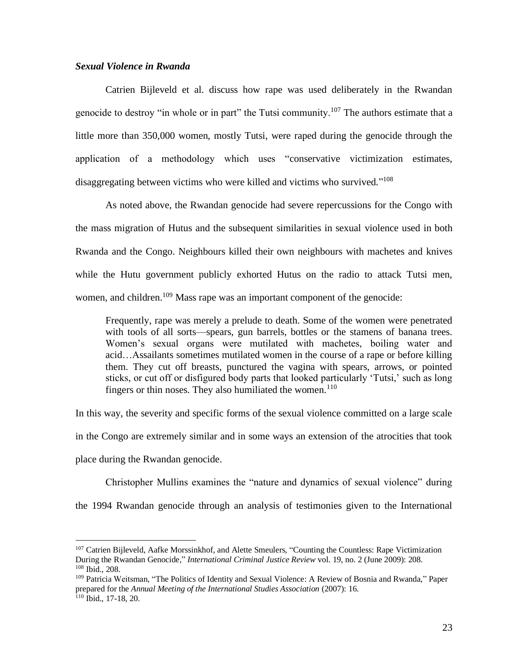## *Sexual Violence in Rwanda*

 Catrien Bijleveld et al. discuss how rape was used deliberately in the Rwandan genocide to destroy "in whole or in part" the Tutsi community.<sup>107</sup> The authors estimate that a little more than 350,000 women, mostly Tutsi, were raped during the genocide through the application of a methodology which uses "conservative victimization estimates, disaggregating between victims who were killed and victims who survived."<sup>108</sup>

 As noted above, the Rwandan genocide had severe repercussions for the Congo with the mass migration of Hutus and the subsequent similarities in sexual violence used in both Rwanda and the Congo. Neighbours killed their own neighbours with machetes and knives while the Hutu government publicly exhorted Hutus on the radio to attack Tutsi men, women, and children.<sup>109</sup> Mass rape was an important component of the genocide:

Frequently, rape was merely a prelude to death. Some of the women were penetrated with tools of all sorts—spears, gun barrels, bottles or the stamens of banana trees. Women's sexual organs were mutilated with machetes, boiling water and acid…Assailants sometimes mutilated women in the course of a rape or before killing them. They cut off breasts, punctured the vagina with spears, arrows, or pointed sticks, or cut off or disfigured body parts that looked particularly 'Tutsi,' such as long fingers or thin noses. They also humiliated the women.<sup>110</sup>

In this way, the severity and specific forms of the sexual violence committed on a large scale in the Congo are extremely similar and in some ways an extension of the atrocities that took place during the Rwandan genocide.

 Christopher Mullins examines the "nature and dynamics of sexual violence" during the 1994 Rwandan genocide through an analysis of testimonies given to the International

<sup>&</sup>lt;sup>107</sup> Catrie[n Bijleveld, Aafke](http://search0.scholarsportal.info.ezproxy.uwindsor.ca/ids70/p_search_form.php?field=au&query=bijleveld+catrien&log=literal&SID=8a0074029ff2575b4019a46e4ca961b6) [Morssinkhof, a](http://search0.scholarsportal.info.ezproxy.uwindsor.ca/ids70/p_search_form.php?field=au&query=morssinkhof+aafke&log=literal&SID=8a0074029ff2575b4019a46e4ca961b6)nd Alette [Smeulers,](http://search0.scholarsportal.info.ezproxy.uwindsor.ca/ids70/p_search_form.php?field=au&query=smeulers+alette&log=literal&SID=8a0074029ff2575b4019a46e4ca961b6) ["Counting the Countless: Rape](http://search0.scholarsportal.info.ezproxy.uwindsor.ca/ids70/view_record.php?id=11&recnum=3&log=from_res&SID=8a0074029ff2575b4019a46e4ca961b6) Victimization [During the Rwandan Genocide,"](http://search0.scholarsportal.info.ezproxy.uwindsor.ca/ids70/view_record.php?id=11&recnum=3&log=from_res&SID=8a0074029ff2575b4019a46e4ca961b6) *International Criminal Justice Review* vol. 19, no. 2 (June 2009): 208. <sup>108</sup> Ibid., 208.

<sup>109</sup> Patricia Weitsman, "The Politics of Identity and Sexual Violence: A Review of Bosnia and Rwanda," Paper prepared for the *Annual Meeting of the International Studies Association* (2007): 16.  $110$  Ibid., 17-18, 20.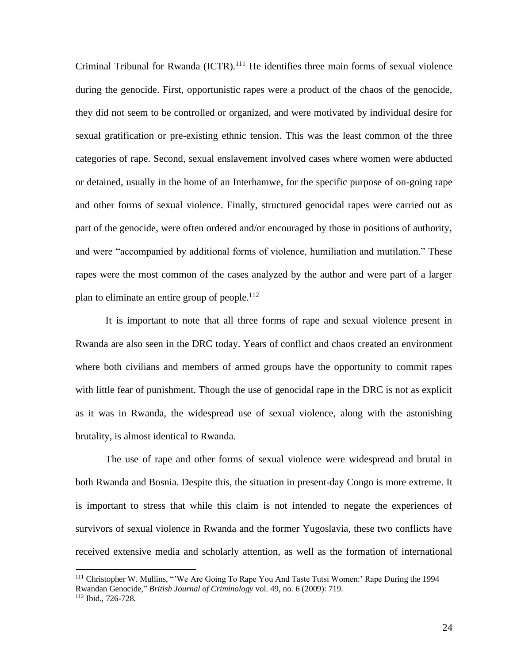Criminal Tribunal for Rwanda (ICTR).<sup>111</sup> He identifies three main forms of sexual violence during the genocide. First, opportunistic rapes were a product of the chaos of the genocide, they did not seem to be controlled or organized, and were motivated by individual desire for sexual gratification or pre-existing ethnic tension. This was the least common of the three categories of rape. Second, sexual enslavement involved cases where women were abducted or detained, usually in the home of an Interhamwe, for the specific purpose of on-going rape and other forms of sexual violence. Finally, structured genocidal rapes were carried out as part of the genocide, were often ordered and/or encouraged by those in positions of authority, and were "accompanied by additional forms of violence, humiliation and mutilation." These rapes were the most common of the cases analyzed by the author and were part of a larger plan to eliminate an entire group of people.<sup>112</sup>

 It is important to note that all three forms of rape and sexual violence present in Rwanda are also seen in the DRC today. Years of conflict and chaos created an environment where both civilians and members of armed groups have the opportunity to commit rapes with little fear of punishment. Though the use of genocidal rape in the DRC is not as explicit as it was in Rwanda, the widespread use of sexual violence, along with the astonishing brutality, is almost identical to Rwanda.

 The use of rape and other forms of sexual violence were widespread and brutal in both Rwanda and Bosnia. Despite this, the situation in present-day Congo is more extreme. It is important to stress that while this claim is not intended to negate the experiences of survivors of sexual violence in Rwanda and the former Yugoslavia, these two conflicts have received extensive media and scholarly attention, as well as the formation of international

<sup>&</sup>lt;sup>111</sup> Christopher W. Mullins, "'We Are Going To Rape You And Taste Tutsi Women:' Rape During the 1994 Rwandan Genocide," *British Journal of Criminology* vol. 49, no. 6 (2009): 719. <sup>112</sup> Ibid., 726-728.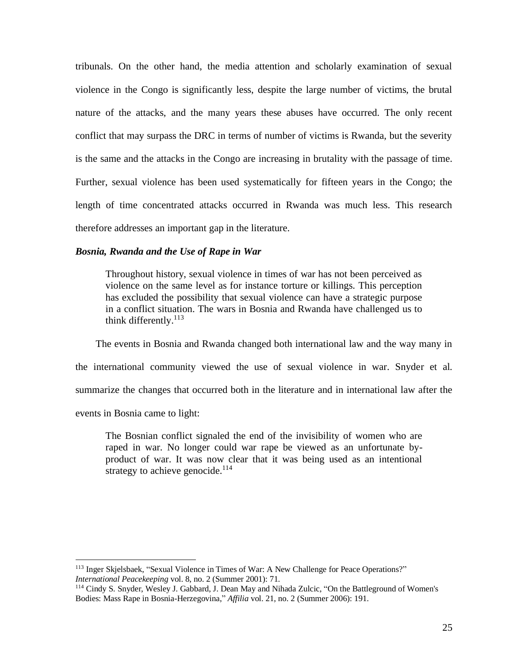tribunals. On the other hand, the media attention and scholarly examination of sexual violence in the Congo is significantly less, despite the large number of victims, the brutal nature of the attacks, and the many years these abuses have occurred. The only recent conflict that may surpass the DRC in terms of number of victims is Rwanda, but the severity is the same and the attacks in the Congo are increasing in brutality with the passage of time. Further, sexual violence has been used systematically for fifteen years in the Congo; the length of time concentrated attacks occurred in Rwanda was much less. This research therefore addresses an important gap in the literature.

#### *Bosnia, Rwanda and the Use of Rape in War*

Throughout history, sexual violence in times of war has not been perceived as violence on the same level as for instance torture or killings. This perception has excluded the possibility that sexual violence can have a strategic purpose in a conflict situation. The wars in Bosnia and Rwanda have challenged us to think differently.<sup>113</sup>

 The events in Bosnia and Rwanda changed both international law and the way many in the international community viewed the use of sexual violence in war. Snyder et al. summarize the changes that occurred both in the literature and in international law after the events in Bosnia came to light:

The Bosnian conflict signaled the end of the invisibility of women who are raped in war. No longer could war rape be viewed as an unfortunate byproduct of war. It was now clear that it was being used as an intentional strategy to achieve genocide. $114$ 

<sup>113</sup> Inger [Skjelsbaek, "](http://search0.scholarsportal.info.ezproxy.uwindsor.ca/ids70/p_search_form.php?field=au&query=skjelsbaek+inger&log=literal&SID=8a0074029ff2575b4019a46e4ca961b6)Sexual Violence [in Times of War: A New Challenge for Peace Operations?"](http://search0.scholarsportal.info.ezproxy.uwindsor.ca/ids70/view_record.php?id=8&recnum=4&log=from_res&SID=8a0074029ff2575b4019a46e4ca961b6) *International Peacekeeping* vol. 8, no. 2 (Summer 2001): 71.

<sup>114</sup> [Cindy S.](http://search0.scholarsportal.info.ezproxy.uwindsor.ca/ids70/p_search_form.php?field=au&query=snyder+cindy+s&log=literal&SID=8a0074029ff2575b4019a46e4ca961b6) Snyder, Wesley J[. Gabbard,](http://search0.scholarsportal.info.ezproxy.uwindsor.ca/ids70/p_search_form.php?field=au&query=gabbard+wesley+j&log=literal&SID=8a0074029ff2575b4019a46e4ca961b6) [J. Dean](http://search0.scholarsportal.info.ezproxy.uwindsor.ca/ids70/p_search_form.php?field=au&query=may+j+dean&log=literal&SID=8a0074029ff2575b4019a46e4ca961b6) May and Nihada [Zulcic,](http://search0.scholarsportal.info.ezproxy.uwindsor.ca/ids70/p_search_form.php?field=au&query=zulcic+nihada&log=literal&SID=8a0074029ff2575b4019a46e4ca961b6) ["On the Battleground of Women's](http://search0.scholarsportal.info.ezproxy.uwindsor.ca/ids70/view_record.php?id=8&recnum=34&log=from_res&SID=8a0074029ff2575b4019a46e4ca961b6)  [Bodies: Mass Rape in Bosnia-Herzegovina,](http://search0.scholarsportal.info.ezproxy.uwindsor.ca/ids70/view_record.php?id=8&recnum=34&log=from_res&SID=8a0074029ff2575b4019a46e4ca961b6)" *Affilia* vol. 21, no. 2 (Summer 2006): 191.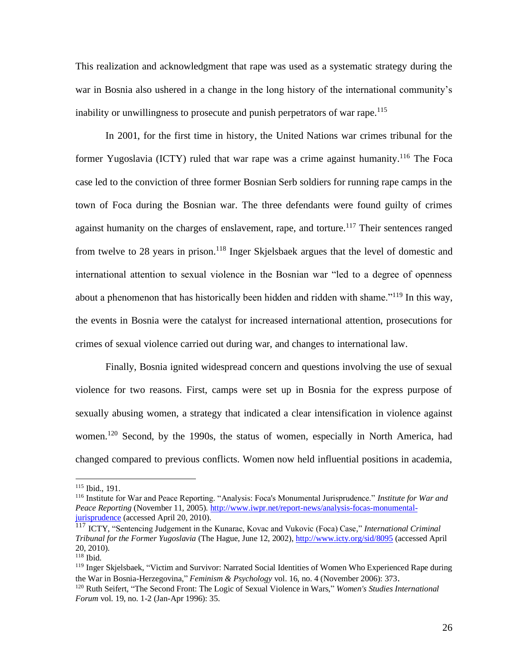This realization and acknowledgment that rape was used as a systematic strategy during the war in Bosnia also ushered in a change in the long history of the international community's inability or unwillingness to prosecute and punish perpetrators of war rape.<sup>115</sup>

In 2001, for the first time in history, the United Nations war crimes tribunal for the former Yugoslavia (ICTY) ruled that war rape was a crime against humanity.<sup>116</sup> The Foca case led to the conviction of three former Bosnian Serb soldiers for running rape camps in the town of Foca during the Bosnian war. The three defendants were found guilty of crimes against humanity on the charges of enslavement, rape, and torture.<sup>117</sup> Their sentences ranged from twelve to 28 years in prison.<sup>118</sup> Inger Skjelsbaek argues that the level of domestic and international attention to sexual violence in the Bosnian war "led to a degree of openness about a phenomenon that has historically been hidden and ridden with shame."<sup>119</sup> In this way, the events in Bosnia were the catalyst for increased international attention, prosecutions for crimes of sexual violence carried out during war, and changes to international law.

Finally, Bosnia ignited widespread concern and questions involving the use of sexual violence for two reasons. First, camps were set up in Bosnia for the express purpose of sexually abusing women, a strategy that indicated a clear intensification in violence against women.<sup>120</sup> Second, by the 1990s, the status of women, especially in North America, had changed compared to previous conflicts. Women now held influential positions in academia,

<sup>115</sup> Ibid., 191.

<sup>116</sup> Institute for War and Peace Reporting. "Analysis: Foca's Monumental Jurisprudence." *Institute for War and Peace Reporting* (November 11, 2005). [http://www.iwpr.net/report-news/analysis-focas-monumental](http://www.iwpr.net/report-news/analysis-focas-monumental-jurisprudence)[jurisprudence](http://www.iwpr.net/report-news/analysis-focas-monumental-jurisprudence) (accessed April 20, 2010).

<sup>117</sup> ICTY, "Sentencing Judgement in the Kunarac, Kovac and Vukovic (Foca) Case," *International Criminal Tribunal for the Former Yugoslavia* (The Hague, June 12, 2002), <http://www.icty.org/sid/8095> (accessed April 20, 2010).

<sup>118</sup> Ibid.

<sup>119</sup> Inger [Skjelsbaek,](http://search0.scholarsportal.info.ezproxy.uwindsor.ca/ids70/p_search_form.php?field=au&query=skjelsbaek+inger&log=literal&SID=8a0074029ff2575b4019a46e4ca961b6) ["Victim and Survivor: Narrated Social Identities](http://search0.scholarsportal.info.ezproxy.uwindsor.ca/ids70/view_record.php?id=8&recnum=6&log=from_res&SID=8a0074029ff2575b4019a46e4ca961b6) of Women Who Experienced Rape during [the War in Bosnia-Herzegovina,](http://search0.scholarsportal.info.ezproxy.uwindsor.ca/ids70/view_record.php?id=8&recnum=6&log=from_res&SID=8a0074029ff2575b4019a46e4ca961b6)" *Feminism & Psychology* vol. 16, no. 4 (November 2006): 373.

<sup>120</sup> [Ruth](http://search0.scholarsportal.info.ezproxy.uwindsor.ca/ids70/p_search_form.php?field=au&query=seifert+ruth&log=literal&SID=8a0074029ff2575b4019a46e4ca961b6) Seifert, ["The Second Front: The Logic of Sexual](http://search0.scholarsportal.info.ezproxy.uwindsor.ca/ids70/view_record.php?id=8&recnum=5&log=from_res&SID=8a0074029ff2575b4019a46e4ca961b6) Violence in Wars," *Women's Studies International Forum* vol. 19, no. 1-2 (Jan-Apr 1996): 35.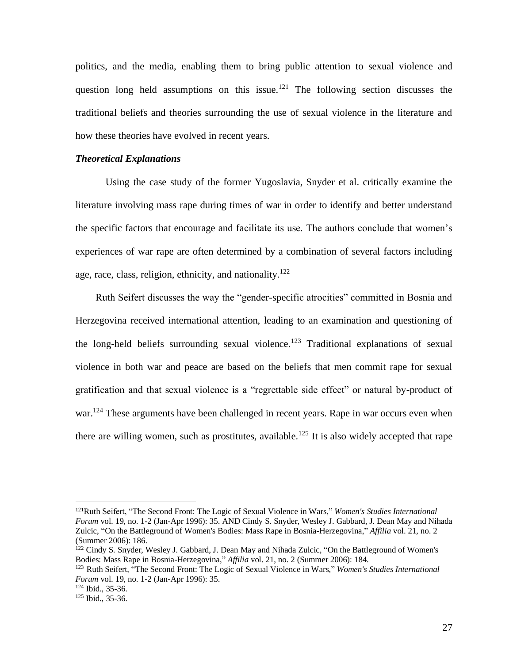politics, and the media, enabling them to bring public attention to sexual violence and question long held assumptions on this issue.<sup>121</sup> The following section discusses the traditional beliefs and theories surrounding the use of sexual violence in the literature and how these theories have evolved in recent years.

#### *Theoretical Explanations*

 Using the case study of the former Yugoslavia, Snyder et al. critically examine the literature involving mass rape during times of war in order to identify and better understand the specific factors that encourage and facilitate its use. The authors conclude that women's experiences of war rape are often determined by a combination of several factors including age, race, class, religion, ethnicity, and nationality.<sup>122</sup>

 Ruth Seifert discusses the way the "gender-specific atrocities" committed in Bosnia and Herzegovina received international attention, leading to an examination and questioning of the long-held beliefs surrounding sexual violence.<sup>123</sup> Traditional explanations of sexual violence in both war and peace are based on the beliefs that men commit rape for sexual gratification and that sexual violence is a "regrettable side effect" or natural by-product of war.<sup>124</sup> These arguments have been challenged in recent years. Rape in war occurs even when there are willing women, such as prostitutes, available.<sup>125</sup> It is also widely accepted that rape

<sup>121</sup>[Ruth](http://search0.scholarsportal.info.ezproxy.uwindsor.ca/ids70/p_search_form.php?field=au&query=seifert+ruth&log=literal&SID=8a0074029ff2575b4019a46e4ca961b6) Seifert, ["The Second Front: The Logic of Sexual Violence](http://search0.scholarsportal.info.ezproxy.uwindsor.ca/ids70/view_record.php?id=8&recnum=5&log=from_res&SID=8a0074029ff2575b4019a46e4ca961b6) in Wars," *Women's Studies International Forum* vol. 19, no. 1-2 (Jan-Apr 1996): 35. AND [Cindy S.](http://search0.scholarsportal.info.ezproxy.uwindsor.ca/ids70/p_search_form.php?field=au&query=snyder+cindy+s&log=literal&SID=8a0074029ff2575b4019a46e4ca961b6) Snyder, Wesley J[. Gabbard,](http://search0.scholarsportal.info.ezproxy.uwindsor.ca/ids70/p_search_form.php?field=au&query=gabbard+wesley+j&log=literal&SID=8a0074029ff2575b4019a46e4ca961b6) [J. Dean](http://search0.scholarsportal.info.ezproxy.uwindsor.ca/ids70/p_search_form.php?field=au&query=may+j+dean&log=literal&SID=8a0074029ff2575b4019a46e4ca961b6) May and Nihada [Zulcic,](http://search0.scholarsportal.info.ezproxy.uwindsor.ca/ids70/p_search_form.php?field=au&query=zulcic+nihada&log=literal&SID=8a0074029ff2575b4019a46e4ca961b6) ["On the Battleground of Women's Bodies: Mass Rape in Bosnia-Herzegovina,](http://search0.scholarsportal.info.ezproxy.uwindsor.ca/ids70/view_record.php?id=8&recnum=34&log=from_res&SID=8a0074029ff2575b4019a46e4ca961b6)" *Affilia* vol. 21, no. 2 (Summer 2006): 186.

<sup>&</sup>lt;sup>122</sup> [Cindy S.](http://search0.scholarsportal.info.ezproxy.uwindsor.ca/ids70/p_search_form.php?field=au&query=snyder+cindy+s&log=literal&SID=8a0074029ff2575b4019a46e4ca961b6) Snyder, Wesley J[. Gabbard,](http://search0.scholarsportal.info.ezproxy.uwindsor.ca/ids70/p_search_form.php?field=au&query=gabbard+wesley+j&log=literal&SID=8a0074029ff2575b4019a46e4ca961b6) [J. Dean](http://search0.scholarsportal.info.ezproxy.uwindsor.ca/ids70/p_search_form.php?field=au&query=may+j+dean&log=literal&SID=8a0074029ff2575b4019a46e4ca961b6) May and Nihada [Zulcic,](http://search0.scholarsportal.info.ezproxy.uwindsor.ca/ids70/p_search_form.php?field=au&query=zulcic+nihada&log=literal&SID=8a0074029ff2575b4019a46e4ca961b6) "On the Battleground of Women's [Bodies: Mass Rape in Bosnia-Herzegovina,](http://search0.scholarsportal.info.ezproxy.uwindsor.ca/ids70/view_record.php?id=8&recnum=34&log=from_res&SID=8a0074029ff2575b4019a46e4ca961b6)" *Affilia* vol. 21, no. 2 (Summer 2006): 184.

<sup>123</sup> [Ruth](http://search0.scholarsportal.info.ezproxy.uwindsor.ca/ids70/p_search_form.php?field=au&query=seifert+ruth&log=literal&SID=8a0074029ff2575b4019a46e4ca961b6) Seifert, ["The Second Front: The Logic of Sexual Violence](http://search0.scholarsportal.info.ezproxy.uwindsor.ca/ids70/view_record.php?id=8&recnum=5&log=from_res&SID=8a0074029ff2575b4019a46e4ca961b6) in Wars," *Women's Studies International Forum* vol. 19, no. 1-2 (Jan-Apr 1996): 35.

<sup>124</sup> Ibid., 35-36.

<sup>125</sup> Ibid., 35-36.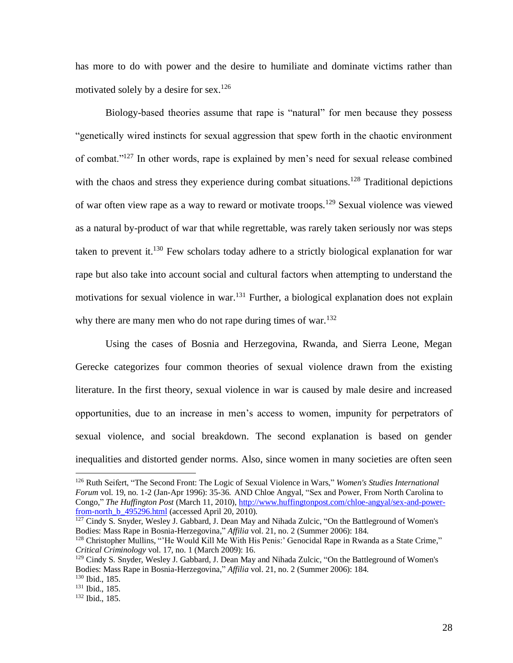has more to do with power and the desire to humiliate and dominate victims rather than motivated solely by a desire for sex.<sup>126</sup>

 Biology-based theories assume that rape is "natural" for men because they possess "genetically wired instincts for sexual aggression that spew forth in the chaotic environment of combat."<sup>127</sup> In other words, rape is explained by men's need for sexual release combined with the chaos and stress they experience during combat situations.<sup>128</sup> Traditional depictions of war often view rape as a way to reward or motivate troops.<sup>129</sup> Sexual violence was viewed as a natural by-product of war that while regrettable, was rarely taken seriously nor was steps taken to prevent it.<sup>130</sup> Few scholars today adhere to a strictly biological explanation for war rape but also take into account social and cultural factors when attempting to understand the motivations for sexual violence in war.<sup>131</sup> Further, a biological explanation does not explain why there are many men who do not rape during times of war. $132$ 

 Using the cases of Bosnia and Herzegovina, Rwanda, and Sierra Leone, Megan Gerecke categorizes four common theories of sexual violence drawn from the existing literature. In the first theory, sexual violence in war is caused by male desire and increased opportunities, due to an increase in men's access to women, impunity for perpetrators of sexual violence, and social breakdown. The second explanation is based on gender inequalities and distorted gender norms. Also, since women in many societies are often seen

<sup>126</sup> [Ruth](http://search0.scholarsportal.info.ezproxy.uwindsor.ca/ids70/p_search_form.php?field=au&query=seifert+ruth&log=literal&SID=8a0074029ff2575b4019a46e4ca961b6) Seifert, ["The Second Front: The Logic of Sexual Violence](http://search0.scholarsportal.info.ezproxy.uwindsor.ca/ids70/view_record.php?id=8&recnum=5&log=from_res&SID=8a0074029ff2575b4019a46e4ca961b6) in Wars," *Women's Studies International Forum* vol. 19, no. 1-2 (Jan-Apr 1996): 35-36. AND Chloe Angyal, "Sex and Power, From North Carolina to Congo," *The Huffington Post* (March 11, 2010), [http://www.huffingtonpost.com/chloe-angyal/sex-and-power](http://www.huffingtonpost.com/chloe-angyal/sex-and-power-from-north_b_495296.html)[from-north\\_b\\_495296.html](http://www.huffingtonpost.com/chloe-angyal/sex-and-power-from-north_b_495296.html) (accessed April 20, 2010).

<sup>&</sup>lt;sup>127</sup> [Cindy S.](http://search0.scholarsportal.info.ezproxy.uwindsor.ca/ids70/p_search_form.php?field=au&query=snyder+cindy+s&log=literal&SID=8a0074029ff2575b4019a46e4ca961b6) Snyder, Wesley J[. Gabbard,](http://search0.scholarsportal.info.ezproxy.uwindsor.ca/ids70/p_search_form.php?field=au&query=gabbard+wesley+j&log=literal&SID=8a0074029ff2575b4019a46e4ca961b6) [J. Dean](http://search0.scholarsportal.info.ezproxy.uwindsor.ca/ids70/p_search_form.php?field=au&query=may+j+dean&log=literal&SID=8a0074029ff2575b4019a46e4ca961b6) May and Nihada [Zulcic,](http://search0.scholarsportal.info.ezproxy.uwindsor.ca/ids70/p_search_form.php?field=au&query=zulcic+nihada&log=literal&SID=8a0074029ff2575b4019a46e4ca961b6) "On the Battleground of Women's [Bodies: Mass Rape in Bosnia-Herzegovina,](http://search0.scholarsportal.info.ezproxy.uwindsor.ca/ids70/view_record.php?id=8&recnum=34&log=from_res&SID=8a0074029ff2575b4019a46e4ca961b6)" *Affilia* vol. 21, no. 2 (Summer 2006): 184.

<sup>128</sup> Christophe[r Mullins,](http://search0.scholarsportal.info.ezproxy.uwindsor.ca/ids70/p_search_form.php?field=au&query=mullins+christopher&log=literal&SID=8a0074029ff2575b4019a46e4ca961b6) ["'He Would Kill Me With His Penis:' Genocidal Rape in Rwanda](http://search0.scholarsportal.info.ezproxy.uwindsor.ca/ids70/view_record.php?id=9&recnum=8&log=from_res&SID=8a0074029ff2575b4019a46e4ca961b6) as a State Crime," *Critical Criminology* vol. 17, no. 1 (March 2009): 16.

<sup>&</sup>lt;sup>129</sup> [Cindy S.](http://search0.scholarsportal.info.ezproxy.uwindsor.ca/ids70/p_search_form.php?field=au&query=snyder+cindy+s&log=literal&SID=8a0074029ff2575b4019a46e4ca961b6) Snyder, Wesley J[. Gabbard,](http://search0.scholarsportal.info.ezproxy.uwindsor.ca/ids70/p_search_form.php?field=au&query=gabbard+wesley+j&log=literal&SID=8a0074029ff2575b4019a46e4ca961b6) [J. Dean](http://search0.scholarsportal.info.ezproxy.uwindsor.ca/ids70/p_search_form.php?field=au&query=may+j+dean&log=literal&SID=8a0074029ff2575b4019a46e4ca961b6) May and Nihada [Zulcic,](http://search0.scholarsportal.info.ezproxy.uwindsor.ca/ids70/p_search_form.php?field=au&query=zulcic+nihada&log=literal&SID=8a0074029ff2575b4019a46e4ca961b6) "On the Battleground of Women's [Bodies: Mass Rape in Bosnia-Herzegovina,](http://search0.scholarsportal.info.ezproxy.uwindsor.ca/ids70/view_record.php?id=8&recnum=34&log=from_res&SID=8a0074029ff2575b4019a46e4ca961b6)" *Affilia* vol. 21, no. 2 (Summer 2006): 184.

<sup>130</sup> Ibid., 185.

<sup>131</sup> Ibid., 185.

<sup>132</sup> Ibid., 185.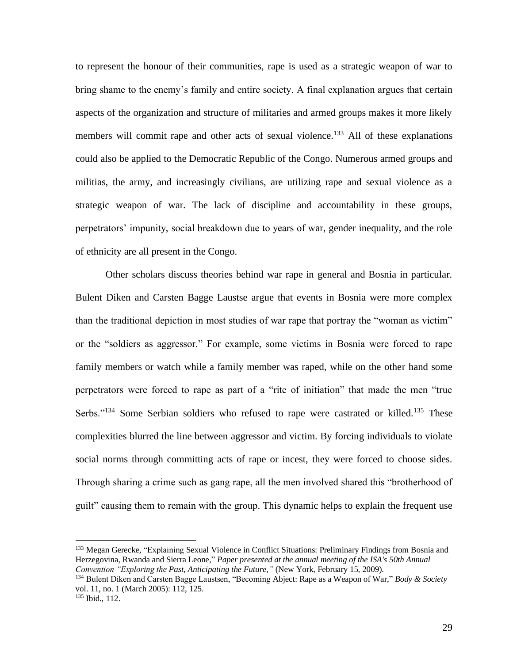to represent the honour of their communities, rape is used as a strategic weapon of war to bring shame to the enemy's family and entire society. A final explanation argues that certain aspects of the organization and structure of militaries and armed groups makes it more likely members will commit rape and other acts of sexual violence.<sup>133</sup> All of these explanations could also be applied to the Democratic Republic of the Congo. Numerous armed groups and militias, the army, and increasingly civilians, are utilizing rape and sexual violence as a strategic weapon of war. The lack of discipline and accountability in these groups, perpetrators' impunity, social breakdown due to years of war, gender inequality, and the role of ethnicity are all present in the Congo.

 Other scholars discuss theories behind war rape in general and Bosnia in particular. Bulent Diken and Carsten Bagge Laustse argue that events in Bosnia were more complex than the traditional depiction in most studies of war rape that portray the "woman as victim" or the "soldiers as aggressor." For example, some victims in Bosnia were forced to rape family members or watch while a family member was raped, while on the other hand some perpetrators were forced to rape as part of a "rite of initiation" that made the men "true Serbs."<sup>134</sup> Some Serbian soldiers who refused to rape were castrated or killed.<sup>135</sup> These complexities blurred the line between aggressor and victim. By forcing individuals to violate social norms through committing acts of rape or incest, they were forced to choose sides. Through sharing a crime such as gang rape, all the men involved shared this "brotherhood of guilt" causing them to remain with the group. This dynamic helps to explain the frequent use

<sup>133</sup> Megan Gerecke, "Explaining Sexual Violence in Conflict Situations: Preliminary Findings from Bosnia and Herzegovina, Rwanda and Sierra Leone," *Paper presented at the annual meeting of the ISA's 50th Annual Convention "Exploring the Past, Anticipating the Future,"* (New York, February 15, 2009).

<sup>134</sup> Bulent Diken and Carsten Bagge Laustsen, "Becoming Abject: Rape as a Weapon of War," *Body & Society*  vol. 11, no. 1 (March 2005): 112, 125.

<sup>135</sup> Ibid., 112.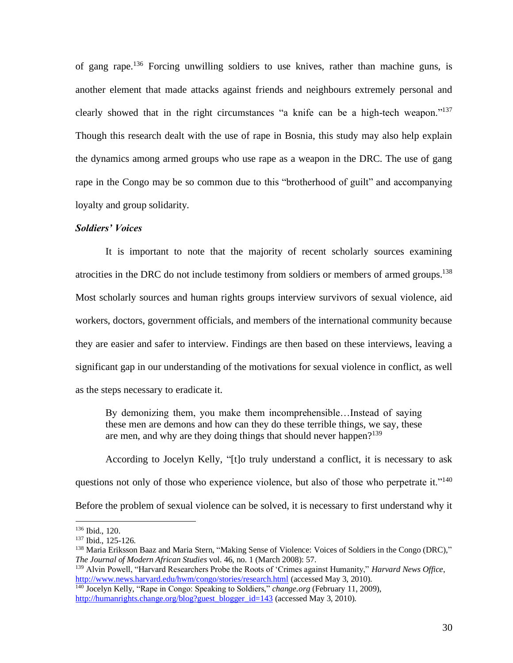of gang rape.<sup>136</sup> Forcing unwilling soldiers to use knives, rather than machine guns, is another element that made attacks against friends and neighbours extremely personal and clearly showed that in the right circumstances "a knife can be a high-tech weapon." $137$ Though this research dealt with the use of rape in Bosnia, this study may also help explain the dynamics among armed groups who use rape as a weapon in the DRC. The use of gang rape in the Congo may be so common due to this "brotherhood of guilt" and accompanying loyalty and group solidarity.

#### *Soldiers' Voices*

It is important to note that the majority of recent scholarly sources examining atrocities in the DRC do not include testimony from soldiers or members of armed groups.<sup>138</sup> Most scholarly sources and human rights groups interview survivors of sexual violence, aid workers, doctors, government officials, and members of the international community because they are easier and safer to interview. Findings are then based on these interviews, leaving a significant gap in our understanding of the motivations for sexual violence in conflict, as well as the steps necessary to eradicate it.

By demonizing them, you make them incomprehensible…Instead of saying these men are demons and how can they do these terrible things, we say, these are men, and why are they doing things that should never happen? $139$ 

According to Jocelyn Kelly, "[t]o truly understand a conflict, it is necessary to ask questions not only of those who experience violence, but also of those who perpetrate it."<sup>140</sup> Before the problem of sexual violence can be solved, it is necessary to first understand why it

<sup>136</sup> Ibid., 120.

<sup>137</sup> Ibid., 125-126.

<sup>138</sup> [Maria Eriksson](http://search0.scholarsportal.info.ezproxy.uwindsor.ca/ids70/p_search_form.php?field=au&query=baaz+maria+eriksson&log=literal&SID=8a0074029ff2575b4019a46e4ca961b6) Baaz and Maria Stern, ["Making Sense of Violence: Voices of Soldiers in the Congo \(DRC\),](http://search0.scholarsportal.info.ezproxy.uwindsor.ca/ids70/view_record.php?id=9&recnum=49&log=from_res&SID=8a0074029ff2575b4019a46e4ca961b6)" *The Journal of Modern African Studies* vol. 46, no. 1 (March 2008): 57.

<sup>139</sup> Alvin Powell, "Harvard Researchers Probe the Roots of 'Crimes against Humanity," *Harvard News Office*, <http://www.news.harvard.edu/hwm/congo/stories/research.html> (accessed May 3, 2010).

<sup>140</sup> Jocelyn Kelly, "Rape in Congo: Speaking to Soldiers," *change.org* (February 11, 2009), [http://humanrights.change.org/blog?guest\\_blogger\\_id=143](http://humanrights.change.org/blog?guest_blogger_id=143) (accessed May 3, 2010).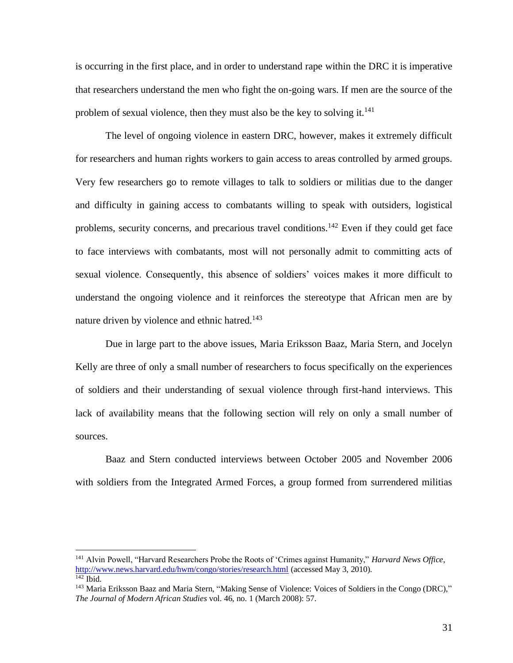is occurring in the first place, and in order to understand rape within the DRC it is imperative that researchers understand the men who fight the on-going wars. If men are the source of the problem of sexual violence, then they must also be the key to solving it.<sup>141</sup>

The level of ongoing violence in eastern DRC, however, makes it extremely difficult for researchers and human rights workers to gain access to areas controlled by armed groups. Very few researchers go to remote villages to talk to soldiers or militias due to the danger and difficulty in gaining access to combatants willing to speak with outsiders, logistical problems, security concerns, and precarious travel conditions.<sup>142</sup> Even if they could get face to face interviews with combatants, most will not personally admit to committing acts of sexual violence. Consequently, this absence of soldiers' voices makes it more difficult to understand the ongoing violence and it reinforces the stereotype that African men are by nature driven by violence and ethnic hatred.<sup>143</sup>

Due in large part to the above issues, Maria Eriksson Baaz, Maria Stern, and Jocelyn Kelly are three of only a small number of researchers to focus specifically on the experiences of soldiers and their understanding of sexual violence through first-hand interviews. This lack of availability means that the following section will rely on only a small number of sources.

Baaz and Stern conducted interviews between October 2005 and November 2006 with soldiers from the Integrated Armed Forces, a group formed from surrendered militias

<sup>141</sup> Alvin Powell, "Harvard Researchers Probe the Roots of 'Crimes against Humanity," *Harvard News Office*, <http://www.news.harvard.edu/hwm/congo/stories/research.html> (accessed May 3, 2010).  $142$  Ibid.

<sup>143</sup> [Maria Eriksson](http://search0.scholarsportal.info.ezproxy.uwindsor.ca/ids70/p_search_form.php?field=au&query=baaz+maria+eriksson&log=literal&SID=8a0074029ff2575b4019a46e4ca961b6) Baaz and Maria Stern, ["Making Sense of Violence: Voices of Soldiers in the Congo \(DRC\),](http://search0.scholarsportal.info.ezproxy.uwindsor.ca/ids70/view_record.php?id=9&recnum=49&log=from_res&SID=8a0074029ff2575b4019a46e4ca961b6)" *The Journal of Modern African Studies* vol. 46, no. 1 (March 2008): 57.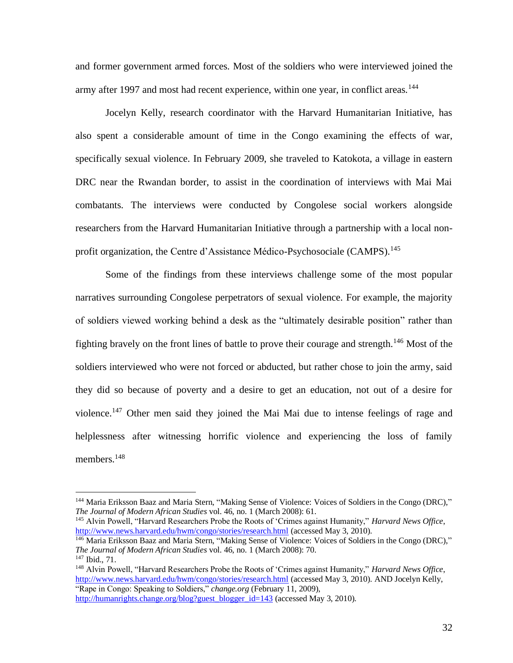and former government armed forces. Most of the soldiers who were interviewed joined the army after 1997 and most had recent experience, within one year, in conflict areas.<sup>144</sup>

Jocelyn Kelly, research coordinator with the Harvard Humanitarian Initiative, has also spent a considerable amount of time in the Congo examining the effects of war, specifically sexual violence. In February 2009, she traveled to Katokota, a village in eastern DRC near the Rwandan border, to assist in the coordination of interviews with Mai Mai combatants. The interviews were conducted by Congolese social workers alongside researchers from the Harvard Humanitarian Initiative through a partnership with a local nonprofit organization, the Centre d'Assistance Médico-Psychosociale (CAMPS).<sup>145</sup>

 Some of the findings from these interviews challenge some of the most popular narratives surrounding Congolese perpetrators of sexual violence. For example, the majority of soldiers viewed working behind a desk as the "ultimately desirable position" rather than fighting bravely on the front lines of battle to prove their courage and strength.<sup>146</sup> Most of the soldiers interviewed who were not forced or abducted, but rather chose to join the army, said they did so because of poverty and a desire to get an education, not out of a desire for violence.<sup>147</sup> Other men said they joined the Mai Mai due to intense feelings of rage and helplessness after witnessing horrific violence and experiencing the loss of family members.<sup>148</sup>

[http://humanrights.change.org/blog?guest\\_blogger\\_id=143](http://humanrights.change.org/blog?guest_blogger_id=143) (accessed May 3, 2010).

<sup>144</sup> [Maria Eriksson](http://search0.scholarsportal.info.ezproxy.uwindsor.ca/ids70/p_search_form.php?field=au&query=baaz+maria+eriksson&log=literal&SID=8a0074029ff2575b4019a46e4ca961b6) Baaz and Maria Stern, ["Making Sense of Violence: Voices of Soldiers in the Congo \(DRC\),](http://search0.scholarsportal.info.ezproxy.uwindsor.ca/ids70/view_record.php?id=9&recnum=49&log=from_res&SID=8a0074029ff2575b4019a46e4ca961b6)" *The Journal of Modern African Studies* vol. 46, no. 1 (March 2008): 61.

<sup>145</sup> Alvin Powell, "Harvard Researchers Probe the Roots of 'Crimes against Humanity," *Harvard News Office*, <http://www.news.harvard.edu/hwm/congo/stories/research.html> (accessed May 3, 2010).

<sup>&</sup>lt;sup>146</sup> [Maria Eriksson](http://search0.scholarsportal.info.ezproxy.uwindsor.ca/ids70/p_search_form.php?field=au&query=baaz+maria+eriksson&log=literal&SID=8a0074029ff2575b4019a46e4ca961b6) Baaz and Maria Stern, ["Making Sense of Violence: Voices of Soldiers in the Congo \(DRC\),](http://search0.scholarsportal.info.ezproxy.uwindsor.ca/ids70/view_record.php?id=9&recnum=49&log=from_res&SID=8a0074029ff2575b4019a46e4ca961b6)" *The Journal of Modern African Studies* vol. 46, no. 1 (March 2008): 70. <sup>147</sup> Ibid., 71.

<sup>148</sup> Alvin Powell, "Harvard Researchers Probe the Roots of 'Crimes against Humanity," *Harvard News Office*, <http://www.news.harvard.edu/hwm/congo/stories/research.html> (accessed May 3, 2010). AND Jocelyn Kelly, "Rape in Congo: Speaking to Soldiers," *change.org* (February 11, 2009),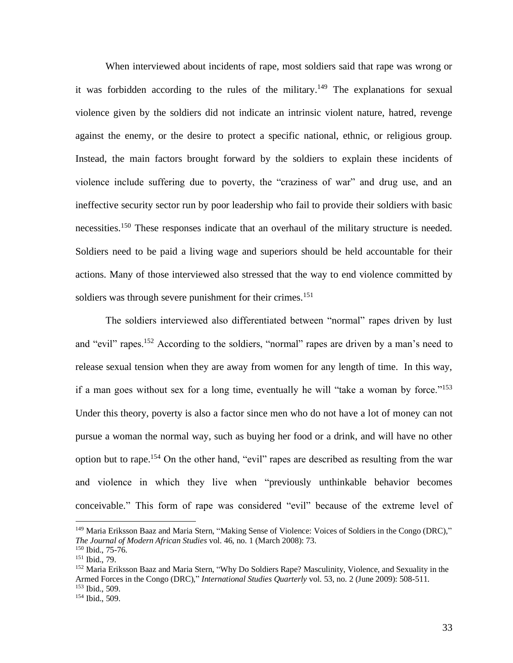When interviewed about incidents of rape, most soldiers said that rape was wrong or it was forbidden according to the rules of the military.<sup>149</sup> The explanations for sexual violence given by the soldiers did not indicate an intrinsic violent nature, hatred, revenge against the enemy, or the desire to protect a specific national, ethnic, or religious group. Instead, the main factors brought forward by the soldiers to explain these incidents of violence include suffering due to poverty, the "craziness of war" and drug use, and an ineffective security sector run by poor leadership who fail to provide their soldiers with basic necessities.<sup>150</sup> These responses indicate that an overhaul of the military structure is needed. Soldiers need to be paid a living wage and superiors should be held accountable for their actions. Many of those interviewed also stressed that the way to end violence committed by soldiers was through severe punishment for their crimes.<sup>151</sup>

The soldiers interviewed also differentiated between "normal" rapes driven by lust and "evil" rapes.<sup>152</sup> According to the soldiers, "normal" rapes are driven by a man's need to release sexual tension when they are away from women for any length of time. In this way, if a man goes without sex for a long time, eventually he will "take a woman by force."<sup>153</sup> Under this theory, poverty is also a factor since men who do not have a lot of money can not pursue a woman the normal way, such as buying her food or a drink, and will have no other option but to rape.<sup>154</sup> On the other hand, "evil" rapes are described as resulting from the war and violence in which they live when "previously unthinkable behavior becomes conceivable." This form of rape was considered "evil" because of the extreme level of

<sup>149</sup> [Maria Eriksson](http://search0.scholarsportal.info.ezproxy.uwindsor.ca/ids70/p_search_form.php?field=au&query=baaz+maria+eriksson&log=literal&SID=8a0074029ff2575b4019a46e4ca961b6) Baaz and Maria Stern, ["Making Sense of Violence: Voices of Soldiers in the Congo \(DRC\),](http://search0.scholarsportal.info.ezproxy.uwindsor.ca/ids70/view_record.php?id=9&recnum=49&log=from_res&SID=8a0074029ff2575b4019a46e4ca961b6)" *The Journal of Modern African Studies* vol. 46, no. 1 (March 2008): 73.

<sup>150</sup> Ibid., 75-76.

<sup>151</sup> Ibid., 79.

<sup>152</sup> [Maria Eriksson](http://search2.scholarsportal.info.ezproxy.uwindsor.ca/ids70/p_search_form.php?field=au&query=b+aaz+m+aria+e+riksson&log=literal&SID=6307c64bf81157c0e59d30b28859c685) Baaz and Maria Stern, ["Why Do Soldiers Rape? Masculinity, Violence, and Sexuality in the](http://search2.scholarsportal.info.ezproxy.uwindsor.ca/ids70/view_record.php?id=2&recnum=0&log=from_res&SID=6307c64bf81157c0e59d30b28859c685)  [Armed Forces in the Congo \(DRC\),](http://search2.scholarsportal.info.ezproxy.uwindsor.ca/ids70/view_record.php?id=2&recnum=0&log=from_res&SID=6307c64bf81157c0e59d30b28859c685)" *International Studies Quarterly* vol. 53, no. 2 (June 2009): 508-511. <sup>153</sup> Ibid., 509.

<sup>154</sup> Ibid., 509.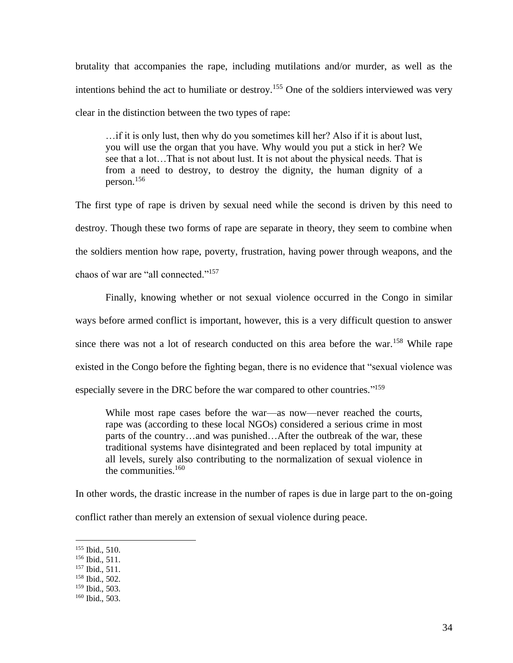brutality that accompanies the rape, including mutilations and/or murder, as well as the intentions behind the act to humiliate or destroy.<sup>155</sup> One of the soldiers interviewed was very clear in the distinction between the two types of rape:

…if it is only lust, then why do you sometimes kill her? Also if it is about lust, you will use the organ that you have. Why would you put a stick in her? We see that a lot…That is not about lust. It is not about the physical needs. That is from a need to destroy, to destroy the dignity, the human dignity of a person.<sup>156</sup>

The first type of rape is driven by sexual need while the second is driven by this need to destroy. Though these two forms of rape are separate in theory, they seem to combine when the soldiers mention how rape, poverty, frustration, having power through weapons, and the chaos of war are "all connected."<sup>157</sup>

Finally, knowing whether or not sexual violence occurred in the Congo in similar ways before armed conflict is important, however, this is a very difficult question to answer since there was not a lot of research conducted on this area before the war.<sup>158</sup> While rape existed in the Congo before the fighting began, there is no evidence that "sexual violence was especially severe in the DRC before the war compared to other countries."<sup>159</sup>

While most rape cases before the war—as now—never reached the courts, rape was (according to these local NGOs) considered a serious crime in most parts of the country…and was punished…After the outbreak of the war, these traditional systems have disintegrated and been replaced by total impunity at all levels, surely also contributing to the normalization of sexual violence in the communities. $160$ 

In other words, the drastic increase in the number of rapes is due in large part to the on-going conflict rather than merely an extension of sexual violence during peace.

<sup>155</sup> Ibid., 510.

<sup>156</sup> Ibid., 511.

<sup>157</sup> Ibid., 511.

<sup>158</sup> Ibid., 502.

<sup>159</sup> Ibid., 503.

<sup>160</sup> Ibid., 503.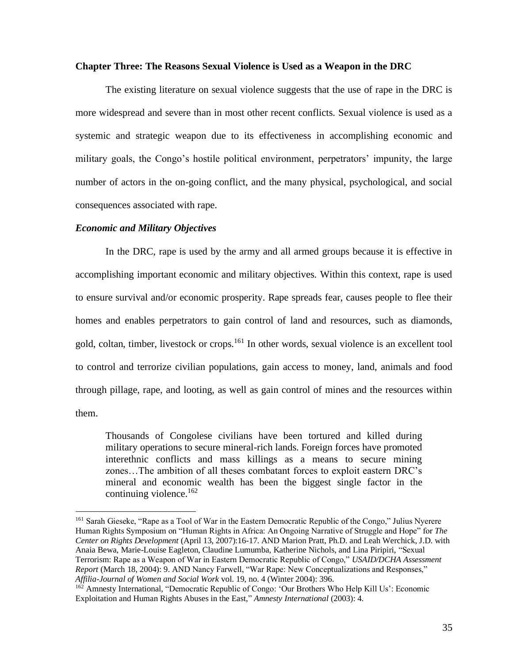## **Chapter Three: The Reasons Sexual Violence is Used as a Weapon in the DRC**

 The existing literature on sexual violence suggests that the use of rape in the DRC is more widespread and severe than in most other recent conflicts. Sexual violence is used as a systemic and strategic weapon due to its effectiveness in accomplishing economic and military goals, the Congo's hostile political environment, perpetrators' impunity, the large number of actors in the on-going conflict, and the many physical, psychological, and social consequences associated with rape.

## *Economic and Military Objectives*

In the DRC, rape is used by the army and all armed groups because it is effective in accomplishing important economic and military objectives. Within this context, rape is used to ensure survival and/or economic prosperity. Rape spreads fear, causes people to flee their homes and enables perpetrators to gain control of land and resources, such as diamonds, gold, coltan, timber, livestock or crops.<sup>161</sup> In other words, sexual violence is an excellent tool to control and terrorize civilian populations, gain access to money, land, animals and food through pillage, rape, and looting, as well as gain control of mines and the resources within them.

Thousands of Congolese civilians have been tortured and killed during military operations to secure mineral-rich lands. Foreign forces have promoted interethnic conflicts and mass killings as a means to secure mining zones…The ambition of all theses combatant forces to exploit eastern DRC's mineral and economic wealth has been the biggest single factor in the continuing violence. $162$ 

<sup>161</sup> Sarah Gieseke, "Rape as a Tool of War in the Eastern Democratic Republic of the Congo," Julius Nyerere Human Rights Symposium on "Human Rights in Africa: An Ongoing Narrative of Struggle and Hope" for *The Center on Rights Development* (April 13, 2007):16-17. AND Marion Pratt, Ph.D. and Leah Werchick, J.D. with Anaia Bewa, Marie-Louise Eagleton, Claudine Lumumba, Katherine Nichols, and Lina Piripiri, "Sexual Terrorism: Rape as a Weapon of War in Eastern Democratic Republic of Congo," *USAID/DCHA Assessment Report* (March 18, 2004): 9. AND Nancy Farwell, "War Rape: New Conceptualizations and Responses," *Affilia-Journal of Women and Social Work* vol. 19, no. 4 (Winter 2004): 396.

<sup>&</sup>lt;sup>162</sup> Amnesty International, "Democratic Republic of Congo: 'Our Brothers Who Help Kill Us': Economic Exploitation and Human Rights Abuses in the East," *Amnesty International* (2003): 4.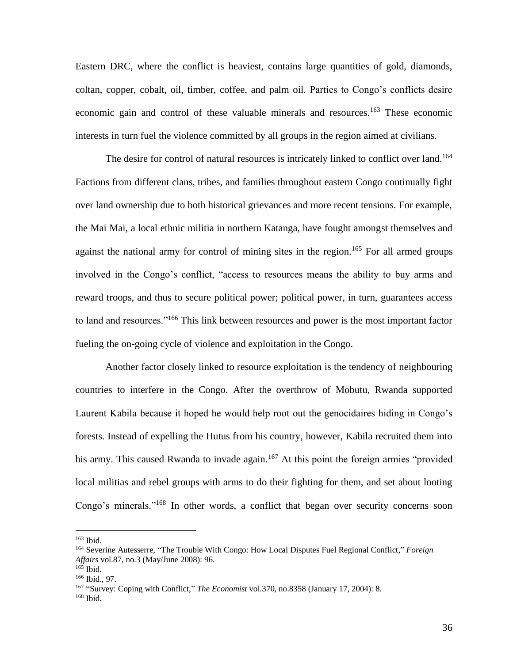Eastern DRC, where the conflict is heaviest, contains large quantities of gold, diamonds, coltan, copper, cobalt, oil, timber, coffee, and palm oil. Parties to Congo's conflicts desire economic gain and control of these valuable minerals and resources.<sup>163</sup> These economic interests in turn fuel the violence committed by all groups in the region aimed at civilians.

The desire for control of natural resources is intricately linked to conflict over land.<sup>164</sup> Factions from different clans, tribes, and families throughout eastern Congo continually fight over land ownership due to both historical grievances and more recent tensions. For example, the Mai Mai, a local ethnic militia in northern Katanga, have fought amongst themselves and against the national army for control of mining sites in the region.<sup>165</sup> For all armed groups involved in the Congo's conflict, "access to resources means the ability to buy arms and reward troops, and thus to secure political power; political power, in turn, guarantees access to land and resources."<sup>166</sup> This link between resources and power is the most important factor fueling the on-going cycle of violence and exploitation in the Congo.

 Another factor closely linked to resource exploitation is the tendency of neighbouring countries to interfere in the Congo. After the overthrow of Mobutu, Rwanda supported Laurent Kabila because it hoped he would help root out the genocidaires hiding in Congo's forests. Instead of expelling the Hutus from his country, however, Kabila recruited them into his army. This caused Rwanda to invade again.<sup>167</sup> At this point the foreign armies "provided local militias and rebel groups with arms to do their fighting for them, and set about looting Congo's minerals."<sup>168</sup> In other words, a conflict that began over security concerns soon

<sup>163</sup> Ibid.

<sup>164</sup> Severin[e Autesserre,](http://search0.scholarsportal.info.ezproxy.uwindsor.ca/ids70/p_search_form.php?field=au&query=autesserre+severine&log=literal&SID=8a0074029ff2575b4019a46e4ca961b6) ["The Trouble With Congo: How Local Disputes Fuel Regional Conflict,](http://search0.scholarsportal.info.ezproxy.uwindsor.ca/ids70/view_record.php?id=7&recnum=23&log=from_res&SID=8a0074029ff2575b4019a46e4ca961b6)" *Foreign Affairs* vol.87, no.3 (May/June 2008): 96.

<sup>165</sup> Ibid.

<sup>166</sup> Ibid., 97.

<sup>&</sup>lt;sup>167</sup> ["Survey: Coping with Conflict,"](http://search0.scholarsportal.info.ezproxy.uwindsor.ca/ids70/view_record.php?id=7&recnum=12&log=from_res&SID=8a0074029ff2575b4019a46e4ca961b6) *The Economist* vol.370, no.8358 (January 17, 2004): 8. <sup>168</sup> Ibid.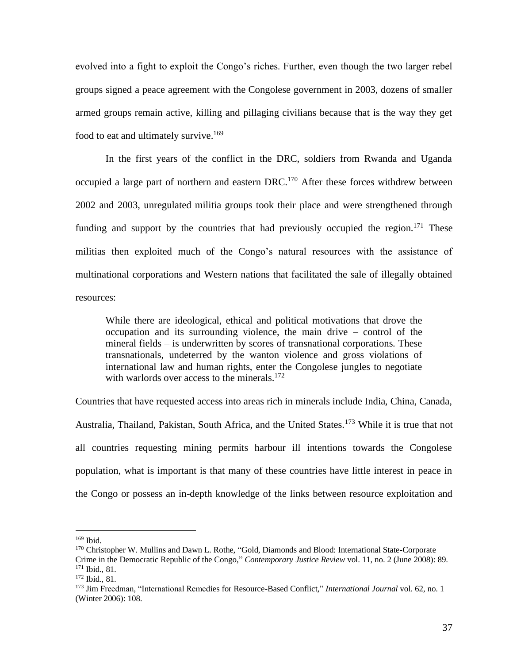evolved into a fight to exploit the Congo's riches. Further, even though the two larger rebel groups signed a peace agreement with the Congolese government in 2003, dozens of smaller armed groups remain active, killing and pillaging civilians because that is the way they get food to eat and ultimately survive.<sup>169</sup>

 In the first years of the conflict in the DRC, soldiers from Rwanda and Uganda occupied a large part of northern and eastern DRC.<sup>170</sup> After these forces withdrew between 2002 and 2003, unregulated militia groups took their place and were strengthened through funding and support by the countries that had previously occupied the region. $171$  These militias then exploited much of the Congo's natural resources with the assistance of multinational corporations and Western nations that facilitated the sale of illegally obtained resources:

While there are ideological, ethical and political motivations that drove the occupation and its surrounding violence, the main drive – control of the mineral fields – is underwritten by scores of transnational corporations. These transnationals, undeterred by the wanton violence and gross violations of international law and human rights, enter the Congolese jungles to negotiate with warlords over access to the minerals.<sup>172</sup>

Countries that have requested access into areas rich in minerals include India, China, Canada, Australia, Thailand, Pakistan, South Africa, and the United States.<sup>173</sup> While it is true that not all countries requesting mining permits harbour ill intentions towards the Congolese population, what is important is that many of these countries have little interest in peace in the Congo or possess an in-depth knowledge of the links between resource exploitation and

<sup>169</sup> Ibid.

<sup>170</sup> [Christopher W.](http://search0.scholarsportal.info.ezproxy.uwindsor.ca/ids70/p_search_form.php?field=au&query=mullins+christopher+w&log=literal&SID=8a0074029ff2575b4019a46e4ca961b6) Mullins and Dawn L. Rothe, ["Gold, Diamonds and Blood: International State-Corporate](http://search0.scholarsportal.info.ezproxy.uwindsor.ca/ids70/view_record.php?id=3&recnum=36&log=from_res&SID=8a0074029ff2575b4019a46e4ca961b6)  [Crime in the Democratic Republic of the Congo,](http://search0.scholarsportal.info.ezproxy.uwindsor.ca/ids70/view_record.php?id=3&recnum=36&log=from_res&SID=8a0074029ff2575b4019a46e4ca961b6)" *Contemporary Justice Review* vol. 11, no. 2 (June 2008): 89. <sup>171</sup> Ibid., 81.

<sup>172</sup> Ibid., 81.

<sup>173</sup> Jim Freedman, "International Remedies for Resource-Based Conflict," *International Journal* vol. 62, no. 1 (Winter 2006): 108.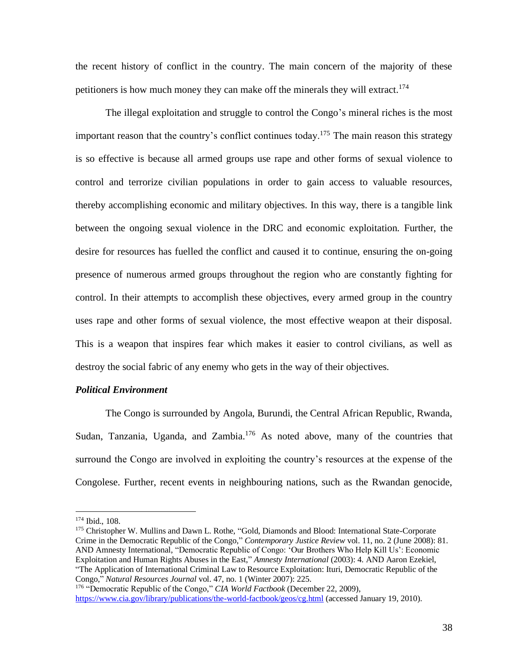the recent history of conflict in the country. The main concern of the majority of these petitioners is how much money they can make off the minerals they will extract.<sup>174</sup>

 The illegal exploitation and struggle to control the Congo's mineral riches is the most important reason that the country's conflict continues today.<sup>175</sup> The main reason this strategy is so effective is because all armed groups use rape and other forms of sexual violence to control and terrorize civilian populations in order to gain access to valuable resources, thereby accomplishing economic and military objectives. In this way, there is a tangible link between the ongoing sexual violence in the DRC and economic exploitation. Further, the desire for resources has fuelled the conflict and caused it to continue, ensuring the on-going presence of numerous armed groups throughout the region who are constantly fighting for control. In their attempts to accomplish these objectives, every armed group in the country uses rape and other forms of sexual violence, the most effective weapon at their disposal. This is a weapon that inspires fear which makes it easier to control civilians, as well as destroy the social fabric of any enemy who gets in the way of their objectives.

#### *Political Environment*

The Congo is surrounded by Angola, Burundi, the Central African Republic, Rwanda, Sudan, Tanzania, Uganda, and Zambia.<sup>176</sup> As noted above, many of the countries that surround the Congo are involved in exploiting the country's resources at the expense of the Congolese. Further, recent events in neighbouring nations, such as the Rwandan genocide,

<sup>175</sup> [Christopher W.](http://search0.scholarsportal.info.ezproxy.uwindsor.ca/ids70/p_search_form.php?field=au&query=mullins+christopher+w&log=literal&SID=8a0074029ff2575b4019a46e4ca961b6) Mullins and Dawn L. Rothe, "Gold, Diamonds and Blood: International State-Corporate [Crime in the Democratic Republic of the Congo,](http://search0.scholarsportal.info.ezproxy.uwindsor.ca/ids70/view_record.php?id=3&recnum=36&log=from_res&SID=8a0074029ff2575b4019a46e4ca961b6)" *Contemporary Justice Review* vol. 11, no. 2 (June 2008): 81. AND Amnesty International, "Democratic Republic of Congo: 'Our Brothers Who Help Kill Us': Economic Exploitation and Human Rights Abuses in the East," *Amnesty International* (2003): 4. AND Aaron Ezekiel, ["The Application of International Criminal Law to Resource Exploitation: Ituri, Democratic Republic of the](http://search0.scholarsportal.info.ezproxy.uwindsor.ca/ids70/view_record.php?id=3&recnum=1&log=from_res&SID=8a0074029ff2575b4019a46e4ca961b6)  [Congo,](http://search0.scholarsportal.info.ezproxy.uwindsor.ca/ids70/view_record.php?id=3&recnum=1&log=from_res&SID=8a0074029ff2575b4019a46e4ca961b6)" *Natural Resources Journal* vol. 47, no. 1 (Winter 2007): 225.

<sup>174</sup> Ibid., 108.

<sup>176</sup> "Democratic Republic of the Congo," *CIA World Factbook* (December 22, 2009), <https://www.cia.gov/library/publications/the-world-factbook/geos/cg.html> (accessed January 19, 2010).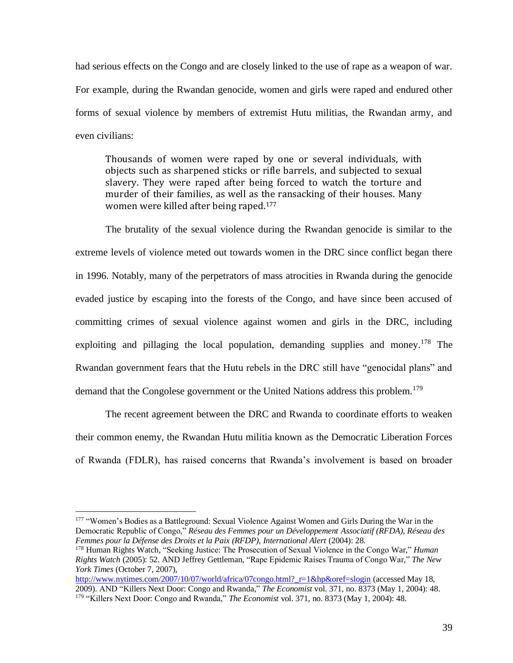had serious effects on the Congo and are closely linked to the use of rape as a weapon of war. For example, during the Rwandan genocide, women and girls were raped and endured other forms of sexual violence by members of extremist Hutu militias, the Rwandan army, and even civilians:

Thousands of women were raped by one or several individuals, with objects such as sharpened sticks or rifle barrels, and subjected to sexual slavery. They were raped after being forced to watch the torture and murder of their families, as well as the ransacking of their houses. Many women were killed after being raped.<sup>177</sup>

 The brutality of the sexual violence during the Rwandan genocide is similar to the extreme levels of violence meted out towards women in the DRC since conflict began there in 1996. Notably, many of the perpetrators of mass atrocities in Rwanda during the genocide evaded justice by escaping into the forests of the Congo, and have since been accused of committing crimes of sexual violence against women and girls in the DRC, including exploiting and pillaging the local population, demanding supplies and money.<sup>178</sup> The Rwandan government fears that the Hutu rebels in the DRC still have "genocidal plans" and demand that the Congolese government or the United Nations address this problem.<sup>179</sup>

The recent agreement between the DRC and Rwanda to coordinate efforts to weaken their common enemy, the Rwandan Hutu militia known as the Democratic Liberation Forces of Rwanda (FDLR), has raised concerns that Rwanda's involvement is based on broader

<sup>&</sup>lt;sup>177</sup> "Women's Bodies as a Battleground: Sexual Violence Against Women and Girls During the War in the Democratic Republic of Congo," *Réseau des Femmes pour un Développement Associatif (RFDA), Réseau des Femmes pour la Défense des Droits et la Paix (RFDP), International Alert* (2004): 28.

<sup>178</sup> Human Rights Watch, "Seeking Justice: The Prosecution of Sexual Violence in the Congo War," *Human Rights Watch* (2005): 52. AND Jeffrey Gettleman, "Rape Epidemic Raises Trauma of Congo War," *The New York Times* (October 7, 2007),

[http://www.nytimes.com/2007/10/07/world/africa/07congo.html?\\_r=1&hp&oref=slogin](http://www.nytimes.com/2007/10/07/world/africa/07congo.html?_r=1&hp&oref=slogin) (accessed May 18, 2009). AND "Killers Next Door: Congo and Rwanda," *The Economist* vol. 371, no. 8373 (May 1, 2004): 48. <sup>179</sup> "Killers Next Door: Congo and Rwanda," *The Economist* vol. 371, no. 8373 (May 1, 2004): 48.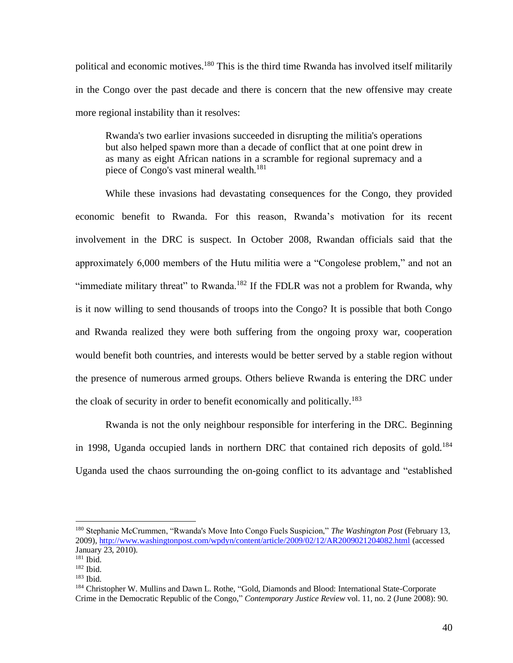political and economic motives.<sup>180</sup> This is the third time Rwanda has involved itself militarily in the Congo over the past decade and there is concern that the new offensive may create more regional instability than it resolves:

Rwanda's two earlier invasions succeeded in disrupting the militia's operations but also helped spawn more than a decade of conflict that at one point drew in as many as eight African nations in a scramble for regional supremacy and a piece of Congo's vast mineral wealth.<sup>181</sup>

 While these invasions had devastating consequences for the Congo, they provided economic benefit to Rwanda. For this reason, Rwanda's motivation for its recent involvement in the DRC is suspect. In October 2008, Rwandan officials said that the approximately 6,000 members of the Hutu militia were a "Congolese problem," and not an "immediate military threat" to Rwanda.<sup>182</sup> If the FDLR was not a problem for Rwanda, why is it now willing to send thousands of troops into the Congo? It is possible that both Congo and Rwanda realized they were both suffering from the ongoing proxy war, cooperation would benefit both countries, and interests would be better served by a stable region without the presence of numerous armed groups. Others believe Rwanda is entering the DRC under the cloak of security in order to benefit economically and politically.<sup>183</sup>

 Rwanda is not the only neighbour responsible for interfering in the DRC. Beginning in 1998, Uganda occupied lands in northern DRC that contained rich deposits of gold.<sup>184</sup> Uganda used the chaos surrounding the on-going conflict to its advantage and "established

<sup>180</sup> Stephanie McCrummen, "Rwanda's Move Into Congo Fuels Suspicion," *The Washington Post* (February 13, 2009), <http://www.washingtonpost.com/wpdyn/content/article/2009/02/12/AR2009021204082.html> (accessed January 23, 2010).

<sup>181</sup> Ibid.

<sup>182</sup> Ibid.

<sup>183</sup> Ibid.

<sup>184</sup> [Christopher W.](http://search0.scholarsportal.info.ezproxy.uwindsor.ca/ids70/p_search_form.php?field=au&query=mullins+christopher+w&log=literal&SID=8a0074029ff2575b4019a46e4ca961b6) Mullins and Dawn L. Rothe, ["Gold, Diamonds and Blood: International State-Corporate](http://search0.scholarsportal.info.ezproxy.uwindsor.ca/ids70/view_record.php?id=3&recnum=36&log=from_res&SID=8a0074029ff2575b4019a46e4ca961b6)  [Crime in the Democratic Republic of the Congo,](http://search0.scholarsportal.info.ezproxy.uwindsor.ca/ids70/view_record.php?id=3&recnum=36&log=from_res&SID=8a0074029ff2575b4019a46e4ca961b6)" *Contemporary Justice Review* vol. 11, no. 2 (June 2008): 90.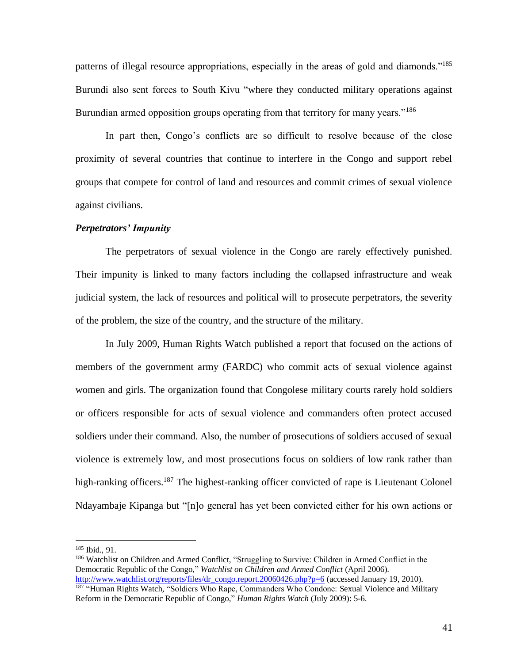patterns of illegal resource appropriations, especially in the areas of gold and diamonds."<sup>185</sup> Burundi also sent forces to South Kivu "where they conducted military operations against Burundian armed opposition groups operating from that territory for many years."<sup>186</sup>

 In part then, Congo's conflicts are so difficult to resolve because of the close proximity of several countries that continue to interfere in the Congo and support rebel groups that compete for control of land and resources and commit crimes of sexual violence against civilians.

## *Perpetrators' Impunity*

The perpetrators of sexual violence in the Congo are rarely effectively punished. Their impunity is linked to many factors including the collapsed infrastructure and weak judicial system, the lack of resources and political will to prosecute perpetrators, the severity of the problem, the size of the country, and the structure of the military.

 In July 2009, Human Rights Watch published a report that focused on the actions of members of the government army (FARDC) who commit acts of sexual violence against women and girls. The organization found that Congolese military courts rarely hold soldiers or officers responsible for acts of sexual violence and commanders often protect accused soldiers under their command. Also, the number of prosecutions of soldiers accused of sexual violence is extremely low, and most prosecutions focus on soldiers of low rank rather than high-ranking officers.<sup>187</sup> The highest-ranking officer convicted of rape is Lieutenant Colonel Ndayambaje Kipanga but "[n]o general has yet been convicted either for his own actions or

<sup>185</sup> Ibid., 91.

<sup>186</sup> Watchlist on Children and Armed Conflict, "Struggling to Survive: Children in Armed Conflict in the Democratic Republic of the Congo," *Watchlist on Children and Armed Conflict* (April 2006). [http://www.watchlist.org/reports/files/dr\\_congo.report.20060426.php?p=6](http://www.watchlist.org/reports/files/dr_congo.report.20060426.php?p=6) (accessed January 19, 2010).

<sup>&</sup>lt;sup>187</sup> "Human Rights Watch, "Soldiers Who Rape, Commanders Who Condone: Sexual Violence and Military Reform in the Democratic Republic of Congo," *Human Rights Watch* (July 2009): 5-6.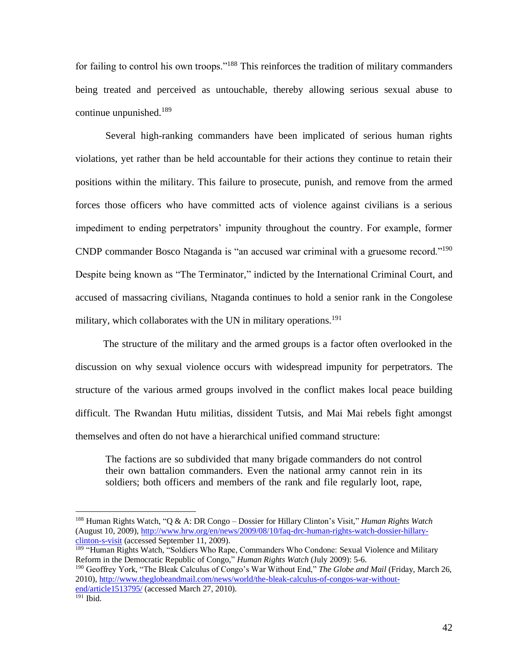for failing to control his own troops."<sup>188</sup> This reinforces the tradition of military commanders being treated and perceived as untouchable, thereby allowing serious sexual abuse to continue unpunished. $189$ 

 Several high-ranking commanders have been implicated of serious human rights violations, yet rather than be held accountable for their actions they continue to retain their positions within the military. This failure to prosecute, punish, and remove from the armed forces those officers who have committed acts of violence against civilians is a serious impediment to ending perpetrators' impunity throughout the country. For example, former CNDP commander Bosco Ntaganda is "an accused war criminal with a gruesome record."<sup>190</sup> Despite being known as "The Terminator," indicted by the International Criminal Court, and accused of massacring civilians, Ntaganda continues to hold a senior rank in the Congolese military, which collaborates with the UN in military operations.<sup>191</sup>

 The structure of the military and the armed groups is a factor often overlooked in the discussion on why sexual violence occurs with widespread impunity for perpetrators. The structure of the various armed groups involved in the conflict makes local peace building difficult. The Rwandan Hutu militias, dissident Tutsis, and Mai Mai rebels fight amongst themselves and often do not have a hierarchical unified command structure:

The factions are so subdivided that many brigade commanders do not control their own battalion commanders. Even the national army cannot rein in its soldiers; both officers and members of the rank and file regularly loot, rape,

<sup>190</sup> Geoffrey York, "The Bleak Calculus of Congo's War Without End," *The Globe and Mail* (Friday, March 26, 2010)[, http://www.theglobeandmail.com/news/world/the-bleak-calculus-of-congos-war-without](http://www.theglobeandmail.com/news/world/the-bleak-calculus-of-congos-war-without-end/article1513795/)[end/article1513795/](http://www.theglobeandmail.com/news/world/the-bleak-calculus-of-congos-war-without-end/article1513795/) (accessed March 27, 2010).

<sup>188</sup> Human Rights Watch, "Q & A: DR Congo – [Dossier for Hillary Clinton's Visit,](http://www.hrw.org/en/news/2009/08/10/faq-drc-human-rights-watch-dossier-hillary-clinton-s-visit)" *Human Rights Watch*  (August 10, 2009), [http://www.hrw.org/en/news/2009/08/10/faq-drc-human-rights-watch-dossier-hillary](http://www.hrw.org/en/news/2009/08/10/faq-drc-human-rights-watch-dossier-hillary-clinton-s-visit)[clinton-s-visit](http://www.hrw.org/en/news/2009/08/10/faq-drc-human-rights-watch-dossier-hillary-clinton-s-visit) (accessed September 11, 2009).

<sup>&</sup>lt;sup>189</sup> "Human Rights Watch, "Soldiers Who Rape, Commanders Who Condone: Sexual Violence and Military Reform in the Democratic Republic of Congo," *Human Rights Watch* (July 2009): 5-6.

 $191$  Ibid.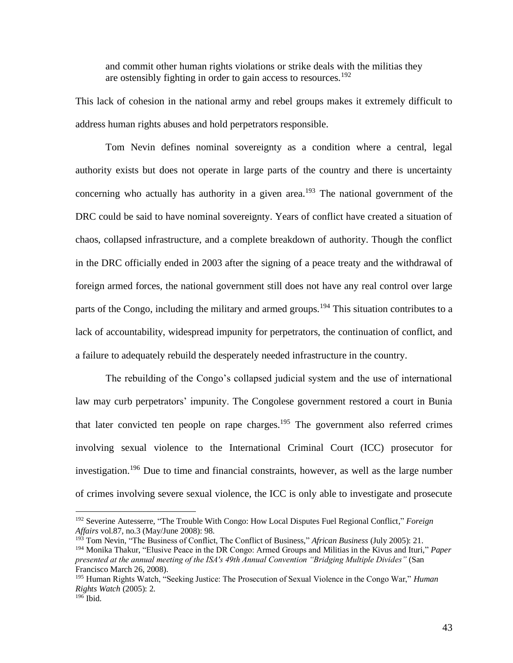and commit other human rights violations or strike deals with the militias they are ostensibly fighting in order to gain access to resources.<sup>192</sup>

This lack of cohesion in the national army and rebel groups makes it extremely difficult to address human rights abuses and hold perpetrators responsible.

 Tom Nevin defines nominal sovereignty as a condition where a central, legal authority exists but does not operate in large parts of the country and there is uncertainty concerning who actually has authority in a given area.<sup>193</sup> The national government of the DRC could be said to have nominal sovereignty. Years of conflict have created a situation of chaos, collapsed infrastructure, and a complete breakdown of authority. Though the conflict in the DRC officially ended in 2003 after the signing of a peace treaty and the withdrawal of foreign armed forces, the national government still does not have any real control over large parts of the Congo, including the military and armed groups.<sup>194</sup> This situation contributes to a lack of accountability, widespread impunity for perpetrators, the continuation of conflict, and a failure to adequately rebuild the desperately needed infrastructure in the country.

 The rebuilding of the Congo's collapsed judicial system and the use of international law may curb perpetrators' impunity. The Congolese government restored a court in Bunia that later convicted ten people on rape charges.<sup>195</sup> The government also referred crimes involving sexual violence to the International Criminal Court (ICC) prosecutor for investigation.<sup>196</sup> Due to time and financial constraints, however, as well as the large number of crimes involving severe sexual violence, the ICC is only able to investigate and prosecute

<sup>192</sup> Severin[e Autesserre,](http://search0.scholarsportal.info.ezproxy.uwindsor.ca/ids70/p_search_form.php?field=au&query=autesserre+severine&log=literal&SID=8a0074029ff2575b4019a46e4ca961b6) ["The Trouble With Congo: How Local Disputes Fuel Regional Conflict,](http://search0.scholarsportal.info.ezproxy.uwindsor.ca/ids70/view_record.php?id=7&recnum=23&log=from_res&SID=8a0074029ff2575b4019a46e4ca961b6)" *Foreign Affairs* vol.87, no.3 (May/June 2008): 98.

<sup>193</sup> To[m Nevin, "](http://search0.scholarsportal.info.ezproxy.uwindsor.ca/ids70/p_search_form.php?field=au&query=nevin+tom&log=literal&SID=8a0074029ff2575b4019a46e4ca961b6)The Business of Conflict, The Conflict of Business," *African Business* (July 2005): 21.

<sup>194</sup> Monika Thakur, "Elusive Peace in the DR Congo: Armed Groups and Militias in the Kivus and Ituri," *Paper presented at the annual meeting of the ISA's 49th Annual Convention "Bridging Multiple Divides"* (San Francisco March 26, 2008).

<sup>195</sup> Human Rights Watch, "Seeking Justice: The Prosecution of Sexual Violence in the Congo War," *Human Rights Watch* (2005): 2.

 $196$  Ibid.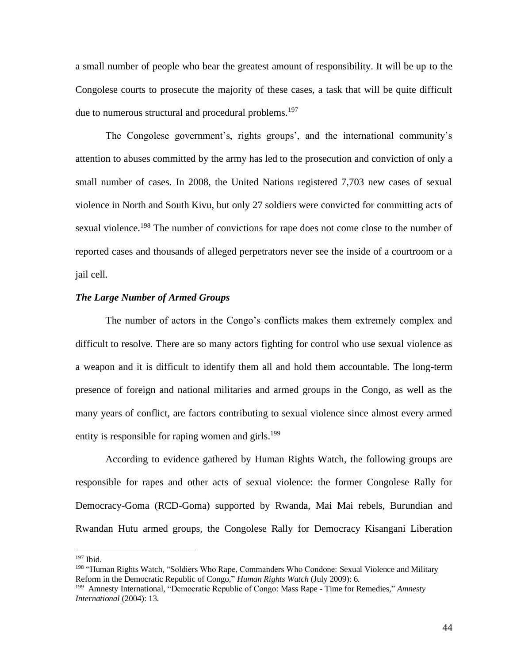a small number of people who bear the greatest amount of responsibility. It will be up to the Congolese courts to prosecute the majority of these cases, a task that will be quite difficult due to numerous structural and procedural problems.<sup>197</sup>

 The Congolese government's, rights groups', and the international community's attention to abuses committed by the army has led to the prosecution and conviction of only a small number of cases. In 2008, the United Nations registered 7,703 new cases of sexual violence in North and South Kivu, but only 27 soldiers were convicted for committing acts of sexual violence.<sup>198</sup> The number of convictions for rape does not come close to the number of reported cases and thousands of alleged perpetrators never see the inside of a courtroom or a jail cell.

# *The Large Number of Armed Groups*

 The number of actors in the Congo's conflicts makes them extremely complex and difficult to resolve. There are so many actors fighting for control who use sexual violence as a weapon and it is difficult to identify them all and hold them accountable. The long-term presence of foreign and national militaries and armed groups in the Congo, as well as the many years of conflict, are factors contributing to sexual violence since almost every armed entity is responsible for raping women and girls.<sup>199</sup>

 According to evidence gathered by Human Rights Watch, the following groups are responsible for rapes and other acts of sexual violence: the former Congolese Rally for Democracy-Goma (RCD-Goma) supported by Rwanda, Mai Mai rebels, Burundian and Rwandan Hutu armed groups, the Congolese Rally for Democracy Kisangani Liberation

<sup>197</sup> Ibid.

<sup>&</sup>lt;sup>198</sup> "Human Rights Watch, "Soldiers Who Rape, Commanders Who Condone: Sexual Violence and Military Reform in the Democratic Republic of Congo," *Human Rights Watch* (July 2009): 6.

<sup>199</sup> Amnesty International, "Democratic Republic of Congo: Mass Rape - Time for Remedies," *Amnesty International* (2004): 13.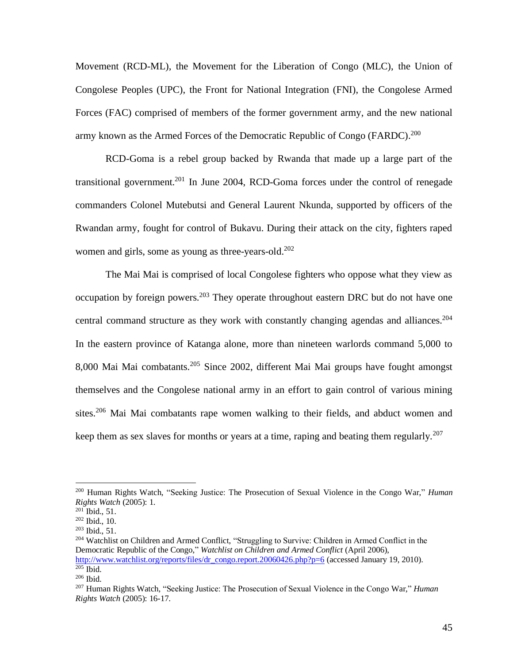Movement (RCD-ML), the Movement for the Liberation of Congo (MLC), the Union of Congolese Peoples (UPC), the Front for National Integration (FNI), the Congolese Armed Forces (FAC) comprised of members of the former government army, and the new national army known as the Armed Forces of the Democratic Republic of Congo (FARDC).<sup>200</sup>

 RCD-Goma is a rebel group backed by Rwanda that made up a large part of the transitional government.<sup>201</sup> In June 2004, RCD-Goma forces under the control of renegade commanders Colonel Mutebutsi and General Laurent Nkunda, supported by officers of the Rwandan army, fought for control of Bukavu. During their attack on the city, fighters raped women and girls, some as young as three-years-old.<sup>202</sup>

 The Mai Mai is comprised of local Congolese fighters who oppose what they view as occupation by foreign powers.<sup>203</sup> They operate throughout eastern DRC but do not have one central command structure as they work with constantly changing agendas and alliances.<sup>204</sup> In the eastern province of Katanga alone, more than nineteen warlords command 5,000 to 8,000 Mai Mai combatants.<sup>205</sup> Since 2002, different Mai Mai groups have fought amongst themselves and the Congolese national army in an effort to gain control of various mining sites.<sup>206</sup> Mai Mai combatants rape women walking to their fields, and abduct women and keep them as sex slaves for months or years at a time, raping and beating them regularly.<sup>207</sup>

<sup>200</sup> Human Rights Watch, "Seeking Justice: The Prosecution of Sexual Violence in the Congo War," *Human Rights Watch* (2005): 1.

 $^{201}$  Ibid., 51.

<sup>202</sup> Ibid., 10.

<sup>203</sup> Ibid., 51.

<sup>&</sup>lt;sup>204</sup> Watchlist on Children and Armed Conflict, "Struggling to Survive: Children in Armed Conflict in the Democratic Republic of the Congo," *Watchlist on Children and Armed Conflict* (April 2006), [http://www.watchlist.org/reports/files/dr\\_congo.report.20060426.php?p=6](http://www.watchlist.org/reports/files/dr_congo.report.20060426.php?p=6) (accessed January 19, 2010).  $205$  Ibid.

<sup>206</sup> Ibid.

<sup>207</sup> Human Rights Watch, "Seeking Justice: The Prosecution of Sexual Violence in the Congo War," *Human Rights Watch* (2005): 16-17.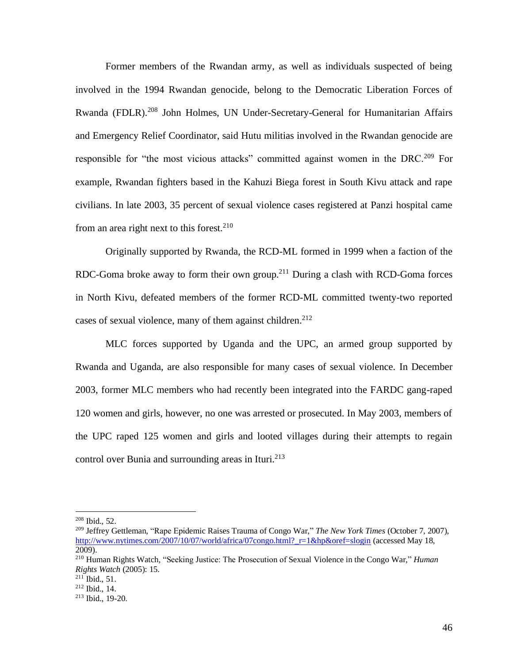Former members of the Rwandan army, as well as individuals suspected of being involved in the 1994 Rwandan genocide, belong to the Democratic Liberation Forces of Rwanda (FDLR).<sup>208</sup> John Holmes, UN Under-Secretary-General for Humanitarian Affairs and Emergency Relief Coordinator, said Hutu militias involved in the Rwandan genocide are responsible for "the most vicious attacks" committed against women in the DRC.<sup>209</sup> For example, Rwandan fighters based in the Kahuzi Biega forest in South Kivu attack and rape civilians. In late 2003, 35 percent of sexual violence cases registered at Panzi hospital came from an area right next to this forest.<sup>210</sup>

 Originally supported by Rwanda, the RCD-ML formed in 1999 when a faction of the RDC-Goma broke away to form their own group.<sup>211</sup> During a clash with RCD-Goma forces in North Kivu, defeated members of the former RCD-ML committed twenty-two reported cases of sexual violence, many of them against children.<sup>212</sup>

 MLC forces supported by Uganda and the UPC, an armed group supported by Rwanda and Uganda, are also responsible for many cases of sexual violence. In December 2003, former MLC members who had recently been integrated into the FARDC gang-raped 120 women and girls, however, no one was arrested or prosecuted. In May 2003, members of the UPC raped 125 women and girls and looted villages during their attempts to regain control over Bunia and surrounding areas in Ituri.<sup>213</sup>

<sup>208</sup> Ibid., 52.

<sup>209</sup> Jeffrey Gettleman, "Rape Epidemic Raises Trauma of Congo War," *The New York Times* (October 7, 2007), http://www.nytimes.com/2007/10/07/world/africa/07congo.html? r=1&hp&oref=slogin (accessed May 18, 2009).

<sup>210</sup> Human Rights Watch, "Seeking Justice: The Prosecution of Sexual Violence in the Congo War," *Human Rights Watch* (2005): 15.

 $^{211}$  Ibid., 51.

<sup>212</sup> Ibid., 14.

<sup>213</sup> Ibid., 19-20.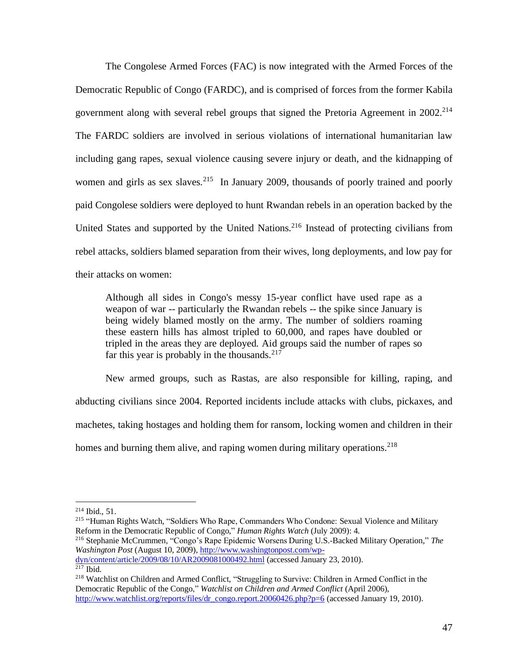The Congolese Armed Forces (FAC) is now integrated with the Armed Forces of the Democratic Republic of Congo (FARDC), and is comprised of forces from the former Kabila government along with several rebel groups that signed the Pretoria Agreement in  $2002<sup>214</sup>$ The FARDC soldiers are involved in serious violations of international humanitarian law including gang rapes, sexual violence causing severe injury or death, and the kidnapping of women and girls as sex slaves.<sup>215</sup> In January 2009, thousands of poorly trained and poorly paid Congolese soldiers were deployed to hunt Rwandan rebels in an operation backed by the United States and supported by the United Nations.<sup>216</sup> Instead of protecting civilians from rebel attacks, soldiers blamed separation from their wives, long deployments, and low pay for their attacks on women:

Although all sides in Congo's messy 15-year conflict have used rape as a weapon of war -- particularly the Rwandan rebels -- the spike since January is being widely blamed mostly on the army. The number of soldiers roaming these eastern hills has almost tripled to 60,000, and rapes have doubled or tripled in the areas they are deployed. Aid groups said the number of rapes so far this year is probably in the thousands. $217$ 

 New armed groups, such as Rastas, are also responsible for killing, raping, and abducting civilians since 2004. Reported incidents include attacks with clubs, pickaxes, and machetes, taking hostages and holding them for ransom, locking women and children in their homes and burning them alive, and raping women during military operations.<sup>218</sup>

[dyn/content/article/2009/08/10/AR2009081000492.html](http://www.washingtonpost.com/wp-dyn/content/article/2009/08/10/AR2009081000492.html) (accessed January 23, 2010).  $217$  Ibid.

 $214$  Ibid.,  $51$ .

<sup>&</sup>lt;sup>215</sup> "Human Rights Watch, "Soldiers Who Rape, Commanders Who Condone: Sexual Violence and Military Reform in the Democratic Republic of Congo," *Human Rights Watch* (July 2009): 4.

<sup>216</sup> Stephanie McCrummen, "Congo's Rape Epidemic Worsens During U.S.-Backed Military Operation," *The Washington Post* (August 10, 2009), [http://www.washingtonpost.com/wp-](http://www.washingtonpost.com/wp-dyn/content/article/2009/08/10/AR2009081000492.html)

<sup>218</sup> Watchlist on Children and Armed Conflict, "Struggling to Survive: Children in Armed Conflict in the Democratic Republic of the Congo," *Watchlist on Children and Armed Conflict* (April 2006), [http://www.watchlist.org/reports/files/dr\\_congo.report.20060426.php?p=6](http://www.watchlist.org/reports/files/dr_congo.report.20060426.php?p=6) (accessed January 19, 2010).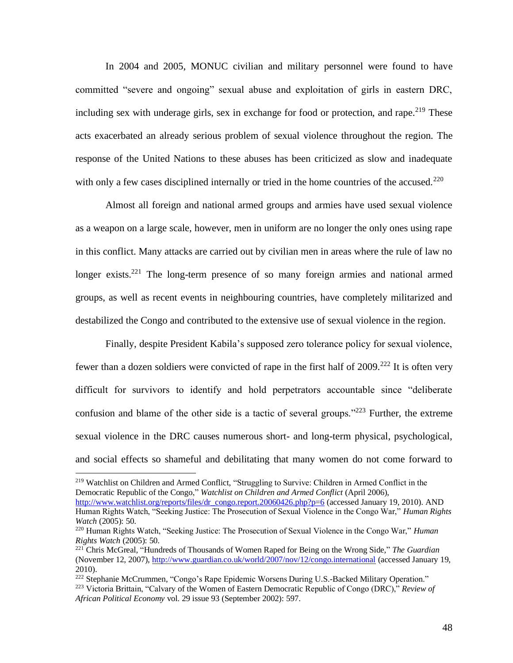In 2004 and 2005, MONUC civilian and military personnel were found to have committed "severe and ongoing" sexual abuse and exploitation of girls in eastern DRC, including sex with underage girls, sex in exchange for food or protection, and rape.<sup>219</sup> These acts exacerbated an already serious problem of sexual violence throughout the region. The response of the United Nations to these abuses has been criticized as slow and inadequate with only a few cases disciplined internally or tried in the home countries of the accused.<sup>220</sup>

Almost all foreign and national armed groups and armies have used sexual violence as a weapon on a large scale, however, men in uniform are no longer the only ones using rape in this conflict. Many attacks are carried out by civilian men in areas where the rule of law no longer exists.<sup>221</sup> The long-term presence of so many foreign armies and national armed groups, as well as recent events in neighbouring countries, have completely militarized and destabilized the Congo and contributed to the extensive use of sexual violence in the region.

Finally, despite President Kabila's supposed zero tolerance policy for sexual violence, fewer than a dozen soldiers were convicted of rape in the first half of  $2009$ <sup>222</sup> It is often very difficult for survivors to identify and hold perpetrators accountable since "deliberate confusion and blame of the other side is a tactic of several groups."<sup>223</sup> Further, the extreme sexual violence in the DRC causes numerous short- and long-term physical, psychological, and social effects so shameful and debilitating that many women do not come forward to

<sup>219</sup> Watchlist on Children and Armed Conflict, "Struggling to Survive: Children in Armed Conflict in the Democratic Republic of the Congo," *Watchlist on Children and Armed Conflict* (April 2006), [http://www.watchlist.org/reports/files/dr\\_congo.report.20060426.php?p=6](http://www.watchlist.org/reports/files/dr_congo.report.20060426.php?p=6) (accessed January 19, 2010). AND Human Rights Watch, "Seeking Justice: The Prosecution of Sexual Violence in the Congo War," *Human Rights Watch* (2005): 50.

<sup>220</sup> Human Rights Watch, "Seeking Justice: The Prosecution of Sexual Violence in the Congo War," *Human Rights Watch* (2005): 50.

<sup>221</sup> Chris McGreal, "Hundreds of Thousands of Women Raped for Being on the Wrong Side," *The Guardian*  (November 12, 2007), <http://www.guardian.co.uk/world/2007/nov/12/congo.international> (accessed January 19, 2010).

<sup>&</sup>lt;sup>222</sup> Stephanie McCrummen, "Congo's Rape Epidemic Worsens During U.S.-Backed Military Operation." <sup>223</sup> Victoria Brittain, "Calvary of the Women of Eastern Democratic Republic of Congo (DRC)," *Review of African Political Economy* vol. 29 issue 93 (September 2002): 597.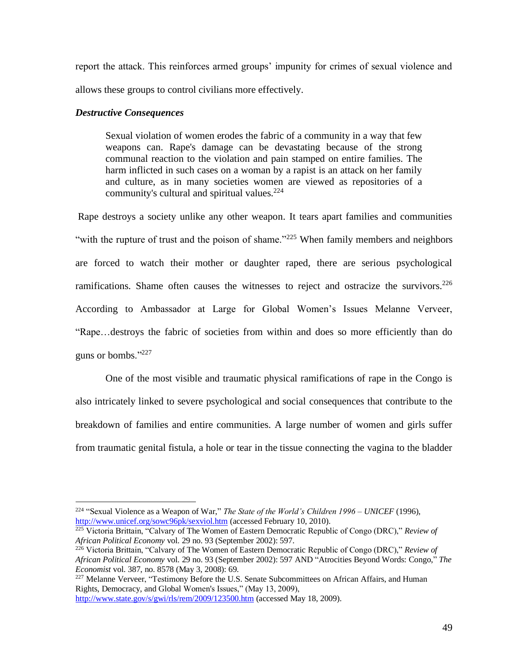report the attack. This reinforces armed groups' impunity for crimes of sexual violence and allows these groups to control civilians more effectively.

## *Destructive Consequences*

Sexual violation of women erodes the fabric of a community in a way that few weapons can. Rape's damage can be devastating because of the strong communal reaction to the violation and pain stamped on entire families. The harm inflicted in such cases on a woman by a rapist is an attack on her family and culture, as in many societies women are viewed as repositories of a community's cultural and spiritual values.<sup>224</sup>

Rape destroys a society unlike any other weapon. It tears apart families and communities "with the rupture of trust and the poison of shame."<sup>225</sup> When family members and neighbors are forced to watch their mother or daughter raped, there are serious psychological ramifications. Shame often causes the witnesses to reject and ostracize the survivors.<sup>226</sup> According to Ambassador at Large for Global Women's Issues Melanne Verveer, "Rape…destroys the fabric of societies from within and does so more efficiently than do guns or bombs."<sup>227</sup>

 One of the most visible and traumatic physical ramifications of rape in the Congo is also intricately linked to severe psychological and social consequences that contribute to the breakdown of families and entire communities. A large number of women and girls suffer from traumatic genital fistula, a hole or tear in the tissue connecting the vagina to the bladder

<sup>227</sup> Melanne Verveer, "Testimony Before the U.S. Senate Subcommittees on African Affairs, and Human Rights, Democracy, and Global Women's Issues," (May 13, 2009),

<http://www.state.gov/s/gwi/rls/rem/2009/123500.htm> (accessed May 18, 2009).

<sup>224</sup> "Sexual Violence as a Weapon of War," *The State of the World's Children 1996 – UNICEF* (1996), <http://www.unicef.org/sowc96pk/sexviol.htm> (accessed February 10, 2010).

<sup>&</sup>lt;sup>225</sup> Victoria Brittain, "Calvary of The Women of Eastern Democratic Republic of Congo (DRC)," *Review of African Political Economy* vol. 29 no. 93 (September 2002): 597.

<sup>226</sup> Victoria Brittain, "Calvary of The Women of Eastern Democratic Republic of Congo (DRC)," *Review of African Political Economy* vol. 29 no. 93 (September 2002): 597 AND "Atrocities Beyond Words: Congo," *The Economist* vol. 387, no. 8578 (May 3, 2008): 69.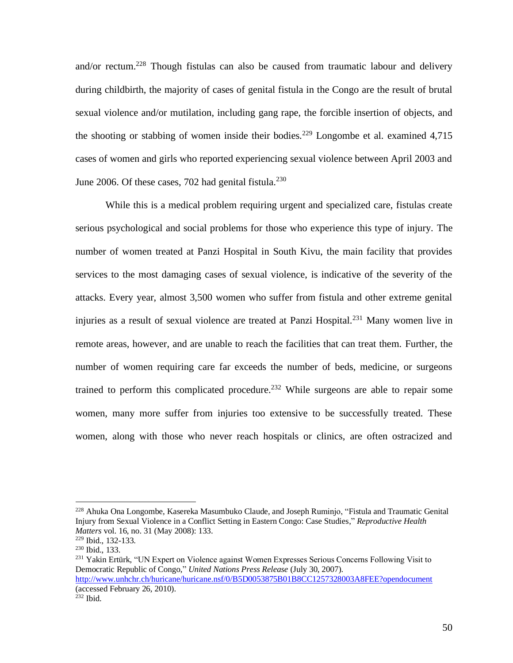and/or rectum.<sup>228</sup> Though fistulas can also be caused from traumatic labour and delivery during childbirth, the majority of cases of genital fistula in the Congo are the result of brutal sexual violence and/or mutilation, including gang rape, the forcible insertion of objects, and the shooting or stabbing of women inside their bodies.<sup>229</sup> Longombe et al. examined  $4,715$ cases of women and girls who reported experiencing sexual violence between April 2003 and June 2006. Of these cases, 702 had genital fistula. $^{230}$ 

 While this is a medical problem requiring urgent and specialized care, fistulas create serious psychological and social problems for those who experience this type of injury. The number of women treated at Panzi Hospital in South Kivu, the main facility that provides services to the most damaging cases of sexual violence, is indicative of the severity of the attacks. Every year, almost 3,500 women who suffer from fistula and other extreme genital injuries as a result of sexual violence are treated at Panzi Hospital.<sup>231</sup> Many women live in remote areas, however, and are unable to reach the facilities that can treat them. Further, the number of women requiring care far exceeds the number of beds, medicine, or surgeons trained to perform this complicated procedure.<sup>232</sup> While surgeons are able to repair some women, many more suffer from injuries too extensive to be successfully treated. These women, along with those who never reach hospitals or clinics, are often ostracized and

<sup>228</sup> [Ahuka Ona](http://search0.scholarsportal.info.ezproxy.uwindsor.ca/ids70/p_search_form.php?field=au&query=longombe+ahuka+ona&log=literal&SID=0850191d0c8cf81dbd48c8bb3342610c) Longombe, [Kasereka Masumbuko](http://search0.scholarsportal.info.ezproxy.uwindsor.ca/ids70/p_search_form.php?field=au&query=claude+kasereka+masumbuko&log=literal&SID=0850191d0c8cf81dbd48c8bb3342610c) Claude, an[d Joseph](http://search0.scholarsportal.info.ezproxy.uwindsor.ca/ids70/p_search_form.php?field=au&query=ruminjo+joseph&log=literal&SID=0850191d0c8cf81dbd48c8bb3342610c) Ruminjo, ["Fistula and Traumatic Genital](http://search0.scholarsportal.info.ezproxy.uwindsor.ca/ids70/view_record.php?id=2&recnum=0&log=from_res&SID=0850191d0c8cf81dbd48c8bb3342610c)  [Injury from Sexual Violence in a Conflict Setting in Eastern Congo: Case Studies,](http://search0.scholarsportal.info.ezproxy.uwindsor.ca/ids70/view_record.php?id=2&recnum=0&log=from_res&SID=0850191d0c8cf81dbd48c8bb3342610c)" *Reproductive Health Matters* vol. 16, no. 31 (May 2008): 133.

<sup>229</sup> Ibid., 132-133.

<sup>230</sup> Ibid., 133.

<sup>&</sup>lt;sup>231</sup> Yakin Ertürk, "UN Expert on Violence against Women Expresses Serious Concerns Following Visit to Democratic Republic of Congo," *United Nations Press Release* (July 30, 2007). <http://www.unhchr.ch/huricane/huricane.nsf/0/B5D0053875B01B8CC1257328003A8FEE?opendocument>

<sup>(</sup>accessed February 26, 2010).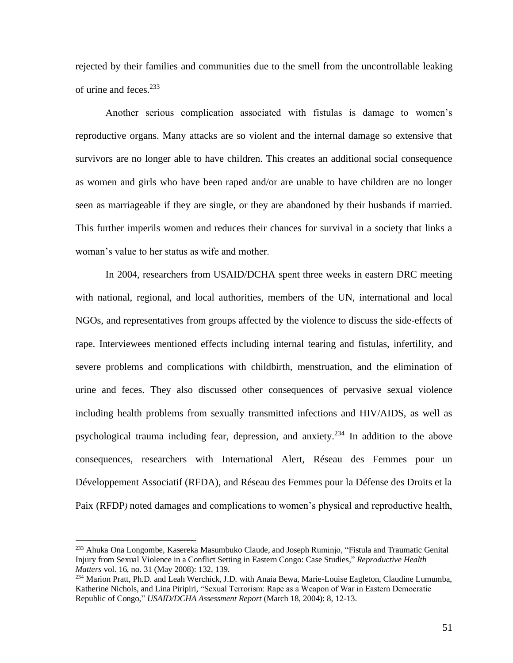rejected by their families and communities due to the smell from the uncontrollable leaking of urine and feces.<sup>233</sup>

 Another serious complication associated with fistulas is damage to women's reproductive organs. Many attacks are so violent and the internal damage so extensive that survivors are no longer able to have children. This creates an additional social consequence as women and girls who have been raped and/or are unable to have children are no longer seen as marriageable if they are single, or they are abandoned by their husbands if married. This further imperils women and reduces their chances for survival in a society that links a woman's value to her status as wife and mother.

 In 2004, researchers from USAID/DCHA spent three weeks in eastern DRC meeting with national, regional, and local authorities, members of the UN, international and local NGOs, and representatives from groups affected by the violence to discuss the side-effects of rape. Interviewees mentioned effects including internal tearing and fistulas, infertility, and severe problems and complications with childbirth, menstruation, and the elimination of urine and feces. They also discussed other consequences of pervasive sexual violence including health problems from sexually transmitted infections and HIV/AIDS, as well as psychological trauma including fear, depression, and anxiety.<sup>234</sup> In addition to the above consequences, researchers with International Alert, Réseau des Femmes pour un Développement Associatif (RFDA), and Réseau des Femmes pour la Défense des Droits et la Paix (RFDP*)* noted damages and complications to women's physical and reproductive health,

<sup>&</sup>lt;sup>233</sup> [Ahuka Ona](http://search0.scholarsportal.info.ezproxy.uwindsor.ca/ids70/p_search_form.php?field=au&query=longombe+ahuka+ona&log=literal&SID=0850191d0c8cf81dbd48c8bb3342610c) Longombe, [Kasereka Masumbuko](http://search0.scholarsportal.info.ezproxy.uwindsor.ca/ids70/p_search_form.php?field=au&query=claude+kasereka+masumbuko&log=literal&SID=0850191d0c8cf81dbd48c8bb3342610c) Claude, an[d Joseph](http://search0.scholarsportal.info.ezproxy.uwindsor.ca/ids70/p_search_form.php?field=au&query=ruminjo+joseph&log=literal&SID=0850191d0c8cf81dbd48c8bb3342610c) Ruminjo, "Fistula and Traumatic Genital [Injury from Sexual Violence in a Conflict Setting in Eastern Congo: Case Studies,](http://search0.scholarsportal.info.ezproxy.uwindsor.ca/ids70/view_record.php?id=2&recnum=0&log=from_res&SID=0850191d0c8cf81dbd48c8bb3342610c)" *Reproductive Health Matters* vol. 16, no. 31 (May 2008): 132, 139.

<sup>&</sup>lt;sup>234</sup> Marion Pratt, Ph.D. and Leah Werchick, J.D. with Anaia Bewa, Marie-Louise Eagleton, Claudine Lumumba, Katherine Nichols, and Lina Piripiri, "Sexual Terrorism: Rape as a Weapon of War in Eastern Democratic Republic of Congo," *USAID/DCHA Assessment Report* (March 18, 2004): 8, 12-13.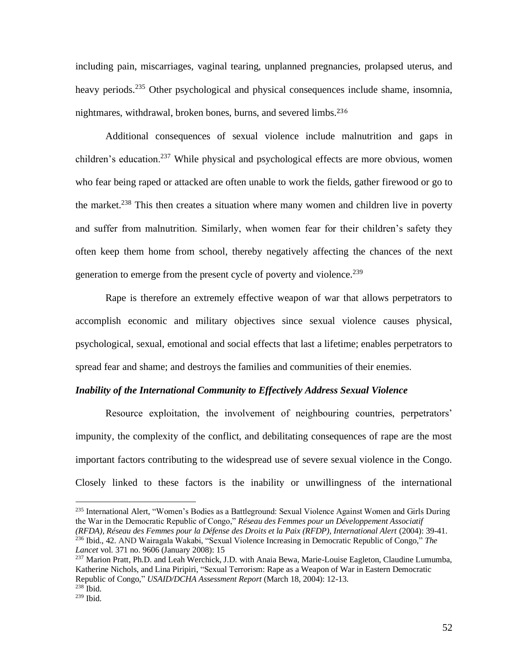including pain, miscarriages, vaginal tearing, unplanned pregnancies, prolapsed uterus, and heavy periods.<sup>235</sup> Other psychological and physical consequences include shame, insomnia, nightmares, withdrawal, broken bones, burns, and severed limbs.<sup>236</sup>

 Additional consequences of sexual violence include malnutrition and gaps in children's education.<sup>237</sup> While physical and psychological effects are more obvious, women who fear being raped or attacked are often unable to work the fields, gather firewood or go to the market.<sup>238</sup> This then creates a situation where many women and children live in poverty and suffer from malnutrition. Similarly, when women fear for their children's safety they often keep them home from school, thereby negatively affecting the chances of the next generation to emerge from the present cycle of poverty and violence.<sup>239</sup>

 Rape is therefore an extremely effective weapon of war that allows perpetrators to accomplish economic and military objectives since sexual violence causes physical, psychological, sexual, emotional and social effects that last a lifetime; enables perpetrators to spread fear and shame; and destroys the families and communities of their enemies.

## *Inability of the International Community to Effectively Address Sexual Violence*

Resource exploitation, the involvement of neighbouring countries, perpetrators' impunity, the complexity of the conflict, and debilitating consequences of rape are the most important factors contributing to the widespread use of severe sexual violence in the Congo. Closely linked to these factors is the inability or unwillingness of the international

<sup>235</sup> International Alert, "Women's Bodies as a Battleground: Sexual Violence Against Women and Girls During the War in the Democratic Republic of Congo," *Réseau des Femmes pour un Développement Associatif (RFDA), Réseau des Femmes pour la Défense des Droits et la Paix (RFDP), International Alert* (2004): 39-41. <sup>236</sup> Ibid., 42. AND Wairagala Wakabi, "Sexual Violence Increasing in Democratic Republic of Congo," *The Lancet* vol. 371 no. 9606 (January 2008): 15

<sup>237</sup> Marion Pratt, Ph.D. and Leah Werchick, J.D. with Anaia Bewa, Marie-Louise Eagleton, Claudine Lumumba, Katherine Nichols, and Lina Piripiri, "Sexual Terrorism: Rape as a Weapon of War in Eastern Democratic Republic of Congo," *USAID/DCHA Assessment Report* (March 18, 2004): 12-13.  $238$  Ibid.

<sup>239</sup> Ibid.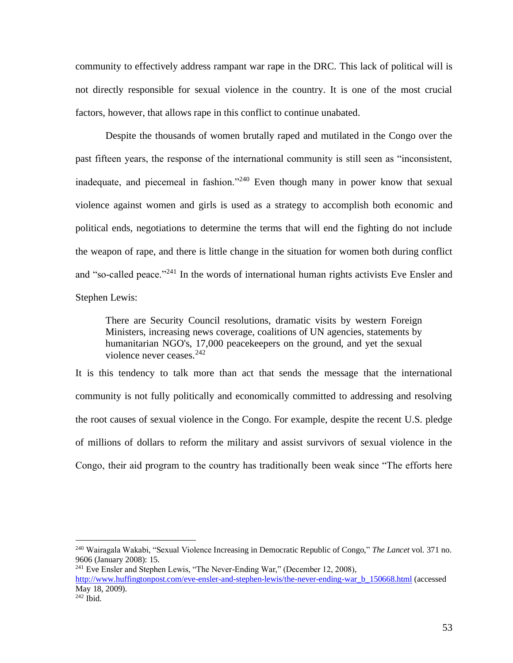community to effectively address rampant war rape in the DRC. This lack of political will is not directly responsible for sexual violence in the country. It is one of the most crucial factors, however, that allows rape in this conflict to continue unabated.

Despite the thousands of women brutally raped and mutilated in the Congo over the past fifteen years, the response of the international community is still seen as "inconsistent, inadequate, and piecemeal in fashion."<sup>240</sup> Even though many in power know that sexual violence against women and girls is used as a strategy to accomplish both economic and political ends, negotiations to determine the terms that will end the fighting do not include the weapon of rape, and there is little change in the situation for women both during conflict and "so-called peace."<sup>241</sup> In the words of international human rights activists Eve Ensler and Stephen Lewis:

There are Security Council resolutions, dramatic visits by western Foreign Ministers, increasing news coverage, coalitions of UN agencies, statements by humanitarian NGO's, 17,000 peacekeepers on the ground, and yet the sexual violence never ceases. $242$ 

It is this tendency to talk more than act that sends the message that the international community is not fully politically and economically committed to addressing and resolving the root causes of sexual violence in the Congo. For example, despite the recent U.S. pledge of millions of dollars to reform the military and assist survivors of sexual violence in the Congo, their aid program to the country has traditionally been weak since "The efforts here

<sup>240</sup> Wairagala Wakabi, "Sexual Violence Increasing in Democratic Republic of Congo," *The Lancet* vol. 371 no. 9606 (January 2008): 15.

 $241$  Eve Ensler and Stephen Lewis, "The Never-Ending War," (December 12, 2008),

[http://www.huffingtonpost.com/eve-ensler-and-stephen-lewis/the-never-ending-war\\_b\\_150668.html](http://www.huffingtonpost.com/eve-ensler-and-stephen-lewis/the-never-ending-war_b_150668.html) (accessed May 18, 2009).

 $242$  Ibid.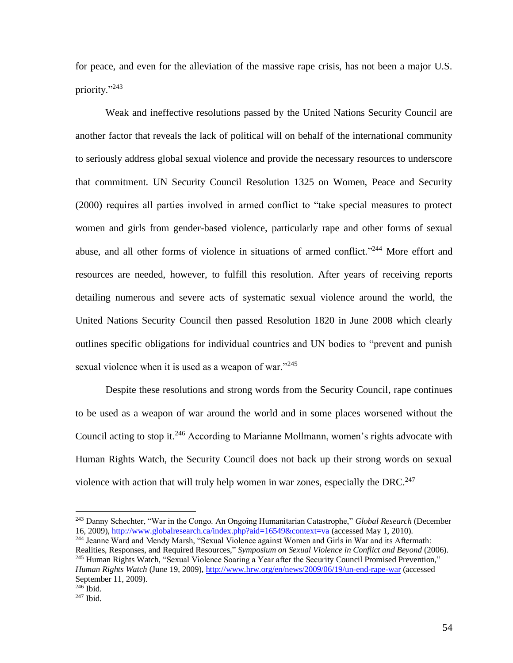for peace, and even for the alleviation of the massive rape crisis, has not been a major U.S. priority."<sup>243</sup>

Weak and ineffective resolutions passed by the United Nations Security Council are another factor that reveals the lack of political will on behalf of the international community to seriously address global sexual violence and provide the necessary resources to underscore that commitment. UN Security Council Resolution 1325 on Women, Peace and Security (2000) requires all parties involved in armed conflict to "take special measures to protect women and girls from gender-based violence, particularly rape and other forms of sexual abuse, and all other forms of violence in situations of armed conflict."<sup>244</sup> More effort and resources are needed, however, to fulfill this resolution. After years of receiving reports detailing numerous and severe acts of systematic sexual violence around the world, the United Nations Security Council then passed Resolution 1820 in June 2008 which clearly outlines specific obligations for individual countries and UN bodies to "prevent and punish sexual violence when it is used as a weapon of war."<sup>245</sup>

Despite these resolutions and strong words from the Security Council, rape continues to be used as a weapon of war around the world and in some places worsened without the Council acting to stop it.<sup>246</sup> According to Marianne Mollmann, women's rights advocate with Human Rights Watch, the Security Council does not back up their strong words on sexual violence with action that will truly help women in war zones, especially the DRC.<sup>247</sup>

<sup>244</sup> Jeanne Ward and Mendy Marsh, "Sexual Violence against Women and Girls in War and its Aftermath: Realities, Responses, and Required Resources," *Symposium on Sexual Violence in Conflict and Beyond* (2006). <sup>245</sup> Human Rights Watch, "Sexual Violence Soaring a Year after the Security Council Promised Prevention," *Human Rights Watch* (June 19, 2009), <http://www.hrw.org/en/news/2009/06/19/un-end-rape-war> (accessed September 11, 2009). <sup>246</sup> Ibid.

<sup>243</sup> Danny Schechter, "War in the Congo. An Ongoing Humanitarian Catastrophe," *Global Research* (December 16, 2009),<http://www.globalresearch.ca/index.php?aid=16549&context=va> (accessed May 1, 2010).

 $247$  Ibid.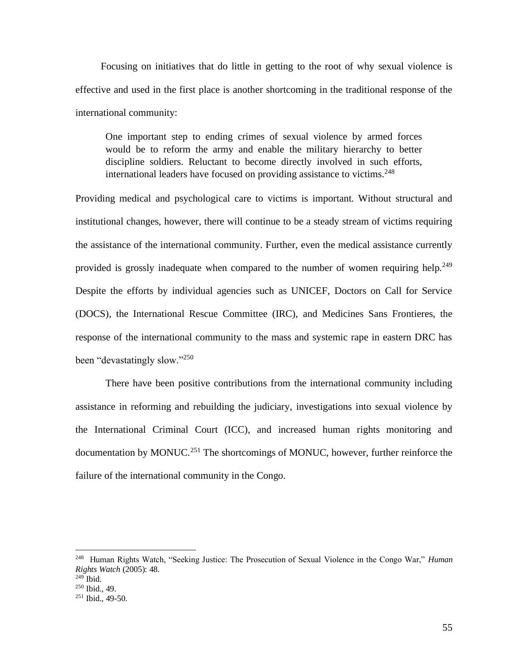Focusing on initiatives that do little in getting to the root of why sexual violence is effective and used in the first place is another shortcoming in the traditional response of the international community:

One important step to ending crimes of sexual violence by armed forces would be to reform the army and enable the military hierarchy to better discipline soldiers. Reluctant to become directly involved in such efforts, international leaders have focused on providing assistance to victims.<sup>248</sup>

Providing medical and psychological care to victims is important. Without structural and institutional changes, however, there will continue to be a steady stream of victims requiring the assistance of the international community. Further, even the medical assistance currently provided is grossly inadequate when compared to the number of women requiring help.<sup>249</sup> Despite the efforts by individual agencies such as UNICEF, Doctors on Call for Service (DOCS), the International Rescue Committee (IRC), and Medicines Sans Frontieres, the response of the international community to the mass and systemic rape in eastern DRC has been "devastatingly slow."<sup>250</sup>

There have been positive contributions from the international community including assistance in reforming and rebuilding the judiciary, investigations into sexual violence by the International Criminal Court (ICC), and increased human rights monitoring and documentation by MONUC.<sup>251</sup> The shortcomings of MONUC, however, further reinforce the failure of the international community in the Congo.

<sup>248</sup> Human Rights Watch, "Seeking Justice: The Prosecution of Sexual Violence in the Congo War," *Human Rights Watch* (2005): 48.

 $249$  Ibid.

<sup>250</sup> Ibid., 49.

 $251$  Ibid., 49-50.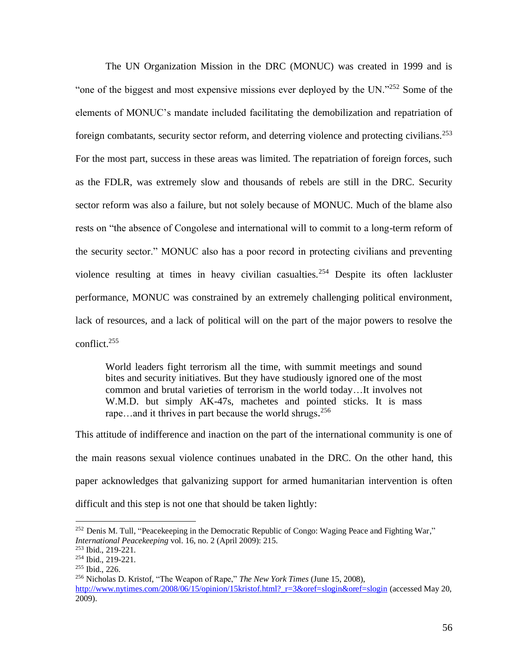The UN Organization Mission in the DRC (MONUC) was created in 1999 and is "one of the biggest and most expensive missions ever deployed by the UN."<sup>252</sup> Some of the elements of MONUC's mandate included facilitating the demobilization and repatriation of foreign combatants, security sector reform, and deterring violence and protecting civilians.<sup>253</sup> For the most part, success in these areas was limited. The repatriation of foreign forces, such as the FDLR, was extremely slow and thousands of rebels are still in the DRC. Security sector reform was also a failure, but not solely because of MONUC. Much of the blame also rests on "the absence of Congolese and international will to commit to a long-term reform of the security sector." MONUC also has a poor record in protecting civilians and preventing violence resulting at times in heavy civilian casualties.<sup>254</sup> Despite its often lackluster performance, MONUC was constrained by an extremely challenging political environment, lack of resources, and a lack of political will on the part of the major powers to resolve the conflict.<sup>255</sup>

World leaders fight terrorism all the time, with summit meetings and sound bites and security initiatives. But they have studiously ignored one of the most common and brutal varieties of terrorism in the world today…It involves not W.M.D. but simply AK-47s, machetes and pointed sticks. It is mass rape...and it thrives in part because the world shrugs.<sup>256</sup>

This attitude of indifference and inaction on the part of the international community is one of the main reasons sexual violence continues unabated in the DRC. On the other hand, this paper acknowledges that galvanizing support for armed humanitarian intervention is often difficult and this step is not one that should be taken lightly:

<sup>252</sup> [Denis M.](http://search0.scholarsportal.info.ezproxy.uwindsor.ca/ids70/p_search_form.php?field=au&query=tull+denis+m&log=literal&SID=8a0074029ff2575b4019a46e4ca961b6) Tull, ["Peacekeeping in the Democratic Republic of Congo: Waging Peace and Fighting War,](http://search0.scholarsportal.info.ezproxy.uwindsor.ca/ids70/view_record.php?id=3&recnum=44&log=from_res&SID=8a0074029ff2575b4019a46e4ca961b6)" *International Peacekeeping* vol. 16, no. 2 (April 2009): 215.

<sup>253</sup> Ibid., 219-221.

<sup>254</sup> Ibid., 219-221.

<sup>255</sup> Ibid., 226.

<sup>256</sup> Nicholas D. Kristof, "The Weapon of Rape," *The New York Times* (June 15, 2008), [http://www.nytimes.com/2008/06/15/opinion/15kristof.html?\\_r=3&oref=slogin&oref=slogin](http://www.nytimes.com/2008/06/15/opinion/15kristof.html?_r=3&oref=slogin&oref=slogin) (accessed May 20, 2009).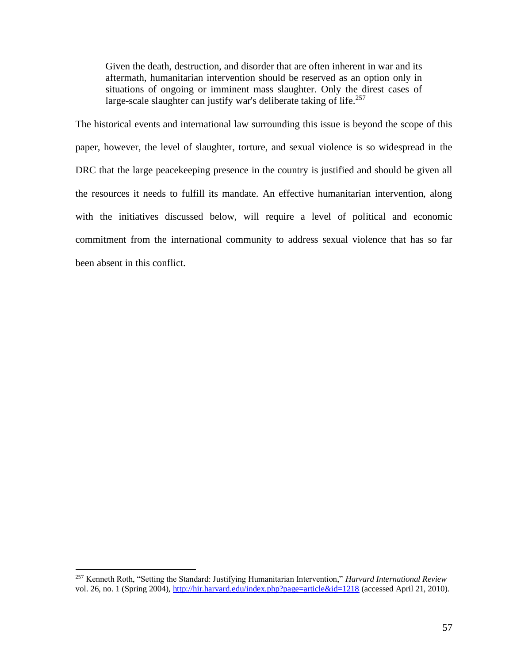Given the death, destruction, and disorder that are often inherent in war and its aftermath, humanitarian intervention should be reserved as an option only in situations of ongoing or imminent mass slaughter. Only the direst cases of large-scale slaughter can justify war's deliberate taking of life.<sup>257</sup>

The historical events and international law surrounding this issue is beyond the scope of this paper, however, the level of slaughter, torture, and sexual violence is so widespread in the DRC that the large peace keeping presence in the country is justified and should be given all the resources it needs to fulfill its mandate. An effective humanitarian intervention, along with the initiatives discussed below, will require a level of political and economic commitment from the international community to address sexual violence that has so far been absent in this conflict.

<sup>257</sup> Kenneth Roth, "Setting the Standard: Justifying Humanitarian Intervention," *Harvard International Review* vol. 26, no. 1 (Spring 2004),<http://hir.harvard.edu/index.php?page=article&id=1218> (accessed April 21, 2010).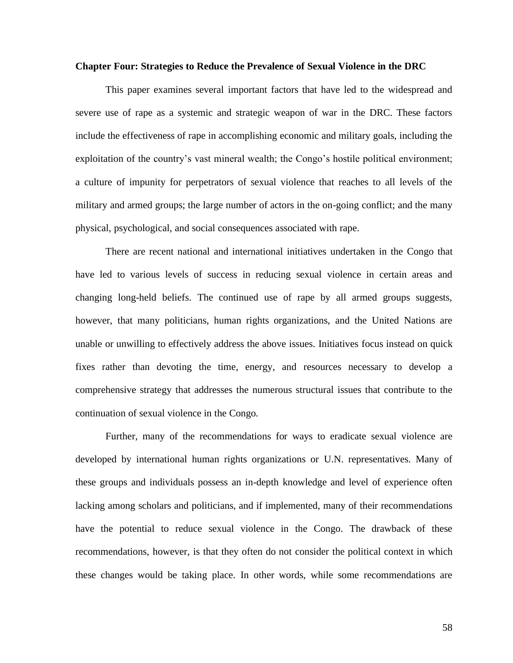#### **Chapter Four: Strategies to Reduce the Prevalence of Sexual Violence in the DRC**

This paper examines several important factors that have led to the widespread and severe use of rape as a systemic and strategic weapon of war in the DRC. These factors include the effectiveness of rape in accomplishing economic and military goals, including the exploitation of the country's vast mineral wealth; the Congo's hostile political environment; a culture of impunity for perpetrators of sexual violence that reaches to all levels of the military and armed groups; the large number of actors in the on-going conflict; and the many physical, psychological, and social consequences associated with rape.

There are recent national and international initiatives undertaken in the Congo that have led to various levels of success in reducing sexual violence in certain areas and changing long-held beliefs. The continued use of rape by all armed groups suggests, however, that many politicians, human rights organizations, and the United Nations are unable or unwilling to effectively address the above issues. Initiatives focus instead on quick fixes rather than devoting the time, energy, and resources necessary to develop a comprehensive strategy that addresses the numerous structural issues that contribute to the continuation of sexual violence in the Congo.

Further, many of the recommendations for ways to eradicate sexual violence are developed by international human rights organizations or U.N. representatives. Many of these groups and individuals possess an in-depth knowledge and level of experience often lacking among scholars and politicians, and if implemented, many of their recommendations have the potential to reduce sexual violence in the Congo. The drawback of these recommendations, however, is that they often do not consider the political context in which these changes would be taking place. In other words, while some recommendations are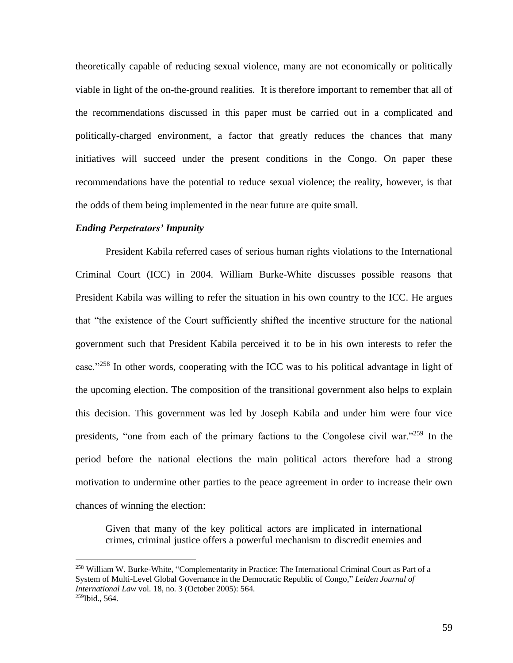theoretically capable of reducing sexual violence, many are not economically or politically viable in light of the on-the-ground realities. It is therefore important to remember that all of the recommendations discussed in this paper must be carried out in a complicated and politically-charged environment, a factor that greatly reduces the chances that many initiatives will succeed under the present conditions in the Congo. On paper these recommendations have the potential to reduce sexual violence; the reality, however, is that the odds of them being implemented in the near future are quite small.

## *Ending Perpetrators' Impunity*

President Kabila referred cases of serious human rights violations to the International Criminal Court (ICC) in 2004. William Burke-White discusses possible reasons that President Kabila was willing to refer the situation in his own country to the ICC. He argues that "the existence of the Court sufficiently shifted the incentive structure for the national government such that President Kabila perceived it to be in his own interests to refer the case."<sup>258</sup> In other words, cooperating with the ICC was to his political advantage in light of the upcoming election. The composition of the transitional government also helps to explain this decision. This government was led by Joseph Kabila and under him were four vice presidents, "one from each of the primary factions to the Congolese civil war."<sup>259</sup> In the period before the national elections the main political actors therefore had a strong motivation to undermine other parties to the peace agreement in order to increase their own chances of winning the election:

Given that many of the key political actors are implicated in international crimes, criminal justice offers a powerful mechanism to discredit enemies and

<sup>258</sup> [William W.](http://search0.scholarsportal.info.ezproxy.uwindsor.ca/ids70/p_search_form.php?field=au&query=burke+white+william+w&log=literal&SID=8a0074029ff2575b4019a46e4ca961b6) Burke-White, ["Complementarity in Practice: The International Criminal Court as](http://search0.scholarsportal.info.ezproxy.uwindsor.ca/ids70/view_record.php?id=3&recnum=17&log=from_res&SID=8a0074029ff2575b4019a46e4ca961b6) Part of a [System of Multi-Level Global Governance in the Democratic Republic of Congo,](http://search0.scholarsportal.info.ezproxy.uwindsor.ca/ids70/view_record.php?id=3&recnum=17&log=from_res&SID=8a0074029ff2575b4019a46e4ca961b6)" *Leiden Journal of International Law* vol. 18, no. 3 (October 2005): 564.  $259$ Ibid., 564.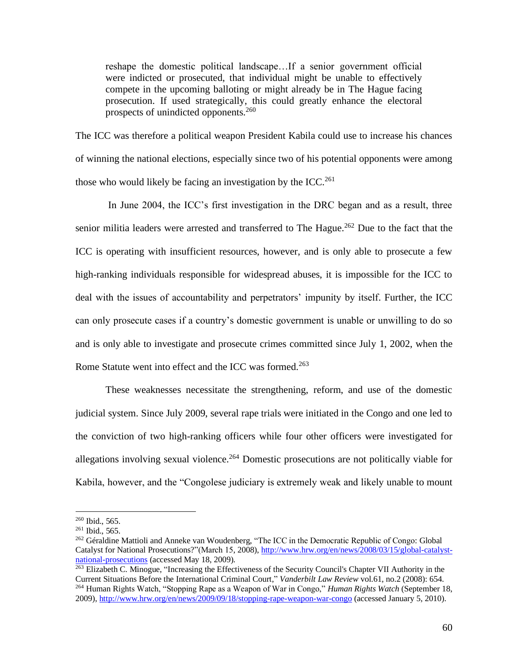reshape the domestic political landscape…If a senior government official were indicted or prosecuted, that individual might be unable to effectively compete in the upcoming balloting or might already be in The Hague facing prosecution. If used strategically, this could greatly enhance the electoral prospects of unindicted opponents.<sup>260</sup>

The ICC was therefore a political weapon President Kabila could use to increase his chances of winning the national elections, especially since two of his potential opponents were among those who would likely be facing an investigation by the ICC.<sup>261</sup>

In June 2004, the ICC's first investigation in the DRC began and as a result, three senior militia leaders were arrested and transferred to The Hague.<sup>262</sup> Due to the fact that the ICC is operating with insufficient resources, however, and is only able to prosecute a few high-ranking individuals responsible for widespread abuses, it is impossible for the ICC to deal with the issues of accountability and perpetrators' impunity by itself. Further, the ICC can only prosecute cases if a country's domestic government is unable or unwilling to do so and is only able to investigate and prosecute crimes committed since July 1, 2002, when the Rome Statute went into effect and the ICC was formed.<sup>263</sup>

These weaknesses necessitate the strengthening, reform, and use of the domestic judicial system. Since July 2009, several rape trials were initiated in the Congo and one led to the conviction of two high-ranking officers while four other officers were investigated for allegations involving sexual violence.<sup>264</sup> Domestic prosecutions are not politically viable for Kabila, however, and the "Congolese judiciary is extremely weak and likely unable to mount

<sup>260</sup> Ibid., 565.

<sup>261</sup> Ibid., 565.

<sup>&</sup>lt;sup>262</sup> Géraldine Mattioli and Anneke van Woudenberg, "The ICC in the Democratic Republic of Congo: Global [Catalyst for National Prosecutions?"](http://www.hrw.org/en/news/2008/03/15/global-catalyst-national-prosecutions)(March 15, 2008)[, http://www.hrw.org/en/news/2008/03/15/global-catalyst](http://www.hrw.org/en/news/2008/03/15/global-catalyst-national-prosecutions)[national-prosecutions](http://www.hrw.org/en/news/2008/03/15/global-catalyst-national-prosecutions) (accessed May 18, 2009).

<sup>&</sup>lt;sup>263</sup> [Elizabeth C.](http://search0.scholarsportal.info.ezproxy.uwindsor.ca/ids70/p_search_form.php?field=au&query=minogue+elizabeth+c&log=literal&SID=8a0074029ff2575b4019a46e4ca961b6) Minogue, "Increasing the Effectiveness of the Security Council's Chapter VII Authority in the [Current Situations Before the International Criminal Court,](http://search0.scholarsportal.info.ezproxy.uwindsor.ca/ids70/view_record.php?id=7&recnum=20&log=from_res&SID=8a0074029ff2575b4019a46e4ca961b6)" *Vanderbilt Law Review* vol.61, no.2 (2008): 654. <sup>264</sup> Human Rights Watch, "Stopping Rape as a Weapon of War in Congo," *Human Rights Watch* (September 18, 2009)[, http://www.hrw.org/en/news/2009/09/18/stopping-rape-weapon-war-congo](http://www.hrw.org/en/news/2009/09/18/stopping-rape-weapon-war-congo) (accessed January 5, 2010).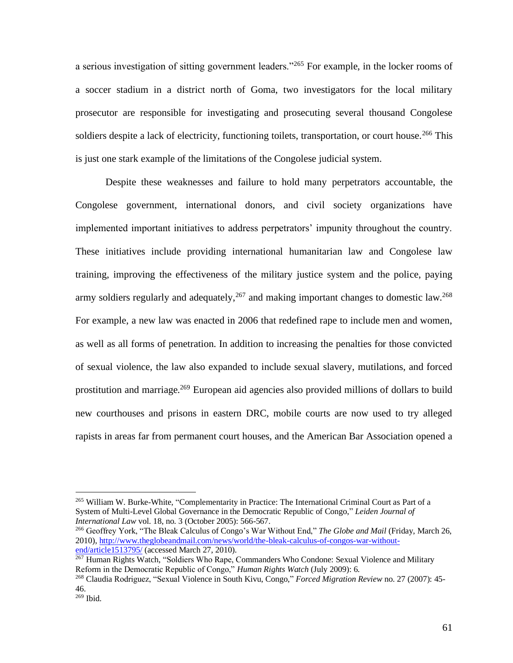a serious investigation of sitting government leaders."<sup>265</sup> For example, in the locker rooms of a soccer stadium in a district north of Goma, two investigators for the local military prosecutor are responsible for investigating and prosecuting several thousand Congolese soldiers despite a lack of electricity, functioning toilets, transportation, or court house.<sup>266</sup> This is just one stark example of the limitations of the Congolese judicial system.

Despite these weaknesses and failure to hold many perpetrators accountable, the Congolese government, international donors, and civil society organizations have implemented important initiatives to address perpetrators' impunity throughout the country. These initiatives include providing international humanitarian law and Congolese law training, improving the effectiveness of the military justice system and the police, paying army soldiers regularly and adequately,  $267$  and making important changes to domestic law. $268$ For example, a new law was enacted in 2006 that redefined rape to include men and women, as well as all forms of penetration. In addition to increasing the penalties for those convicted of sexual violence, the law also expanded to include sexual slavery, mutilations, and forced prostitution and marriage.<sup>269</sup> European aid agencies also provided millions of dollars to build new courthouses and prisons in eastern DRC, mobile courts are now used to try alleged rapists in areas far from permanent court houses, and the American Bar Association opened a

<sup>265</sup> [William W.](http://search0.scholarsportal.info.ezproxy.uwindsor.ca/ids70/p_search_form.php?field=au&query=burke+white+william+w&log=literal&SID=8a0074029ff2575b4019a46e4ca961b6) Burke-White, ["Complementarity in Practice: The International Criminal Court as](http://search0.scholarsportal.info.ezproxy.uwindsor.ca/ids70/view_record.php?id=3&recnum=17&log=from_res&SID=8a0074029ff2575b4019a46e4ca961b6) Part of a [System of Multi-Level Global Governance in the Democratic Republic of Congo,](http://search0.scholarsportal.info.ezproxy.uwindsor.ca/ids70/view_record.php?id=3&recnum=17&log=from_res&SID=8a0074029ff2575b4019a46e4ca961b6)" *Leiden Journal of International Law* vol. 18, no. 3 (October 2005): 566-567.

<sup>266</sup> Geoffrey York, "The Bleak Calculus of Congo's War Without End," *The Globe and Mail* (Friday, March 26, 2010)[, http://www.theglobeandmail.com/news/world/the-bleak-calculus-of-congos-war-without](http://www.theglobeandmail.com/news/world/the-bleak-calculus-of-congos-war-without-end/article1513795/)[end/article1513795/](http://www.theglobeandmail.com/news/world/the-bleak-calculus-of-congos-war-without-end/article1513795/) (accessed March 27, 2010).

<sup>&</sup>lt;sup>267</sup> Human Rights Watch, "Soldiers Who Rape, Commanders Who Condone: Sexual Violence and Military Reform in the Democratic Republic of Congo," *Human Rights Watch* (July 2009): 6.

<sup>268</sup> Claudia Rodriguez, "Sexual Violence in South Kivu, Congo," *Forced Migration Review* no. 27 (2007): 45- 46.

<sup>269</sup> Ibid.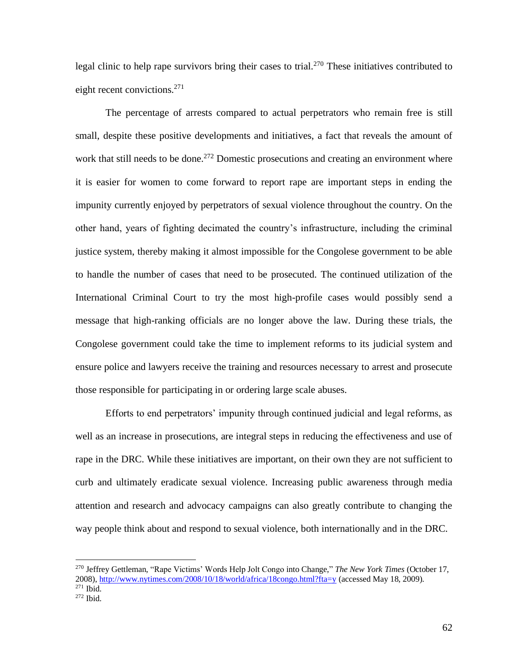legal clinic to help rape survivors bring their cases to trial.<sup>270</sup> These initiatives contributed to eight recent convictions. $271$ 

The percentage of arrests compared to actual perpetrators who remain free is still small, despite these positive developments and initiatives, a fact that reveals the amount of work that still needs to be done.<sup>272</sup> Domestic prosecutions and creating an environment where it is easier for women to come forward to report rape are important steps in ending the impunity currently enjoyed by perpetrators of sexual violence throughout the country. On the other hand, years of fighting decimated the country's infrastructure, including the criminal justice system, thereby making it almost impossible for the Congolese government to be able to handle the number of cases that need to be prosecuted. The continued utilization of the International Criminal Court to try the most high-profile cases would possibly send a message that high-ranking officials are no longer above the law. During these trials, the Congolese government could take the time to implement reforms to its judicial system and ensure police and lawyers receive the training and resources necessary to arrest and prosecute those responsible for participating in or ordering large scale abuses.

Efforts to end perpetrators' impunity through continued judicial and legal reforms, as well as an increase in prosecutions, are integral steps in reducing the effectiveness and use of rape in the DRC. While these initiatives are important, on their own they are not sufficient to curb and ultimately eradicate sexual violence. Increasing public awareness through media attention and research and advocacy campaigns can also greatly contribute to changing the way people think about and respond to sexual violence, both internationally and in the DRC.

<sup>270</sup> Jeffrey Gettleman, "Rape Victims' Words Help Jolt Congo into Change," *The New York Times* (October 17, 2008)[, http://www.nytimes.com/2008/10/18/world/africa/18congo.html?fta=y](http://www.nytimes.com/2008/10/18/world/africa/18congo.html?fta=y) (accessed May 18, 2009). <sup>271</sup> Ibid.

 $272$  Ibid.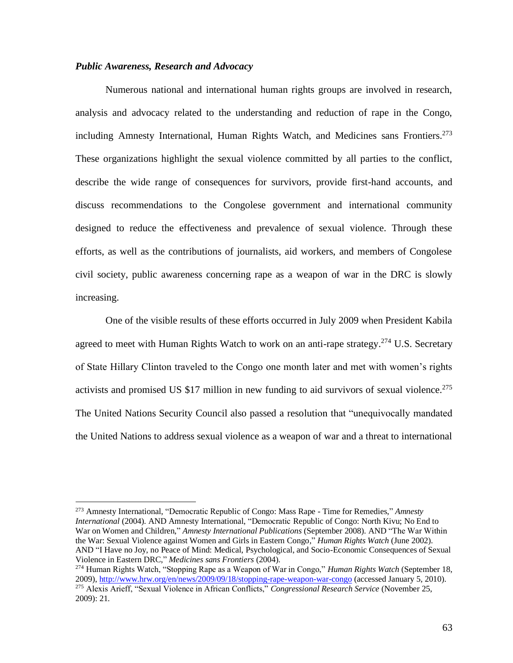#### *Public Awareness, Research and Advocacy*

Numerous national and international human rights groups are involved in research, analysis and advocacy related to the understanding and reduction of rape in the Congo, including Amnesty International, Human Rights Watch, and Medicines sans Frontiers.<sup>273</sup> These organizations highlight the sexual violence committed by all parties to the conflict, describe the wide range of consequences for survivors, provide first-hand accounts, and discuss recommendations to the Congolese government and international community designed to reduce the effectiveness and prevalence of sexual violence. Through these efforts, as well as the contributions of journalists, aid workers, and members of Congolese civil society, public awareness concerning rape as a weapon of war in the DRC is slowly increasing.

One of the visible results of these efforts occurred in July 2009 when President Kabila agreed to meet with Human Rights Watch to work on an anti-rape strategy.<sup>274</sup> U.S. Secretary of State Hillary Clinton traveled to the Congo one month later and met with women's rights activists and promised US \$17 million in new funding to aid survivors of sexual violence.<sup>275</sup> The United Nations Security Council also passed a resolution that "unequivocally mandated the United Nations to address sexual violence as a weapon of war and a threat to international

<sup>273</sup> Amnesty International, "Democratic Republic of Congo: Mass Rape - Time for Remedies," *Amnesty International* (2004). AND Amnesty International, "Democratic Republic of Congo: North Kivu; No End to War on Women and Children," *Amnesty International Publications* (September 2008). AND "The War Within the War: Sexual Violence against Women and Girls in Eastern Congo," *Human Rights Watch* (June 2002). AND "I Have no Joy, no Peace of Mind: Medical, Psychological, and Socio-Economic Consequences of Sexual Violence in Eastern DRC," *Medicines sans Frontiers* (2004).

<sup>274</sup> Human Rights Watch, "Stopping Rape as a Weapon of War in Congo," *Human Rights Watch* (September 18, 2009)[, http://www.hrw.org/en/news/2009/09/18/stopping-rape-weapon-war-congo](http://www.hrw.org/en/news/2009/09/18/stopping-rape-weapon-war-congo) (accessed January 5, 2010). <sup>275</sup> Alexis Arieff, "Sexual Violence in African Conflicts," *Congressional Research Service* (November 25, 2009): 21.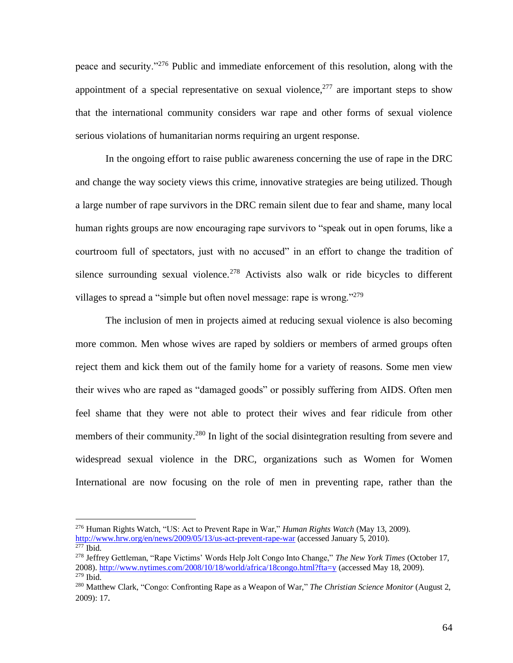peace and security."<sup>276</sup> Public and immediate enforcement of this resolution, along with the appointment of a special representative on sexual violence,  $277$  are important steps to show that the international community considers war rape and other forms of sexual violence serious violations of humanitarian norms requiring an urgent response.

In the ongoing effort to raise public awareness concerning the use of rape in the DRC and change the way society views this crime, innovative strategies are being utilized. Though a large number of rape survivors in the DRC remain silent due to fear and shame, many local human rights groups are now encouraging rape survivors to "speak out in open forums, like a courtroom full of spectators, just with no accused" in an effort to change the tradition of silence surrounding sexual violence.<sup>278</sup> Activists also walk or ride bicycles to different villages to spread a "simple but often novel message: rape is wrong."<sup>279</sup>

The inclusion of men in projects aimed at reducing sexual violence is also becoming more common. Men whose wives are raped by soldiers or members of armed groups often reject them and kick them out of the family home for a variety of reasons. Some men view their wives who are raped as "damaged goods" or possibly suffering from AIDS. Often men feel shame that they were not able to protect their wives and fear ridicule from other members of their community.<sup>280</sup> In light of the social disintegration resulting from severe and widespread sexual violence in the DRC, organizations such as Women for Women International are now focusing on the role of men in preventing rape, rather than the

<sup>276</sup> Human Rights Watch, "US: Act to Prevent Rape in War," *Human Rights Watch* (May 13, 2009). <http://www.hrw.org/en/news/2009/05/13/us-act-prevent-rape-war> (accessed January 5, 2010).  $\overline{\text{277}}$  Ibid.

<sup>278</sup> Jeffrey Gettleman, "Rape Victims' Words Help Jolt Congo Into Change," *The New York Times* (October 17, 2008)[. http://www.nytimes.com/2008/10/18/world/africa/18congo.html?fta=y](http://www.nytimes.com/2008/10/18/world/africa/18congo.html?fta=y) (accessed May 18, 2009). <sup>279</sup> Ibid.

<sup>280</sup> Matthew Clark, "Congo: Confronting Rape as a Weapon of War," *The Christian Science Monitor* (August 2, 2009): 17.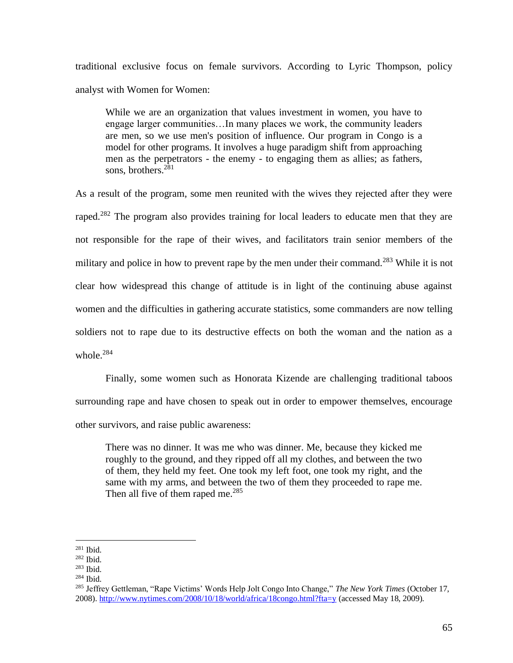traditional exclusive focus on female survivors. According to Lyric Thompson, policy analyst with Women for Women:

While we are an organization that values investment in women, you have to engage larger communities…In many places we work, the community leaders are men, so we use men's position of influence. Our program in Congo is a model for other programs. It involves a huge paradigm shift from approaching men as the perpetrators - the enemy - to engaging them as allies; as fathers, sons, brothers. $2^{81}$ 

As a result of the program, some men reunited with the wives they rejected after they were raped.<sup>282</sup> The program also provides training for local leaders to educate men that they are not responsible for the rape of their wives, and facilitators train senior members of the military and police in how to prevent rape by the men under their command.<sup>283</sup> While it is not clear how widespread this change of attitude is in light of the continuing abuse against women and the difficulties in gathering accurate statistics, some commanders are now telling soldiers not to rape due to its destructive effects on both the woman and the nation as a whole.<sup>284</sup>

Finally, some women such as Honorata Kizende are challenging traditional taboos surrounding rape and have chosen to speak out in order to empower themselves, encourage other survivors, and raise public awareness:

There was no dinner. It was me who was dinner. Me, because they kicked me roughly to the ground, and they ripped off all my clothes, and between the two of them, they held my feet. One took my left foot, one took my right, and the same with my arms, and between the two of them they proceeded to rape me. Then all five of them raped me. $^{285}$ 

<sup>281</sup> Ibid.

<sup>282</sup> Ibid.

<sup>283</sup> Ibid.

<sup>284</sup> Ibid.

<sup>285</sup> Jeffrey Gettleman, "Rape Victims' Words Help Jolt Congo Into Change," *The New York Times* (October 17, 2008)[. http://www.nytimes.com/2008/10/18/world/africa/18congo.html?fta=y](http://www.nytimes.com/2008/10/18/world/africa/18congo.html?fta=y) (accessed May 18, 2009).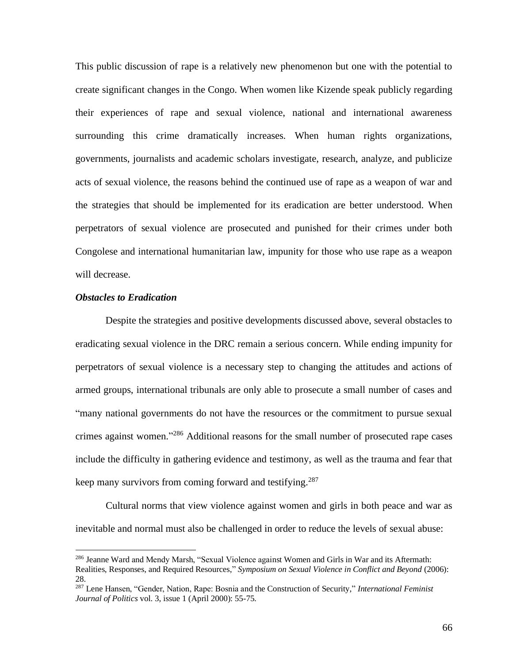This public discussion of rape is a relatively new phenomenon but one with the potential to create significant changes in the Congo. When women like Kizende speak publicly regarding their experiences of rape and sexual violence, national and international awareness surrounding this crime dramatically increases. When human rights organizations, governments, journalists and academic scholars investigate, research, analyze, and publicize acts of sexual violence, the reasons behind the continued use of rape as a weapon of war and the strategies that should be implemented for its eradication are better understood. When perpetrators of sexual violence are prosecuted and punished for their crimes under both Congolese and international humanitarian law, impunity for those who use rape as a weapon will decrease.

## *Obstacles to Eradication*

Despite the strategies and positive developments discussed above, several obstacles to eradicating sexual violence in the DRC remain a serious concern. While ending impunity for perpetrators of sexual violence is a necessary step to changing the attitudes and actions of armed groups, international tribunals are only able to prosecute a small number of cases and "many national governments do not have the resources or the commitment to pursue sexual crimes against women."<sup>286</sup> Additional reasons for the small number of prosecuted rape cases include the difficulty in gathering evidence and testimony, as well as the trauma and fear that keep many survivors from coming forward and testifying.<sup>287</sup>

 Cultural norms that view violence against women and girls in both peace and war as inevitable and normal must also be challenged in order to reduce the levels of sexual abuse:

<sup>&</sup>lt;sup>286</sup> Jeanne Ward and Mendy Marsh, "Sexual Violence against Women and Girls in War and its Aftermath: Realities, Responses, and Required Resources," *Symposium on Sexual Violence in Conflict and Beyond* (2006): 28.

<sup>287</sup> Lene Hansen, "Gender, Nation, Rape: Bosnia and the Construction of Security," *International Feminist Journal of Politics* vol. 3, issue 1 (April 2000): 55-75.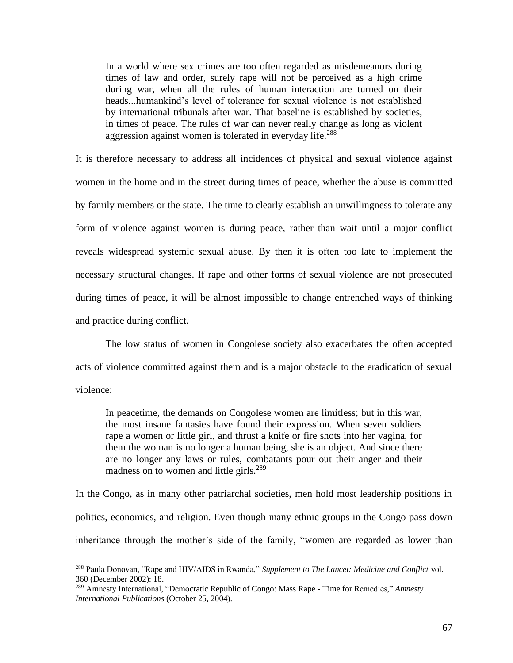In a world where sex crimes are too often regarded as misdemeanors during times of law and order, surely rape will not be perceived as a high crime during war, when all the rules of human interaction are turned on their heads...humankind's level of tolerance for sexual violence is not established by international tribunals after war. That baseline is established by societies, in times of peace. The rules of war can never really change as long as violent aggression against women is tolerated in everyday life.<sup>288</sup>

It is therefore necessary to address all incidences of physical and sexual violence against women in the home and in the street during times of peace, whether the abuse is committed by family members or the state. The time to clearly establish an unwillingness to tolerate any form of violence against women is during peace, rather than wait until a major conflict reveals widespread systemic sexual abuse. By then it is often too late to implement the necessary structural changes. If rape and other forms of sexual violence are not prosecuted during times of peace, it will be almost impossible to change entrenched ways of thinking and practice during conflict.

The low status of women in Congolese society also exacerbates the often accepted acts of violence committed against them and is a major obstacle to the eradication of sexual violence:

In peacetime, the demands on Congolese women are limitless; but in this war, the most insane fantasies have found their expression. When seven soldiers rape a women or little girl, and thrust a knife or fire shots into her vagina, for them the woman is no longer a human being, she is an object. And since there are no longer any laws or rules, combatants pour out their anger and their madness on to women and little girls.<sup>289</sup>

In the Congo, as in many other patriarchal societies, men hold most leadership positions in politics, economics, and religion. Even though many ethnic groups in the Congo pass down inheritance through the mother's side of the family, "women are regarded as lower than

<sup>288</sup> Paula Donovan, "Rape and HIV/AIDS in Rwanda," *Supplement to The Lancet: Medicine and Conflict* vol. 360 (December 2002): 18.

<sup>289</sup> Amnesty International, "Democratic Republic of Congo: Mass Rape - Time for Remedies," *Amnesty International Publications* (October 25, 2004).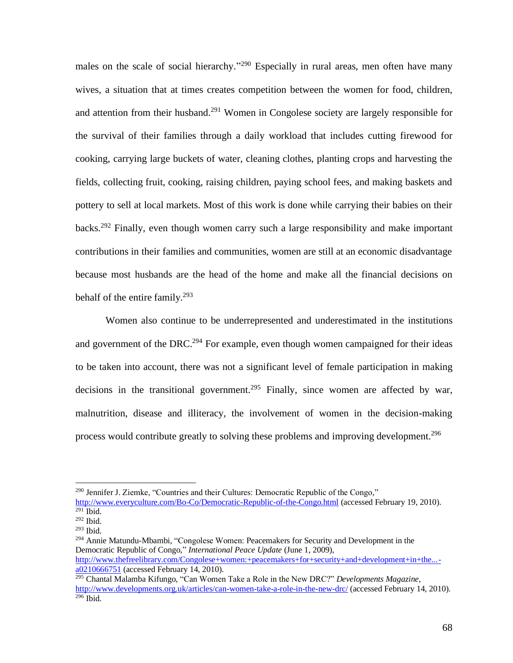males on the scale of social hierarchy."<sup>290</sup> Especially in rural areas, men often have many wives, a situation that at times creates competition between the women for food, children, and attention from their husband.<sup>291</sup> Women in Congolese society are largely responsible for the survival of their families through a daily workload that includes cutting firewood for cooking, carrying large buckets of water, cleaning clothes, planting crops and harvesting the fields, collecting fruit, cooking, raising children, paying school fees, and making baskets and pottery to sell at local markets. Most of this work is done while carrying their babies on their backs.<sup>292</sup> Finally, even though women carry such a large responsibility and make important contributions in their families and communities, women are still at an economic disadvantage because most husbands are the head of the home and make all the financial decisions on behalf of the entire family.<sup>293</sup>

Women also continue to be underrepresented and underestimated in the institutions and government of the DRC.<sup>294</sup> For example, even though women campaigned for their ideas to be taken into account, there was not a significant level of female participation in making decisions in the transitional government.<sup>295</sup> Finally, since women are affected by war, malnutrition, disease and illiteracy, the involvement of women in the decision-making process would contribute greatly to solving these problems and improving development.<sup>296</sup>

<sup>294</sup> Annie Matundu-Mbambi, "Congolese Women: Peacemakers for Security and Development in the Democratic Republic of Congo," *International Peace Update* (June 1, 2009), [http://www.thefreelibrary.com/Congolese+women:+peacemakers+for+security+and+development+in+the...](http://www.thefreelibrary.com/Congolese+women:+peacemakers+for+security+and+development+in+the...-a0210666751) [a0210666751](http://www.thefreelibrary.com/Congolese+women:+peacemakers+for+security+and+development+in+the...-a0210666751) (accessed February 14, 2010).

<sup>&</sup>lt;sup>290</sup> Jennifer J. Ziemke, "Countries and their Cultures: Democratic Republic of the Congo,"

<http://www.everyculture.com/Bo-Co/Democratic-Republic-of-the-Congo.html> (accessed February 19, 2010).  $291$  Ibid.

<sup>292</sup> Ibid.

<sup>293</sup> Ibid.

<sup>295</sup> Chantal Malamba Kifungo, "Can Women Take a Role in the New DRC?" *Developments Magazine*, <http://www.developments.org.uk/articles/can-women-take-a-role-in-the-new-drc/> (accessed February 14, 2010).  $296$  Ibid.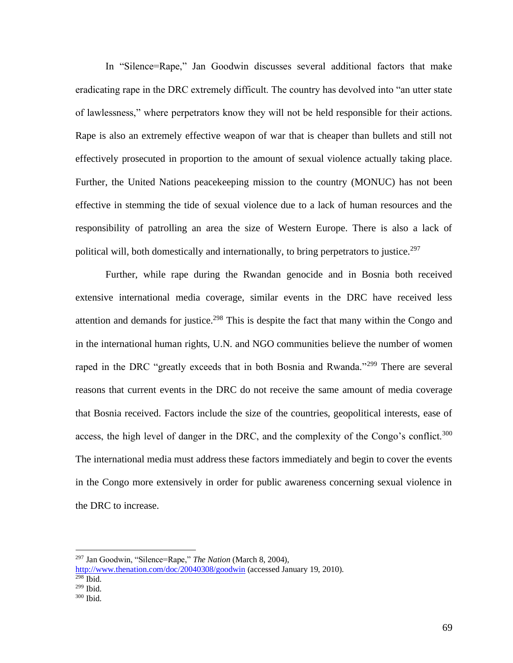In "Silence=Rape," Jan Goodwin discusses several additional factors that make eradicating rape in the DRC extremely difficult. The country has devolved into "an utter state of lawlessness," where perpetrators know they will not be held responsible for their actions. Rape is also an extremely effective weapon of war that is cheaper than bullets and still not effectively prosecuted in proportion to the amount of sexual violence actually taking place. Further, the United Nations peacekeeping mission to the country (MONUC) has not been effective in stemming the tide of sexual violence due to a lack of human resources and the responsibility of patrolling an area the size of Western Europe. There is also a lack of political will, both domestically and internationally, to bring perpetrators to justice.<sup>297</sup>

Further, while rape during the Rwandan genocide and in Bosnia both received extensive international media coverage, similar events in the DRC have received less attention and demands for justice.<sup>298</sup> This is despite the fact that many within the Congo and in the international human rights, U.N. and NGO communities believe the number of women raped in the DRC "greatly exceeds that in both Bosnia and Rwanda."<sup>299</sup> There are several reasons that current events in the DRC do not receive the same amount of media coverage that Bosnia received. Factors include the size of the countries, geopolitical interests, ease of access, the high level of danger in the DRC, and the complexity of the Congo's conflict.<sup>300</sup> The international media must address these factors immediately and begin to cover the events in the Congo more extensively in order for public awareness concerning sexual violence in the DRC to increase.

<sup>297</sup> Jan Goodwin, "Silence=Rape," *The Nation* (March 8, 2004),

<http://www.thenation.com/doc/20040308/goodwin> (accessed January 19, 2010).  $298$  Ibid.

<sup>299</sup> Ibid.

 $300$  Ibid.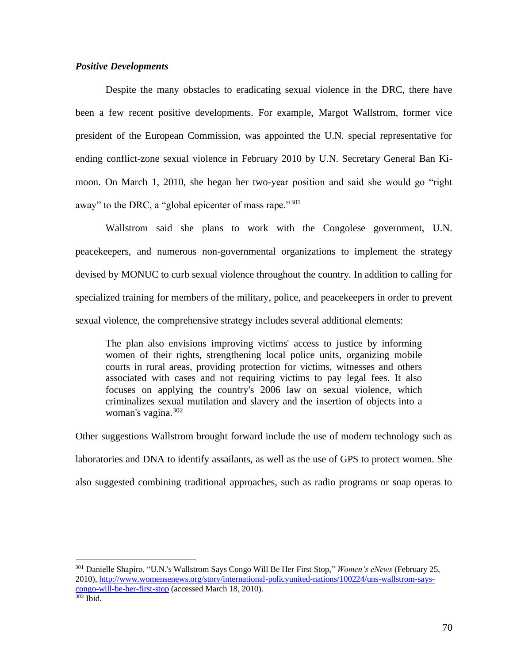# *Positive Developments*

Despite the many obstacles to eradicating sexual violence in the DRC, there have been a few recent positive developments. For example, Margot Wallstrom, former vice president of the European Commission, was appointed the U.N. special representative for ending conflict-zone sexual violence in February 2010 by U.N. Secretary General Ban Kimoon. On March 1, 2010, she began her two-year position and said she would go "right away" to the DRC, a "global epicenter of mass rape."<sup>301</sup>

Wallstrom said she plans to work with the Congolese government, U.N. peacekeepers, and numerous non-governmental organizations to implement the strategy devised by MONUC to curb sexual violence throughout the country. In addition to calling for specialized training for members of the military, police, and peacekeepers in order to prevent sexual violence, the comprehensive strategy includes several additional elements:

The plan also envisions improving victims' access to justice by informing women of their rights, strengthening local police units, organizing mobile courts in rural areas, providing protection for victims, witnesses and others associated with cases and not requiring victims to pay legal fees. It also focuses on applying the country's 2006 law on sexual violence, which criminalizes sexual mutilation and slavery and the insertion of objects into a woman's vagina.<sup>302</sup>

Other suggestions Wallstrom brought forward include the use of modern technology such as laboratories and DNA to identify assailants, as well as the use of GPS to protect women. She also suggested combining traditional approaches, such as radio programs or soap operas to

<sup>301</sup> Danielle Shapiro, "U.N.'s Wallstrom Says Congo Will Be Her First Stop," *Women's eNews* (February 25, 2010)[, http://www.womensenews.org/story/international-policyunited-nations/100224/uns-wallstrom-says](http://www.womensenews.org/story/international-policyunited-nations/100224/uns-wallstrom-says-congo-will-be-her-first-stop)[congo-will-be-her-first-stop](http://www.womensenews.org/story/international-policyunited-nations/100224/uns-wallstrom-says-congo-will-be-her-first-stop) (accessed March 18, 2010). <sup>302</sup> Ibid.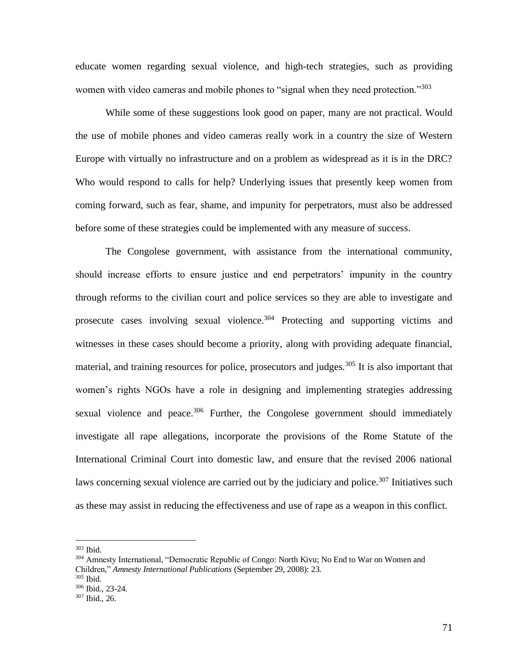educate women regarding sexual violence, and high-tech strategies, such as providing women with video cameras and mobile phones to "signal when they need protection."<sup>303</sup>

While some of these suggestions look good on paper, many are not practical. Would the use of mobile phones and video cameras really work in a country the size of Western Europe with virtually no infrastructure and on a problem as widespread as it is in the DRC? Who would respond to calls for help? Underlying issues that presently keep women from coming forward, such as fear, shame, and impunity for perpetrators, must also be addressed before some of these strategies could be implemented with any measure of success.

The Congolese government, with assistance from the international community, should increase efforts to ensure justice and end perpetrators' impunity in the country through reforms to the civilian court and police services so they are able to investigate and prosecute cases involving sexual violence.<sup>304</sup> Protecting and supporting victims and witnesses in these cases should become a priority, along with providing adequate financial, material, and training resources for police, prosecutors and judges.<sup>305</sup> It is also important that women's rights NGOs have a role in designing and implementing strategies addressing sexual violence and peace.<sup>306</sup> Further, the Congolese government should immediately investigate all rape allegations, incorporate the provisions of the Rome Statute of the International Criminal Court into domestic law, and ensure that the revised 2006 national laws concerning sexual violence are carried out by the judiciary and police.<sup>307</sup> Initiatives such as these may assist in reducing the effectiveness and use of rape as a weapon in this conflict.

<sup>303</sup> Ibid.

<sup>&</sup>lt;sup>304</sup> Amnesty International, "Democratic Republic of Congo: North Kivu; No End to War on Women and Children," *Amnesty International Publications* (September 29, 2008): 23.

<sup>305</sup> Ibid.

<sup>306</sup> Ibid., 23-24.

<sup>307</sup> Ibid., 26.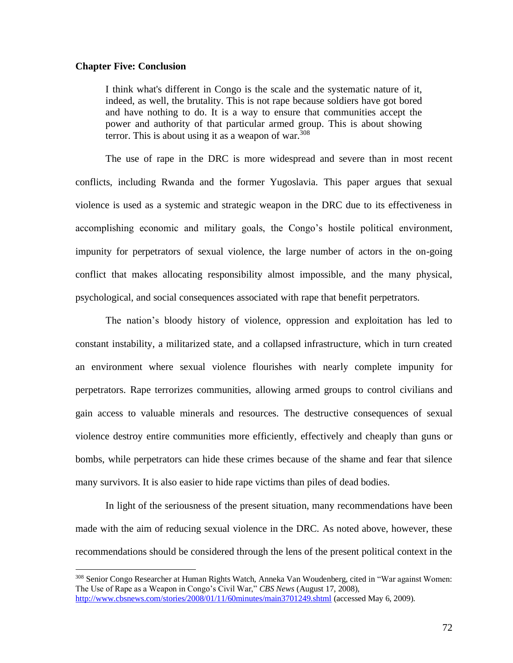#### **Chapter Five: Conclusion**

I think what's different in Congo is the scale and the systematic nature of it, indeed, as well, the brutality. This is not rape because soldiers have got bored and have nothing to do. It is a way to ensure that communities accept the power and authority of that particular armed group. This is about showing terror. This is about using it as a weapon of war.  $308$ 

 The use of rape in the DRC is more widespread and severe than in most recent conflicts, including Rwanda and the former Yugoslavia. This paper argues that sexual violence is used as a systemic and strategic weapon in the DRC due to its effectiveness in accomplishing economic and military goals, the Congo's hostile political environment, impunity for perpetrators of sexual violence, the large number of actors in the on-going conflict that makes allocating responsibility almost impossible, and the many physical, psychological, and social consequences associated with rape that benefit perpetrators.

The nation's bloody history of violence, oppression and exploitation has led to constant instability, a militarized state, and a collapsed infrastructure, which in turn created an environment where sexual violence flourishes with nearly complete impunity for perpetrators. Rape terrorizes communities, allowing armed groups to control civilians and gain access to valuable minerals and resources. The destructive consequences of sexual violence destroy entire communities more efficiently, effectively and cheaply than guns or bombs, while perpetrators can hide these crimes because of the shame and fear that silence many survivors. It is also easier to hide rape victims than piles of dead bodies.

In light of the seriousness of the present situation, many recommendations have been made with the aim of reducing sexual violence in the DRC. As noted above, however, these recommendations should be considered through the lens of the present political context in the

<sup>308</sup> Senior Congo Researcher at Human Rights Watch, Anneka Van Woudenberg, cited in "War against Women: The Use of Rape as a Weapon in Congo's Civil War," *CBS News* (August 17, 2008), <http://www.cbsnews.com/stories/2008/01/11/60minutes/main3701249.shtml> (accessed May 6, 2009).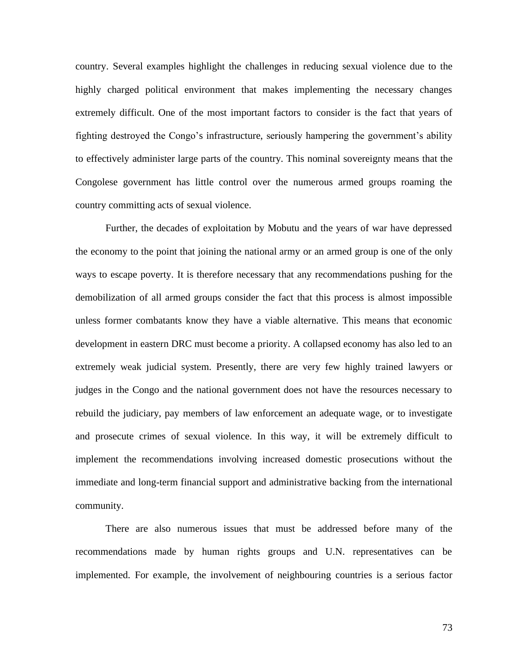country. Several examples highlight the challenges in reducing sexual violence due to the highly charged political environment that makes implementing the necessary changes extremely difficult. One of the most important factors to consider is the fact that years of fighting destroyed the Congo's infrastructure, seriously hampering the government's ability to effectively administer large parts of the country. This nominal sovereignty means that the Congolese government has little control over the numerous armed groups roaming the country committing acts of sexual violence.

Further, the decades of exploitation by Mobutu and the years of war have depressed the economy to the point that joining the national army or an armed group is one of the only ways to escape poverty. It is therefore necessary that any recommendations pushing for the demobilization of all armed groups consider the fact that this process is almost impossible unless former combatants know they have a viable alternative. This means that economic development in eastern DRC must become a priority. A collapsed economy has also led to an extremely weak judicial system. Presently, there are very few highly trained lawyers or judges in the Congo and the national government does not have the resources necessary to rebuild the judiciary, pay members of law enforcement an adequate wage, or to investigate and prosecute crimes of sexual violence. In this way, it will be extremely difficult to implement the recommendations involving increased domestic prosecutions without the immediate and long-term financial support and administrative backing from the international community.

There are also numerous issues that must be addressed before many of the recommendations made by human rights groups and U.N. representatives can be implemented. For example, the involvement of neighbouring countries is a serious factor

73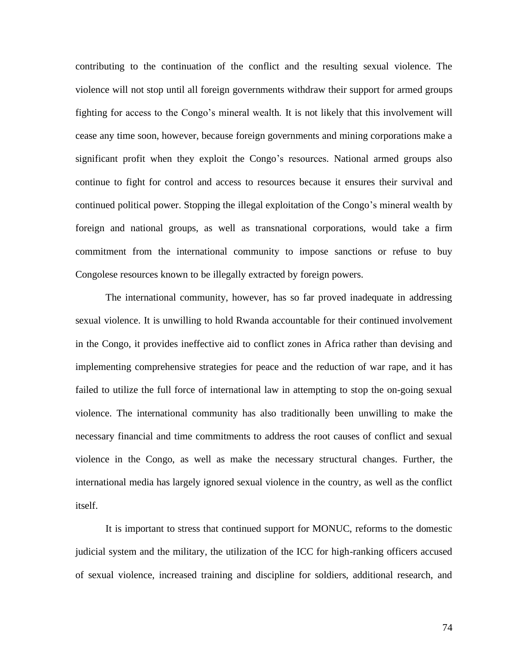contributing to the continuation of the conflict and the resulting sexual violence. The violence will not stop until all foreign governments withdraw their support for armed groups fighting for access to the Congo's mineral wealth. It is not likely that this involvement will cease any time soon, however, because foreign governments and mining corporations make a significant profit when they exploit the Congo's resources. National armed groups also continue to fight for control and access to resources because it ensures their survival and continued political power. Stopping the illegal exploitation of the Congo's mineral wealth by foreign and national groups, as well as transnational corporations, would take a firm commitment from the international community to impose sanctions or refuse to buy Congolese resources known to be illegally extracted by foreign powers.

The international community, however, has so far proved inadequate in addressing sexual violence. It is unwilling to hold Rwanda accountable for their continued involvement in the Congo, it provides ineffective aid to conflict zones in Africa rather than devising and implementing comprehensive strategies for peace and the reduction of war rape, and it has failed to utilize the full force of international law in attempting to stop the on-going sexual violence. The international community has also traditionally been unwilling to make the necessary financial and time commitments to address the root causes of conflict and sexual violence in the Congo, as well as make the necessary structural changes. Further, the international media has largely ignored sexual violence in the country, as well as the conflict itself.

It is important to stress that continued support for MONUC, reforms to the domestic judicial system and the military, the utilization of the ICC for high-ranking officers accused of sexual violence, increased training and discipline for soldiers, additional research, and

74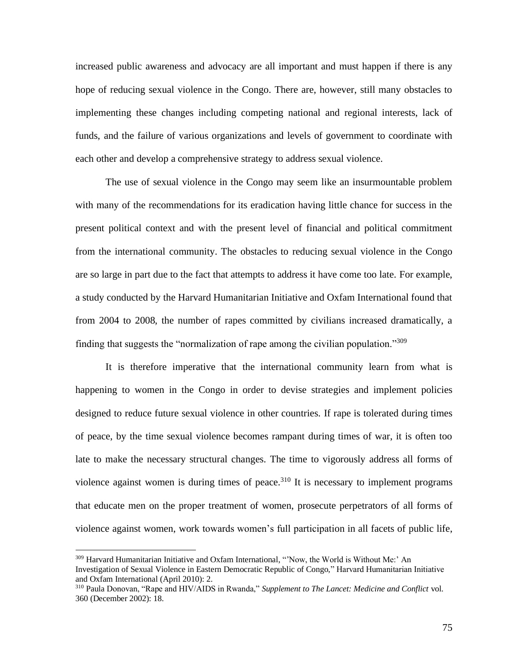increased public awareness and advocacy are all important and must happen if there is any hope of reducing sexual violence in the Congo. There are, however, still many obstacles to implementing these changes including competing national and regional interests, lack of funds, and the failure of various organizations and levels of government to coordinate with each other and develop a comprehensive strategy to address sexual violence.

The use of sexual violence in the Congo may seem like an insurmountable problem with many of the recommendations for its eradication having little chance for success in the present political context and with the present level of financial and political commitment from the international community. The obstacles to reducing sexual violence in the Congo are so large in part due to the fact that attempts to address it have come too late. For example, a study conducted by the Harvard Humanitarian Initiative and Oxfam International found that from 2004 to 2008, the number of rapes committed by civilians increased dramatically, a finding that suggests the "normalization of rape among the civilian population."<sup>309</sup>

It is therefore imperative that the international community learn from what is happening to women in the Congo in order to devise strategies and implement policies designed to reduce future sexual violence in other countries. If rape is tolerated during times of peace, by the time sexual violence becomes rampant during times of war, it is often too late to make the necessary structural changes. The time to vigorously address all forms of violence against women is during times of peace.<sup>310</sup> It is necessary to implement programs that educate men on the proper treatment of women, prosecute perpetrators of all forms of violence against women, work towards women's full participation in all facets of public life,

<sup>&</sup>lt;sup>309</sup> Harvard Humanitarian Initiative and Oxfam International, "Now, the World is Without Me:' An Investigation of Sexual Violence in Eastern Democratic Republic of Congo," Harvard Humanitarian Initiative and Oxfam International (April 2010): 2.

<sup>310</sup> Paula Donovan, "Rape and HIV/AIDS in Rwanda," *Supplement to The Lancet: Medicine and Conflict* vol. 360 (December 2002): 18.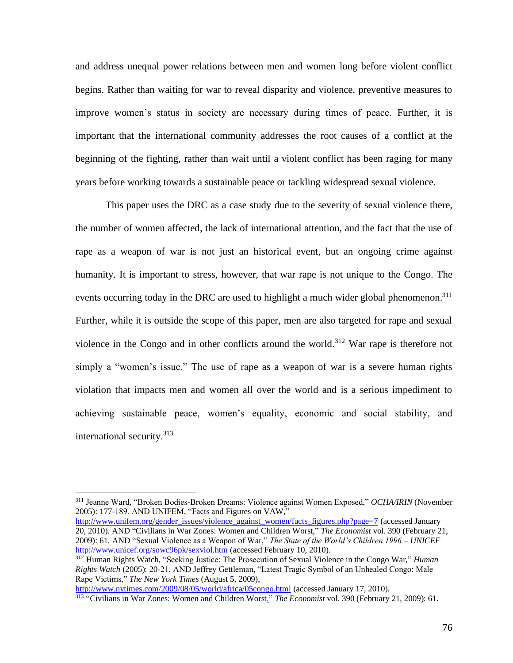and address unequal power relations between men and women long before violent conflict begins. Rather than waiting for war to reveal disparity and violence, preventive measures to improve women's status in society are necessary during times of peace. Further, it is important that the international community addresses the root causes of a conflict at the beginning of the fighting, rather than wait until a violent conflict has been raging for many years before working towards a sustainable peace or tackling widespread sexual violence.

This paper uses the DRC as a case study due to the severity of sexual violence there, the number of women affected, the lack of international attention, and the fact that the use of rape as a weapon of war is not just an historical event, but an ongoing crime against humanity. It is important to stress, however, that war rape is not unique to the Congo. The events occurring today in the DRC are used to highlight a much wider global phenomenon.<sup>311</sup> Further, while it is outside the scope of this paper, men are also targeted for rape and sexual violence in the Congo and in other conflicts around the world.<sup>312</sup> War rape is therefore not simply a "women's issue." The use of rape as a weapon of war is a severe human rights violation that impacts men and women all over the world and is a serious impediment to achieving sustainable peace, women's equality, economic and social stability, and international security.<sup>313</sup>

[http://www.unifem.org/gender\\_issues/violence\\_against\\_women/facts\\_figures.php?page=7](http://www.unifem.org/gender_issues/violence_against_women/facts_figures.php?page=7) (accessed January 20, 2010). AND "Civilians in War [Zones: Women and Children Worst,"](http://search0.scholarsportal.info.ezproxy.uwindsor.ca/ids70/view_record.php?id=2&recnum=4&log=from_res&SID=8a0074029ff2575b4019a46e4ca961b6) *The Economist* vol. 390 (February 21, 2009): 61. AND "Sexual Violence as a Weapon of War," *The State of the World's Children 1996 – UNICEF* <http://www.unicef.org/sowc96pk/sexviol.htm> (accessed February 10, 2010).

<http://www.nytimes.com/2009/08/05/world/africa/05congo.html> (accessed January 17, 2010).

<sup>311</sup> Jeanne Ward, "Broken Bodies-Broken Dreams: Violence against Women Exposed," *OCHA/IRIN* (November 2005): 177-189. AND UNIFEM, "Facts and Figures on VAW,"

<sup>312</sup> Human Rights Watch, "Seeking Justice: The Prosecution of Sexual Violence in the Congo War," *Human Rights Watch* (2005): 20-21. AND Jeffrey Gettleman, "Latest Tragic Symbol of an Unhealed Congo: Male Rape Victims," *The New York Times* (August 5, 2009),

<sup>313</sup> "Civilians in War [Zones: Women and Children Worst."](http://search0.scholarsportal.info.ezproxy.uwindsor.ca/ids70/view_record.php?id=2&recnum=4&log=from_res&SID=8a0074029ff2575b4019a46e4ca961b6) *The Economist* vol. 390 (February 21, 2009): 61.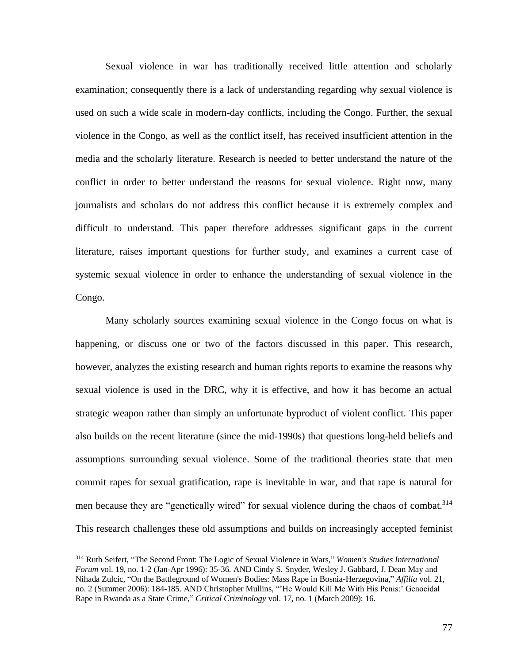Sexual violence in war has traditionally received little attention and scholarly examination; consequently there is a lack of understanding regarding why sexual violence is used on such a wide scale in modern-day conflicts, including the Congo. Further, the sexual violence in the Congo, as well as the conflict itself, has received insufficient attention in the media and the scholarly literature. Research is needed to better understand the nature of the conflict in order to better understand the reasons for sexual violence. Right now, many journalists and scholars do not address this conflict because it is extremely complex and difficult to understand. This paper therefore addresses significant gaps in the current literature, raises important questions for further study, and examines a current case of systemic sexual violence in order to enhance the understanding of sexual violence in the Congo.

Many scholarly sources examining sexual violence in the Congo focus on what is happening, or discuss one or two of the factors discussed in this paper. This research, however, analyzes the existing research and human rights reports to examine the reasons why sexual violence is used in the DRC, why it is effective, and how it has become an actual strategic weapon rather than simply an unfortunate byproduct of violent conflict. This paper also builds on the recent literature (since the mid-1990s) that questions long-held beliefs and assumptions surrounding sexual violence. Some of the traditional theories state that men commit rapes for sexual gratification, rape is inevitable in war, and that rape is natural for men because they are "genetically wired" for sexual violence during the chaos of combat.<sup>314</sup> This research challenges these old assumptions and builds on increasingly accepted feminist

<sup>314</sup> [Ruth](http://search0.scholarsportal.info.ezproxy.uwindsor.ca/ids70/p_search_form.php?field=au&query=seifert+ruth&log=literal&SID=8a0074029ff2575b4019a46e4ca961b6) Seifert, ["The Second Front: The Logic of Sexual Violence](http://search0.scholarsportal.info.ezproxy.uwindsor.ca/ids70/view_record.php?id=8&recnum=5&log=from_res&SID=8a0074029ff2575b4019a46e4ca961b6) in Wars," *Women's Studies International Forum* vol. 19, no. 1-2 (Jan-Apr 1996): 35-36. AN[D Cindy S.](http://search0.scholarsportal.info.ezproxy.uwindsor.ca/ids70/p_search_form.php?field=au&query=snyder+cindy+s&log=literal&SID=8a0074029ff2575b4019a46e4ca961b6) Snyder, Wesley J[. Gabbard,](http://search0.scholarsportal.info.ezproxy.uwindsor.ca/ids70/p_search_form.php?field=au&query=gabbard+wesley+j&log=literal&SID=8a0074029ff2575b4019a46e4ca961b6) [J. Dean](http://search0.scholarsportal.info.ezproxy.uwindsor.ca/ids70/p_search_form.php?field=au&query=may+j+dean&log=literal&SID=8a0074029ff2575b4019a46e4ca961b6) May and Nihada [Zulcic,](http://search0.scholarsportal.info.ezproxy.uwindsor.ca/ids70/p_search_form.php?field=au&query=zulcic+nihada&log=literal&SID=8a0074029ff2575b4019a46e4ca961b6) ["On the Battleground of Women's Bodies: Mass Rape in Bosnia-Herzegovina,](http://search0.scholarsportal.info.ezproxy.uwindsor.ca/ids70/view_record.php?id=8&recnum=34&log=from_res&SID=8a0074029ff2575b4019a46e4ca961b6)" *Affilia* vol. 21, no. 2 (Summer 2006): 184-185. AND Christopher [Mullins,](http://search0.scholarsportal.info.ezproxy.uwindsor.ca/ids70/p_search_form.php?field=au&query=mullins+christopher&log=literal&SID=8a0074029ff2575b4019a46e4ca961b6) ["'He Would Kill Me With His Penis:' Genocidal](http://search0.scholarsportal.info.ezproxy.uwindsor.ca/ids70/view_record.php?id=9&recnum=8&log=from_res&SID=8a0074029ff2575b4019a46e4ca961b6)  Rape in Rwanda [as a State Crime,](http://search0.scholarsportal.info.ezproxy.uwindsor.ca/ids70/view_record.php?id=9&recnum=8&log=from_res&SID=8a0074029ff2575b4019a46e4ca961b6)" *Critical Criminology* vol. 17, no. 1 (March 2009): 16.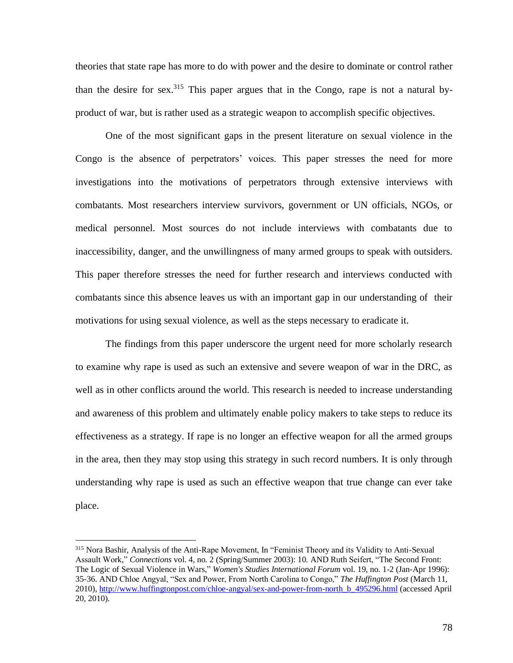theories that state rape has more to do with power and the desire to dominate or control rather than the desire for sex.<sup>315</sup> This paper argues that in the Congo, rape is not a natural byproduct of war, but is rather used as a strategic weapon to accomplish specific objectives.

One of the most significant gaps in the present literature on sexual violence in the Congo is the absence of perpetrators' voices. This paper stresses the need for more investigations into the motivations of perpetrators through extensive interviews with combatants. Most researchers interview survivors, government or UN officials, NGOs, or medical personnel. Most sources do not include interviews with combatants due to inaccessibility, danger, and the unwillingness of many armed groups to speak with outsiders. This paper therefore stresses the need for further research and interviews conducted with combatants since this absence leaves us with an important gap in our understanding of their motivations for using sexual violence, as well as the steps necessary to eradicate it.

The findings from this paper underscore the urgent need for more scholarly research to examine why rape is used as such an extensive and severe weapon of war in the DRC, as well as in other conflicts around the world. This research is needed to increase understanding and awareness of this problem and ultimately enable policy makers to take steps to reduce its effectiveness as a strategy. If rape is no longer an effective weapon for all the armed groups in the area, then they may stop using this strategy in such record numbers. It is only through understanding why rape is used as such an effective weapon that true change can ever take place.

<sup>315</sup> Nora Bashir, Analysis of the Anti-Rape Movement, In "Feminist Theory and its Validity to Anti-Sexual Assault Work," *Connections* vol. 4, no. 2 (Spring/Summer 2003): 10. AN[D Ruth](http://search0.scholarsportal.info.ezproxy.uwindsor.ca/ids70/p_search_form.php?field=au&query=seifert+ruth&log=literal&SID=8a0074029ff2575b4019a46e4ca961b6) Seifert, ["The Second Front:](http://search0.scholarsportal.info.ezproxy.uwindsor.ca/ids70/view_record.php?id=8&recnum=5&log=from_res&SID=8a0074029ff2575b4019a46e4ca961b6)  [The Logic of Sexual Violence](http://search0.scholarsportal.info.ezproxy.uwindsor.ca/ids70/view_record.php?id=8&recnum=5&log=from_res&SID=8a0074029ff2575b4019a46e4ca961b6) in Wars," *Women's Studies International Forum* vol. 19, no. 1-2 (Jan-Apr 1996): 35-36. AND Chloe Angyal, "Sex and Power, From North Carolina to Congo," *The Huffington Post* (March 11, 2010)[, http://www.huffingtonpost.com/chloe-angyal/sex-and-power-from-north\\_b\\_495296.html](http://www.huffingtonpost.com/chloe-angyal/sex-and-power-from-north_b_495296.html) (accessed April 20, 2010).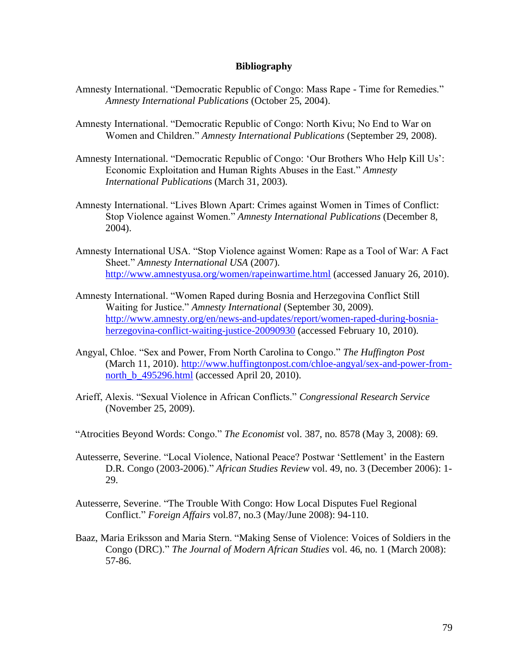## **Bibliography**

- Amnesty International. "Democratic Republic of Congo: Mass Rape Time for Remedies." *Amnesty International Publications* (October 25, 2004).
- Amnesty International. "Democratic Republic of Congo: North Kivu; No End to War on Women and Children." *Amnesty International Publications* (September 29, 2008).
- Amnesty International. "Democratic Republic of Congo: 'Our Brothers Who Help Kill Us': Economic Exploitation and Human Rights Abuses in the East." *Amnesty International Publications* (March 31, 2003).
- Amnesty International. "Lives Blown Apart: Crimes against Women in Times of Conflict: Stop Violence against Women." *Amnesty International Publications* (December 8, 2004).
- Amnesty International USA. "Stop Violence against Women: Rape as a Tool of War: A Fact Sheet." *Amnesty International USA* (2007). <http://www.amnestyusa.org/women/rapeinwartime.html> (accessed January 26, 2010).
- Amnesty International. "Women Raped during Bosnia and Herzegovina Conflict Still Waiting for Justice." *Amnesty International* (September 30, 2009). [http://www.amnesty.org/en/news-and-updates/report/women-raped-during-bosnia](http://www.amnesty.org/en/news-and-updates/report/women-raped-during-bosnia-herzegovina-conflict-waiting-justice-20090930)[herzegovina-conflict-waiting-justice-20090930](http://www.amnesty.org/en/news-and-updates/report/women-raped-during-bosnia-herzegovina-conflict-waiting-justice-20090930) (accessed February 10, 2010).
- Angyal, Chloe. "Sex and Power, From North Carolina to Congo." *The Huffington Post* (March 11, 2010). [http://www.huffingtonpost.com/chloe-angyal/sex-and-power-from](http://www.huffingtonpost.com/chloe-angyal/sex-and-power-from-north_b_495296.html)north b 495296.html (accessed April 20, 2010).
- Arieff, Alexis. "Sexual Violence in African Conflicts." *Congressional Research Service* (November 25, 2009).
- "Atrocities Beyond Words: Congo." *The Economist* vol. 387, no. 8578 (May 3, 2008): 69.
- [Autesserre, Severine.](http://search0.scholarsportal.info.ezproxy.uwindsor.ca/ids70/p_search_form.php?field=au&query=autesserre+severine&log=literal&SID=8a0074029ff2575b4019a46e4ca961b6) ["Local Violence, National Peace? Postwar 'Settlement' in the Eastern](http://search0.scholarsportal.info.ezproxy.uwindsor.ca/ids70/view_record.php?id=3&recnum=20&log=from_res&SID=8a0074029ff2575b4019a46e4ca961b6)  [D.R. Congo \(2003-2006\).](http://search0.scholarsportal.info.ezproxy.uwindsor.ca/ids70/view_record.php?id=3&recnum=20&log=from_res&SID=8a0074029ff2575b4019a46e4ca961b6)" *African Studies Review* vol. 49, no. 3 (December 2006): 1- 29.
- [Autesserre, Severine.](http://search0.scholarsportal.info.ezproxy.uwindsor.ca/ids70/p_search_form.php?field=au&query=autesserre+severine&log=literal&SID=8a0074029ff2575b4019a46e4ca961b6) ["The Trouble With Congo: How Local Disputes Fuel Regional](http://search0.scholarsportal.info.ezproxy.uwindsor.ca/ids70/view_record.php?id=7&recnum=23&log=from_res&SID=8a0074029ff2575b4019a46e4ca961b6)  [Conflict.](http://search0.scholarsportal.info.ezproxy.uwindsor.ca/ids70/view_record.php?id=7&recnum=23&log=from_res&SID=8a0074029ff2575b4019a46e4ca961b6)" *Foreign Affairs* vol.87, no.3 (May/June 2008): 94-110.
- [Baaz, Maria Eriksson](http://search0.scholarsportal.info.ezproxy.uwindsor.ca/ids70/p_search_form.php?field=au&query=baaz+maria+eriksson&log=literal&SID=8a0074029ff2575b4019a46e4ca961b6) and Maria Stern. ["Making Sense of Violence: Voices of Soldiers in the](http://search0.scholarsportal.info.ezproxy.uwindsor.ca/ids70/view_record.php?id=9&recnum=49&log=from_res&SID=8a0074029ff2575b4019a46e4ca961b6)  [Congo \(DRC\).](http://search0.scholarsportal.info.ezproxy.uwindsor.ca/ids70/view_record.php?id=9&recnum=49&log=from_res&SID=8a0074029ff2575b4019a46e4ca961b6)" *The Journal of Modern African Studies* vol. 46, no. 1 (March 2008): 57-86.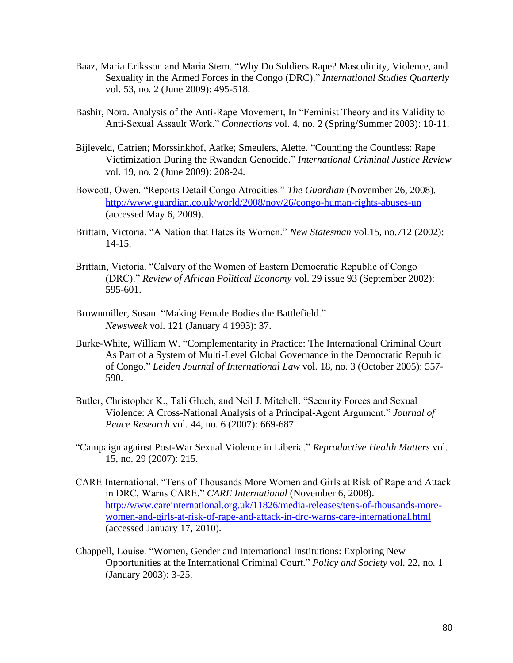- [Baaz, Maria Eriksson](http://search2.scholarsportal.info.ezproxy.uwindsor.ca/ids70/p_search_form.php?field=au&query=b+aaz+m+aria+e+riksson&log=literal&SID=6307c64bf81157c0e59d30b28859c685) and Maria Stern. ["Why Do Soldiers Rape? Masculinity, Violence, and](http://search2.scholarsportal.info.ezproxy.uwindsor.ca/ids70/view_record.php?id=2&recnum=0&log=from_res&SID=6307c64bf81157c0e59d30b28859c685)  [Sexuality in the Armed Forces in the Congo \(DRC\).](http://search2.scholarsportal.info.ezproxy.uwindsor.ca/ids70/view_record.php?id=2&recnum=0&log=from_res&SID=6307c64bf81157c0e59d30b28859c685)" *International Studies Quarterly* vol. 53, no. 2 (June 2009): 495-518.
- Bashir, Nora. Analysis of the Anti-Rape Movement, In "Feminist Theory and its Validity to Anti-Sexual Assault Work." *Connections* vol. 4, no. 2 (Spring/Summer 2003): 10-11.
- [Bijleveld, Catrien;](http://search0.scholarsportal.info.ezproxy.uwindsor.ca/ids70/p_search_form.php?field=au&query=bijleveld+catrien&log=literal&SID=8a0074029ff2575b4019a46e4ca961b6) [Morssinkhof, Aafke;](http://search0.scholarsportal.info.ezproxy.uwindsor.ca/ids70/p_search_form.php?field=au&query=morssinkhof+aafke&log=literal&SID=8a0074029ff2575b4019a46e4ca961b6) [Smeulers, Alette.](http://search0.scholarsportal.info.ezproxy.uwindsor.ca/ids70/p_search_form.php?field=au&query=smeulers+alette&log=literal&SID=8a0074029ff2575b4019a46e4ca961b6) ["Counting the Countless: Rape](http://search0.scholarsportal.info.ezproxy.uwindsor.ca/ids70/view_record.php?id=11&recnum=3&log=from_res&SID=8a0074029ff2575b4019a46e4ca961b6) [Victimization During the Rwandan Genocide."](http://search0.scholarsportal.info.ezproxy.uwindsor.ca/ids70/view_record.php?id=11&recnum=3&log=from_res&SID=8a0074029ff2575b4019a46e4ca961b6) *International Criminal Justice Review* vol. 19, no. 2 (June 2009): 208-24.
- Bowcott, Owen. "Reports Detail Congo Atrocities." *The Guardian* (November 26, 2008). <http://www.guardian.co.uk/world/2008/nov/26/congo-human-rights-abuses-un> (accessed May 6, 2009).
- [Brittain, Victoria.](http://search0.scholarsportal.info.ezproxy.uwindsor.ca/ids70/p_search_form.php?field=au&query=brittain+victoria&log=literal&SID=8a0074029ff2575b4019a46e4ca961b6) "A Nation that Hates its Women." *New Statesman* vol.15, no.712 (2002): 14-15.
- Brittain, Victoria. "Calvary of the Women of Eastern Democratic Republic of Congo (DRC)." *Review of African Political Economy* vol. 29 issue 93 (September 2002): 595-601.
- [Brownmiller, Susan.](http://search0.scholarsportal.info.ezproxy.uwindsor.ca/ids70/p_search_form.php?field=au&query=brownmiller+susan&log=literal&SID=8a0074029ff2575b4019a46e4ca961b6) ["Making Female Bodies the Battlefield."](http://search0.scholarsportal.info.ezproxy.uwindsor.ca/ids70/view_record.php?id=8&recnum=22&log=from_res&SID=8a0074029ff2575b4019a46e4ca961b6) *Newsweek* vol. 121 (January 4 1993): 37.
- [Burke-White, William W.](http://search0.scholarsportal.info.ezproxy.uwindsor.ca/ids70/p_search_form.php?field=au&query=burke+white+william+w&log=literal&SID=8a0074029ff2575b4019a46e4ca961b6) ["Complementarity in Practice: The International Criminal Court](http://search0.scholarsportal.info.ezproxy.uwindsor.ca/ids70/view_record.php?id=3&recnum=17&log=from_res&SID=8a0074029ff2575b4019a46e4ca961b6)  [As Part of a System of Multi-Level Global Governance in the Democratic Republic](http://search0.scholarsportal.info.ezproxy.uwindsor.ca/ids70/view_record.php?id=3&recnum=17&log=from_res&SID=8a0074029ff2575b4019a46e4ca961b6)  [of Congo.](http://search0.scholarsportal.info.ezproxy.uwindsor.ca/ids70/view_record.php?id=3&recnum=17&log=from_res&SID=8a0074029ff2575b4019a46e4ca961b6)" *Leiden Journal of International Law* vol. 18, no. 3 (October 2005): 557- 590.
- Butler, Christopher K., Tali Gluch, and Neil J. Mitchell. "Security Forces and Sexual Violence: A Cross-National Analysis of a Principal-Agent Argument." *Journal of Peace Research* vol. 44, no. 6 (2007): 669-687.
- ["Campaign against Post-War Sexual Violence](http://search0.scholarsportal.info.ezproxy.uwindsor.ca/ids70/view_record.php?id=16&recnum=2&log=from_res&SID=8a0074029ff2575b4019a46e4ca961b6) in Liberia." *Reproductive Health Matters* vol. 15, no. 29 (2007): 215.
- CARE International. "Tens of Thousands More Women and Girls at Risk of Rape and Attack in DRC, Warns CARE." *CARE International* (November 6, 2008). [http://www.careinternational.org.uk/11826/media-releases/tens-of-thousands-more](http://www.careinternational.org.uk/11826/media-releases/tens-of-thousands-more-women-and-girls-at-risk-of-rape-and-attack-in-drc-warns-care-international.html)[women-and-girls-at-risk-of-rape-and-attack-in-drc-warns-care-international.html](http://www.careinternational.org.uk/11826/media-releases/tens-of-thousands-more-women-and-girls-at-risk-of-rape-and-attack-in-drc-warns-care-international.html) (accessed January 17, 2010).
- [Chappell,](http://journals2.scholarsportal.info.ezproxy.uwindsor.ca/search-advanced.xqy?q=Louise%20Chappell&field=AU) Louise. "Women, Gender and International Institutions: Exploring New Opportunities at the International Criminal Court." *Policy and Society* vol. 22, no. 1 (January 2003): 3-25.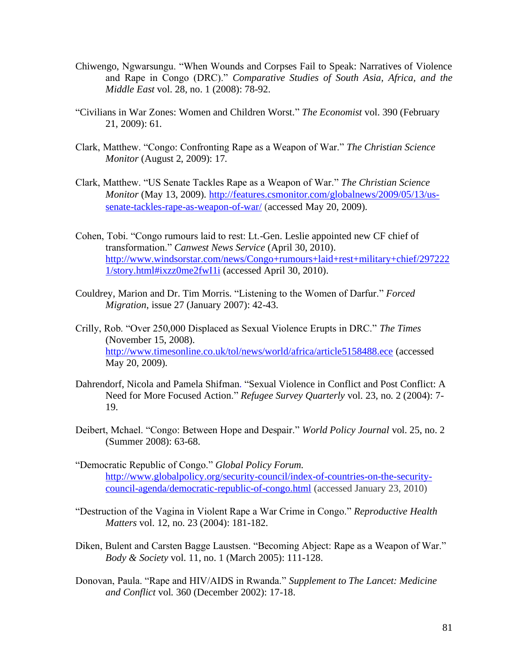- Chiwengo, [Ngwarsungu. "When Wounds and Corpses Fail to Speak: Narratives of Violence](http://muse.jhu.edu/search/results?action=search&searchtype=author§ion1=author&search1=%22Ngwarsungu%20Chiwengo.%22)  [and Rape in Congo \(DRC\)."](http://muse.jhu.edu/search/results?action=search&searchtype=author§ion1=author&search1=%22Ngwarsungu%20Chiwengo.%22) *Comparative Studies of South Asia, Africa, and the Middle East* vol. 28, no. 1 (2008): 78-92.
- "Civilians in War [Zones: Women and Children Worst."](http://search0.scholarsportal.info.ezproxy.uwindsor.ca/ids70/view_record.php?id=2&recnum=4&log=from_res&SID=8a0074029ff2575b4019a46e4ca961b6) *The Economist* vol. 390 (February 21, 2009): 61.
- Clark, Matthew. "Congo: Confronting Rape as a Weapon of War." *The Christian Science Monitor* (August 2, 2009): 17.
- Clark, Matthew. "US Senate Tackles Rape as a Weapon of War." *The Christian Science Monitor* (May 13, 2009). [http://features.csmonitor.com/globalnews/2009/05/13/us](http://features.csmonitor.com/globalnews/2009/05/13/us-senate-tackles-rape-as-weapon-of-war/)[senate-tackles-rape-as-weapon-of-war/](http://features.csmonitor.com/globalnews/2009/05/13/us-senate-tackles-rape-as-weapon-of-war/) (accessed May 20, 2009).
- Cohen, Tobi. "Congo rumours laid to rest: Lt.-Gen. Leslie appointed new CF chief of transformation." *Canwest News Service* (April 30, 2010). [http://www.windsorstar.com/news/Congo+rumours+laid+rest+military+chief/297222](http://www.windsorstar.com/news/Congo+rumours+laid+rest+military+chief/2972221/story.html#ixzz0me2fwI1i) [1/story.html#ixzz0me2fwI1i](http://www.windsorstar.com/news/Congo+rumours+laid+rest+military+chief/2972221/story.html#ixzz0me2fwI1i) (accessed April 30, 2010).
- Couldrey, Marion and Dr. Tim Morris. "Listening to the Women of Darfur." *Forced Migration*, issue 27 (January 2007): 42-43.
- Crilly, Rob. "Over 250,000 Displaced as Sexual Violence Erupts in DRC." *The Times* (November 15, 2008). <http://www.timesonline.co.uk/tol/news/world/africa/article5158488.ece> (accessed May 20, 2009).
- [Dahrendorf, Nicola](http://search0.scholarsportal.info.ezproxy.uwindsor.ca/ids70/p_search_form.php?field=au&query=dahrendorf+nicola&log=literal&SID=8a0074029ff2575b4019a46e4ca961b6) and Pamela [Shifman.](http://search0.scholarsportal.info.ezproxy.uwindsor.ca/ids70/p_search_form.php?field=au&query=shifman+pamela&log=literal&SID=8a0074029ff2575b4019a46e4ca961b6) ["Sexual Violence in Conflict and Post Conflict: A](http://search0.scholarsportal.info.ezproxy.uwindsor.ca/ids70/view_record.php?id=3&recnum=27&log=from_res&SID=8a0074029ff2575b4019a46e4ca961b6)  [Need for More Focused Action.](http://search0.scholarsportal.info.ezproxy.uwindsor.ca/ids70/view_record.php?id=3&recnum=27&log=from_res&SID=8a0074029ff2575b4019a46e4ca961b6)" *Refugee Survey Quarterly* vol. 23, no. 2 (2004): 7- 19.
- Deibert, Mchael. "Congo: Between Hope and Despair." *World Policy Journal* vol. 25, no. 2 (Summer 2008): 63-68.
- "Democratic Republic of Congo." *Global Policy Forum.* [http://www.globalpolicy.org/security-council/index-of-countries-on-the-security](http://www.globalpolicy.org/security-council/index-of-countries-on-the-security-council-agenda/democratic-republic-of-congo.html)[council-agenda/democratic-republic-of-congo.html](http://www.globalpolicy.org/security-council/index-of-countries-on-the-security-council-agenda/democratic-republic-of-congo.html) (accessed January 23, 2010)
- "Destruction of the Vagina in Violent Rape a War Crime in Congo." *Reproductive Health Matters* vol. 12, no. 23 (2004): 181-182.
- Diken, Bulent and Carsten Bagge Laustsen. "Becoming Abject: Rape as a Weapon of War." *Body & Society* vol. 11, no. 1 (March 2005): 111-128.
- Donovan, Paula. "Rape and HIV/AIDS in Rwanda." *Supplement to The Lancet: Medicine and Conflict* vol. 360 (December 2002): 17-18.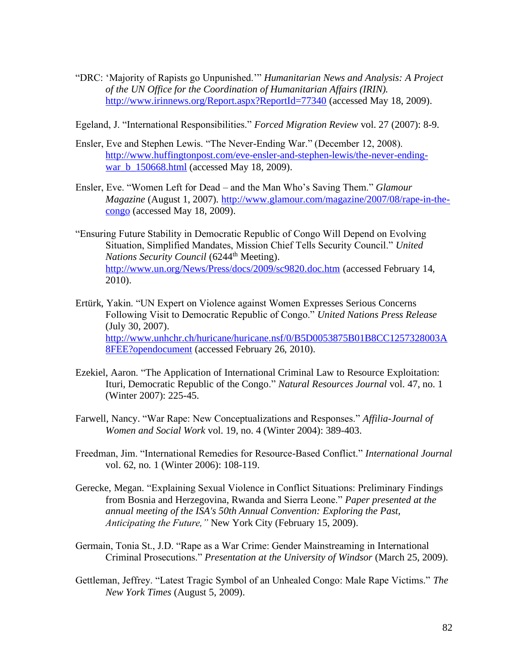- "DRC: 'Majority of Rapists go Unpunished.'" *Humanitarian News and Analysis: A Project of the UN Office for the Coordination of Humanitarian Affairs (IRIN).*  <http://www.irinnews.org/Report.aspx?ReportId=77340> (accessed May 18, 2009).
- Egeland, J. "International Responsibilities." *Forced Migration Review* vol. 27 (2007): 8-9.
- Ensler, Eve and Stephen Lewis. "The Never-Ending War." (December 12, 2008). [http://www.huffingtonpost.com/eve-ensler-and-stephen-lewis/the-never-ending](http://www.huffingtonpost.com/eve-ensler-and-stephen-lewis/the-never-ending-war_b_150668.html)[war\\_b\\_150668.html](http://www.huffingtonpost.com/eve-ensler-and-stephen-lewis/the-never-ending-war_b_150668.html) (accessed May 18, 2009).
- Ensler, Eve. "Women Left for Dead and the Man Who's Saving Them." *Glamour Magazine* (August 1, 2007). [http://www.glamour.com/magazine/2007/08/rape-in-the](http://www.glamour.com/magazine/2007/08/rape-in-the-congo)[congo](http://www.glamour.com/magazine/2007/08/rape-in-the-congo) (accessed May 18, 2009).
- "Ensuring Future Stability in Democratic Republic of Congo Will Depend on Evolving Situation, Simplified Mandates, Mission Chief Tells Security Council." *United Nations Security Council* (6244<sup>th</sup> Meeting). <http://www.un.org/News/Press/docs/2009/sc9820.doc.htm> (accessed February 14, 2010).
- Ertürk, Yakin. "UN Expert on Violence against Women Expresses Serious Concerns Following Visit to Democratic Republic of Congo." *United Nations Press Release*  (July 30, 2007). [http://www.unhchr.ch/huricane/huricane.nsf/0/B5D0053875B01B8CC1257328003A](http://www.unhchr.ch/huricane/huricane.nsf/0/B5D0053875B01B8CC1257328003A8FEE?opendocument) [8FEE?opendocument](http://www.unhchr.ch/huricane/huricane.nsf/0/B5D0053875B01B8CC1257328003A8FEE?opendocument) (accessed February 26, 2010).
- [Ezekiel, Aaron.](http://search0.scholarsportal.info.ezproxy.uwindsor.ca/ids70/p_search_form.php?field=au&query=ezekiel+aaron&log=literal&SID=8a0074029ff2575b4019a46e4ca961b6) ["The Application of International Criminal Law to Resource Exploitation:](http://search0.scholarsportal.info.ezproxy.uwindsor.ca/ids70/view_record.php?id=3&recnum=1&log=from_res&SID=8a0074029ff2575b4019a46e4ca961b6)  [Ituri, Democratic Republic of the Congo.](http://search0.scholarsportal.info.ezproxy.uwindsor.ca/ids70/view_record.php?id=3&recnum=1&log=from_res&SID=8a0074029ff2575b4019a46e4ca961b6)" *Natural Resources Journal* vol. 47, no. 1 (Winter 2007): 225-45.
- Farwell, Nancy. "War Rape: New Conceptualizations and Responses." *Affilia-Journal of Women and Social Work* vol. 19, no. 4 (Winter 2004): 389-403.
- Freedman, Jim. "International Remedies for Resource-Based Conflict." *International Journal*  vol. 62, no. 1 (Winter 2006): 108-119.
- Gerecke, Megan. "Explaining Sexual Violence in Conflict Situations: Preliminary Findings from Bosnia and Herzegovina, Rwanda and Sierra Leone." *Paper presented at the annual meeting of the ISA's 50th Annual Convention: Exploring the Past, Anticipating the Future,"* New York City (February 15, 2009).
- Germain, Tonia St., J.D. "Rape as a War Crime: Gender Mainstreaming in International Criminal Prosecutions." *Presentation at the University of Windsor* (March 25, 2009).
- Gettleman, Jeffrey. "Latest Tragic Symbol of an Unhealed Congo: Male Rape Victims." *The New York Times* (August 5, 2009).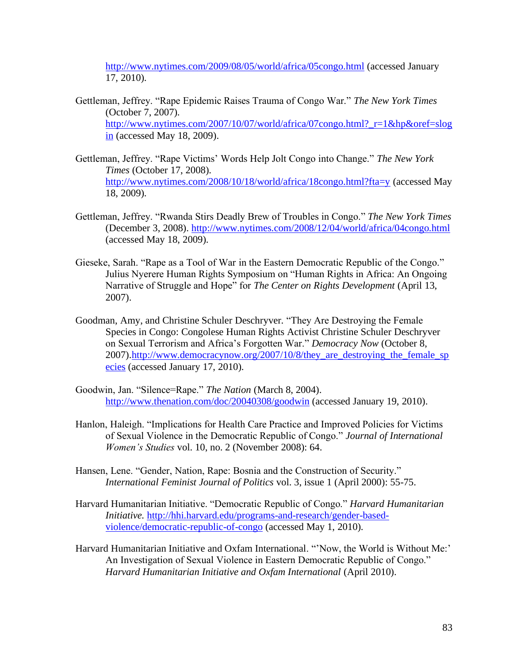<http://www.nytimes.com/2009/08/05/world/africa/05congo.html> (accessed January 17, 2010).

- Gettleman, Jeffrey. "Rape Epidemic Raises Trauma of Congo War." *The New York Times*  (October 7, 2007). [http://www.nytimes.com/2007/10/07/world/africa/07congo.html?\\_r=1&hp&oref=slog](http://www.nytimes.com/2007/10/07/world/africa/07congo.html?_r=1&hp&oref=slogin) [in](http://www.nytimes.com/2007/10/07/world/africa/07congo.html?_r=1&hp&oref=slogin) (accessed May 18, 2009).
- Gettleman, Jeffrey. "Rape Victims' Words Help Jolt Congo into Change." *The New York Times* (October 17, 2008). <http://www.nytimes.com/2008/10/18/world/africa/18congo.html?fta=y> (accessed May 18, 2009).
- Gettleman, Jeffrey. "Rwanda Stirs Deadly Brew of Troubles in Congo." *The New York Times*  (December 3, 2008).<http://www.nytimes.com/2008/12/04/world/africa/04congo.html> (accessed May 18, 2009).
- Gieseke, Sarah. "Rape as a Tool of War in the Eastern Democratic Republic of the Congo." Julius Nyerere Human Rights Symposium on "Human Rights in Africa: An Ongoing Narrative of Struggle and Hope" for *The Center on Rights Development* (April 13, 2007).
- Goodman, Amy, and Christine Schuler Deschryver. "They Are Destroying the Female Species in Congo: Congolese Human Rights Activist Christine Schuler Deschryver on Sexual Terrorism and Africa's Forgotten War." *Democracy Now* (October 8, 2007)[.http://www.democracynow.org/2007/10/8/they\\_are\\_destroying\\_the\\_female\\_sp](http://www.democracynow.org/2007/10/8/they_are_destroying_the_female_species) [ecies](http://www.democracynow.org/2007/10/8/they_are_destroying_the_female_species) (accessed January 17, 2010).
- Goodwin, Jan. "Silence=Rape." *The Nation* (March 8, 2004). <http://www.thenation.com/doc/20040308/goodwin> (accessed January 19, 2010).
- Hanlon, Haleigh. "Implications for Health Care Practice and Improved Policies for Victims of Sexual Violence in the Democratic Republic of Congo." *Journal of International Women's Studies* vol. 10, no. 2 (November 2008): 64.
- Hansen, Lene. "Gender, Nation, Rape: Bosnia and the Construction of Security." *International Feminist Journal of Politics* vol. 3, issue 1 (April 2000): 55-75.
- Harvard Humanitarian Initiative. "Democratic Republic of Congo." *Harvard Humanitarian Initiative.* [http://hhi.harvard.edu/programs-and-research/gender-based](http://hhi.harvard.edu/programs-and-research/gender-based-violence/democratic-republic-of-congo)[violence/democratic-republic-of-congo](http://hhi.harvard.edu/programs-and-research/gender-based-violence/democratic-republic-of-congo) (accessed May 1, 2010).
- Harvard Humanitarian Initiative and Oxfam International. "'Now, the World is Without Me:' An Investigation of Sexual Violence in Eastern Democratic Republic of Congo." *Harvard Humanitarian Initiative and Oxfam International* (April 2010).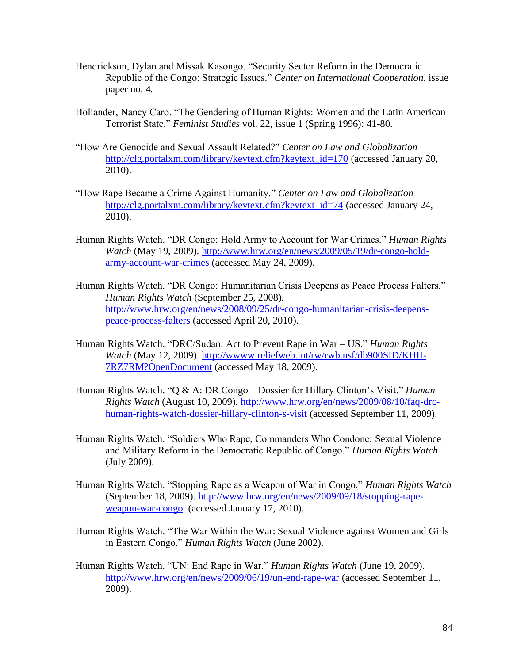- Hendrickson, Dylan and Missak Kasongo. "Security Sector Reform in the Democratic Republic of the Congo: Strategic Issues." *Center on International Cooperation*, issue paper no. 4*.*
- Hollander, Nancy Caro. "The Gendering of Human Rights: Women and the Latin American Terrorist State." *Feminist Studies* vol. 22, issue 1 (Spring 1996): 41-80.
- "How Are Genocide and Sexual Assault Related?" *Center on Law and Globalization* [http://clg.portalxm.com/library/keytext.cfm?keytext\\_id=170](http://clg.portalxm.com/library/keytext.cfm?keytext_id=170) (accessed January 20, 2010).
- "How Rape Became a Crime Against Humanity." *Center on Law and Globalization*  [http://clg.portalxm.com/library/keytext.cfm?keytext\\_id=74](http://clg.portalxm.com/library/keytext.cfm?keytext_id=74) (accessed January 24, 2010).
- Human Rights Watch. "DR Congo: Hold Army to Account for War Crimes." *Human Rights Watch* (May 19, 2009). [http://www.hrw.org/en/news/2009/05/19/dr-congo-hold](http://www.hrw.org/en/news/2009/05/19/dr-congo-hold-army-account-war-crimes)[army-account-war-crimes](http://www.hrw.org/en/news/2009/05/19/dr-congo-hold-army-account-war-crimes) (accessed May 24, 2009).
- Human Rights Watch. "DR Congo: Humanitarian Crisis Deepens as Peace Process Falters." *Human Rights Watch* (September 25, 2008). [http://www.hrw.org/en/news/2008/09/25/dr-congo-humanitarian-crisis-deepens](http://www.hrw.org/en/news/2008/09/25/dr-congo-humanitarian-crisis-deepens-peace-process-falters)[peace-process-falters](http://www.hrw.org/en/news/2008/09/25/dr-congo-humanitarian-crisis-deepens-peace-process-falters) (accessed April 20, 2010).
- Human Rights Watch. "DRC/Sudan: Act to Prevent Rape in War US." *Human Rights Watch* (May 12, 2009). [http://wwww.reliefweb.int/rw/rwb.nsf/db900SID/KHII-](http://wwww.reliefweb.int/rw/rwb.nsf/db900SID/KHII-7RZ7RM?OpenDocument)[7RZ7RM?OpenDocument](http://wwww.reliefweb.int/rw/rwb.nsf/db900SID/KHII-7RZ7RM?OpenDocument) (accessed May 18, 2009).
- Human Rights Watch. "Q & A: DR Congo [Dossier for Hillary Clinton's Visit.](http://www.hrw.org/en/news/2009/08/10/faq-drc-human-rights-watch-dossier-hillary-clinton-s-visit)" *Human Rights Watch* (August 10, 2009). [http://www.hrw.org/en/news/2009/08/10/faq-drc](http://www.hrw.org/en/news/2009/08/10/faq-drc-human-rights-watch-dossier-hillary-clinton-s-visit)[human-rights-watch-dossier-hillary-clinton-s-visit](http://www.hrw.org/en/news/2009/08/10/faq-drc-human-rights-watch-dossier-hillary-clinton-s-visit) (accessed September 11, 2009).
- Human Rights Watch. "Soldiers Who Rape, Commanders Who Condone: Sexual Violence and Military Reform in the Democratic Republic of Congo." *Human Rights Watch*  (July 2009).
- Human Rights Watch. "Stopping Rape as a Weapon of War in Congo." *Human Rights Watch*  (September 18, 2009). [http://www.hrw.org/en/news/2009/09/18/stopping-rape](http://www.hrw.org/en/news/2009/09/18/stopping-rape-weapon-war-congo)[weapon-war-congo.](http://www.hrw.org/en/news/2009/09/18/stopping-rape-weapon-war-congo) (accessed January 17, 2010).
- Human Rights Watch. "The War Within the War: Sexual Violence against Women and Girls in Eastern Congo." *Human Rights Watch* (June 2002).
- Human Rights Watch. "UN: End Rape in War." *Human Rights Watch* (June 19, 2009). <http://www.hrw.org/en/news/2009/06/19/un-end-rape-war> (accessed September 11, 2009).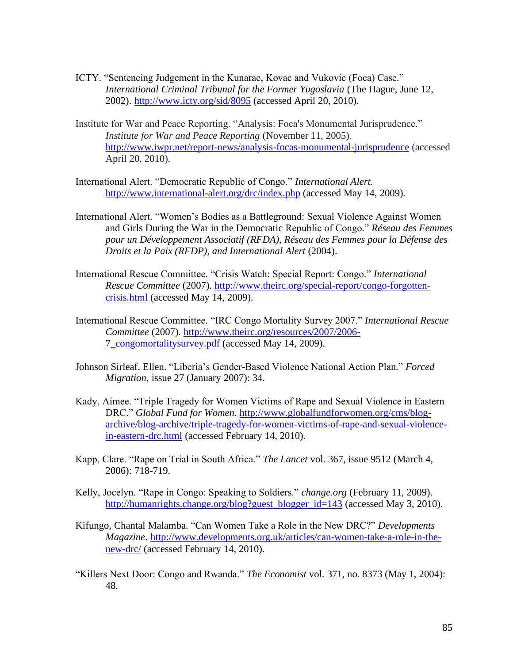- ICTY. "Sentencing Judgement in the Kunarac, Kovac and Vukovic (Foca) Case." *International Criminal Tribunal for the Former Yugoslavia* (The Hague, June 12, 2002). <http://www.icty.org/sid/8095> (accessed April 20, 2010).
- Institute for War and Peace Reporting. "Analysis: Foca's Monumental Jurisprudence." *Institute for War and Peace Reporting* (November 11, 2005). <http://www.iwpr.net/report-news/analysis-focas-monumental-jurisprudence> (accessed April 20, 2010).
- International Alert. "Democratic Republic of Congo." *International Alert.* <http://www.international-alert.org/drc/index.php> (accessed May 14, 2009).
- International Alert. "Women's Bodies as a Battleground: Sexual Violence Against Women and Girls During the War in the Democratic Republic of Congo." *Réseau des Femmes pour un Développement Associatif (RFDA), Réseau des Femmes pour la Défense des Droits et la Paix (RFDP), and International Alert* (2004).
- International Rescue Committee. "Crisis Watch: Special Report: Congo." *International Rescue Committee* (2007)*.* [http://www.theirc.org/special-report/congo-forgotten](http://www.theirc.org/special-report/congo-forgotten-crisis.html)[crisis.html](http://www.theirc.org/special-report/congo-forgotten-crisis.html) (accessed May 14, 2009).
- International Rescue Committee. "IRC Congo Mortality Survey 2007." *International Rescue Committee* (2007)*.* [http://www.theirc.org/resources/2007/2006-](http://www.theirc.org/resources/2007/2006-7_congomortalitysurvey.pdf) [7\\_congomortalitysurvey.pdf](http://www.theirc.org/resources/2007/2006-7_congomortalitysurvey.pdf) (accessed May 14, 2009).
- Johnson Sirleaf, Ellen. "Liberia's Gender-Based Violence National Action Plan." *Forced Migration*, issue 27 (January 2007): 34.
- Kady, Aimee. "Triple Tragedy for Women Victims of Rape and Sexual Violence in Eastern DRC." *Global Fund for Women.* [http://www.globalfundforwomen.org/cms/blog](http://www.globalfundforwomen.org/cms/blog-archive/blog-archive/triple-tragedy-for-women-victims-of-rape-and-sexual-violence-in-eastern-drc.html)[archive/blog-archive/triple-tragedy-for-women-victims-of-rape-and-sexual-violence](http://www.globalfundforwomen.org/cms/blog-archive/blog-archive/triple-tragedy-for-women-victims-of-rape-and-sexual-violence-in-eastern-drc.html)[in-eastern-drc.html](http://www.globalfundforwomen.org/cms/blog-archive/blog-archive/triple-tragedy-for-women-victims-of-rape-and-sexual-violence-in-eastern-drc.html) (accessed February 14, 2010).
- Kapp, Clare. "Rape on Trial in South Africa." *The Lancet* vol. 367, issue 9512 (March 4, 2006): 718-719.
- Kelly, Jocelyn. "Rape in Congo: Speaking to Soldiers." *change.org* (February 11, 2009). [http://humanrights.change.org/blog?guest\\_blogger\\_id=143](http://humanrights.change.org/blog?guest_blogger_id=143) (accessed May 3, 2010).
- Kifungo, Chantal Malamba. "Can Women Take a Role in the New DRC?" *Developments Magazine*. [http://www.developments.org.uk/articles/can-women-take-a-role-in-the](http://www.developments.org.uk/articles/can-women-take-a-role-in-the-new-drc/)[new-drc/](http://www.developments.org.uk/articles/can-women-take-a-role-in-the-new-drc/) (accessed February 14, 2010).
- "Killers Next Door: Congo and Rwanda." *The Economist* vol. 371, no. 8373 (May 1, 2004): 48.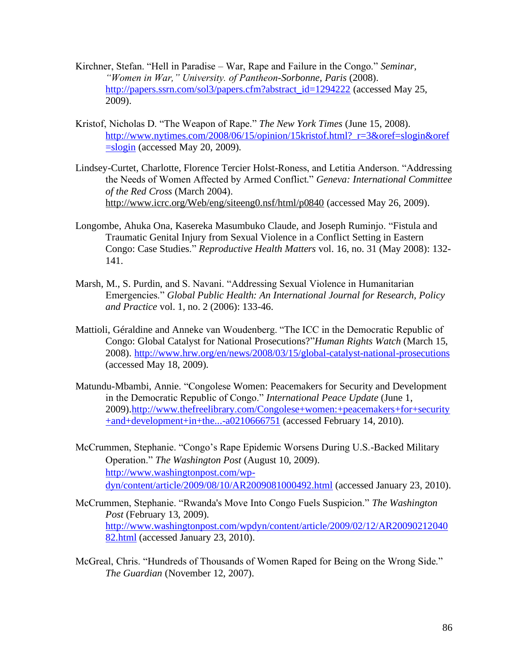- Kirchner, Stefan. "Hell in Paradise War, Rape and Failure in the Congo." *Seminar, "Women in War," University. of Pantheon-Sorbonne, Paris* (2008). [http://papers.ssrn.com/sol3/papers.cfm?abstract\\_id=1294222](http://papers.ssrn.com/sol3/papers.cfm?abstract_id=1294222) (accessed May 25, 2009).
- Kristof, Nicholas D. "The Weapon of Rape." *The New York Times* (June 15, 2008). [http://www.nytimes.com/2008/06/15/opinion/15kristof.html?\\_r=3&oref=slogin&oref](http://www.nytimes.com/2008/06/15/opinion/15kristof.html?_r=3&oref=slogin&oref=slogin)  $=$ slogin (accessed May 20, 2009).
- Lindsey-Curtet, Charlotte, Florence Tercier Holst-Roness, and Letitia Anderson. "Addressing the Needs of Women Affected by Armed Conflict." *Geneva: International Committee of the Red Cross* (March 2004). <http://www.icrc.org/Web/eng/siteeng0.nsf/html/p0840> (accessed May 26, 2009).
- Longombe, [Ahuka Ona,](http://search0.scholarsportal.info.ezproxy.uwindsor.ca/ids70/p_search_form.php?field=au&query=longombe+ahuka+ona&log=literal&SID=0850191d0c8cf81dbd48c8bb3342610c) [Kasereka Masumbuko](http://search0.scholarsportal.info.ezproxy.uwindsor.ca/ids70/p_search_form.php?field=au&query=claude+kasereka+masumbuko&log=literal&SID=0850191d0c8cf81dbd48c8bb3342610c) Claude, and [Joseph](http://search0.scholarsportal.info.ezproxy.uwindsor.ca/ids70/p_search_form.php?field=au&query=ruminjo+joseph&log=literal&SID=0850191d0c8cf81dbd48c8bb3342610c) Ruminjo. ["Fistula and](http://search0.scholarsportal.info.ezproxy.uwindsor.ca/ids70/view_record.php?id=2&recnum=0&log=from_res&SID=0850191d0c8cf81dbd48c8bb3342610c)  [Traumatic Genital Injury from Sexual Violence in a Conflict Setting in Eastern](http://search0.scholarsportal.info.ezproxy.uwindsor.ca/ids70/view_record.php?id=2&recnum=0&log=from_res&SID=0850191d0c8cf81dbd48c8bb3342610c)  [Congo: Case Studies.](http://search0.scholarsportal.info.ezproxy.uwindsor.ca/ids70/view_record.php?id=2&recnum=0&log=from_res&SID=0850191d0c8cf81dbd48c8bb3342610c)" *Reproductive Health Matters* vol. 16, no. 31 (May 2008): 132- 141.
- [Marsh, M.](http://www.ncbi.nlm.nih.gov/sites/entrez?Db=pubmed&Cmd=Search&Term=%22Marsh%20M%22%5BAuthor%5D&itool=EntrezSystem2.PEntrez.Pubmed.Pubmed_ResultsPanel.Pubmed_DiscoveryPanel.Pubmed_RVAbstractPlus), S. [Purdin, a](http://www.ncbi.nlm.nih.gov/sites/entrez?Db=pubmed&Cmd=Search&Term=%22Purdin%20S%22%5BAuthor%5D&itool=EntrezSystem2.PEntrez.Pubmed.Pubmed_ResultsPanel.Pubmed_DiscoveryPanel.Pubmed_RVAbstractPlus)nd S. Navani. "Addressing Sexual Violence in Humanitarian Emergencies." *Global Public Health: An International Journal for Research, Policy and Practice* vol. 1, no. 2 (2006): 133-46.
- Mattioli, Géraldine and Anneke van Woudenberg. "The ICC in the Democratic Republic of Congo: [Global Catalyst for National Prosecutions?"](http://www.hrw.org/en/news/2008/03/15/global-catalyst-national-prosecutions)*Human Rights Watch* (March 15, 2008).<http://www.hrw.org/en/news/2008/03/15/global-catalyst-national-prosecutions> (accessed May 18, 2009).
- Matundu-Mbambi, Annie. "Congolese Women: Peacemakers for Security and Development in the Democratic Republic of Congo." *International Peace Update* (June 1, 2009)[.http://www.thefreelibrary.com/Congolese+women:+peacemakers+for+security](http://www.thefreelibrary.com/Congolese+women:+peacemakers+for+security+and+development+in+the...-a0210666751) [+and+development+in+the...-a0210666751](http://www.thefreelibrary.com/Congolese+women:+peacemakers+for+security+and+development+in+the...-a0210666751) (accessed February 14, 2010).
- McCrummen, Stephanie. "Congo's Rape Epidemic Worsens During U.S.-Backed Military Operation." *The Washington Post* (August 10, 2009). [http://www.washingtonpost.com/wp](http://www.washingtonpost.com/wp-dyn/content/article/2009/08/10/AR2009081000492.html)[dyn/content/article/2009/08/10/AR2009081000492.html](http://www.washingtonpost.com/wp-dyn/content/article/2009/08/10/AR2009081000492.html) (accessed January 23, 2010).
- McCrummen, Stephanie. "Rwanda's Move Into Congo Fuels Suspicion." *The Washington Post* (February 13, 2009). [http://www.washingtonpost.com/wpdyn/content/article/2009/02/12/AR20090212040](http://www.washingtonpost.com/wpdyn/content/article/2009/02/12/AR2009021204082.html) [82.html](http://www.washingtonpost.com/wpdyn/content/article/2009/02/12/AR2009021204082.html) (accessed January 23, 2010).
- McGreal, Chris. "Hundreds of Thousands of Women Raped for Being on the Wrong Side." *The Guardian* (November 12, 2007).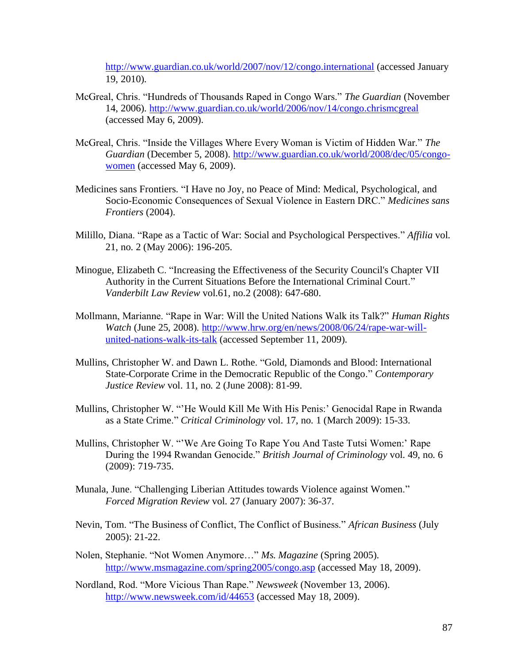<http://www.guardian.co.uk/world/2007/nov/12/congo.international> (accessed January 19, 2010).

- McGreal, Chris. "Hundreds of Thousands Raped in Congo Wars." *The Guardian* (November 14, 2006).<http://www.guardian.co.uk/world/2006/nov/14/congo.chrismcgreal> (accessed May 6, 2009).
- McGreal, Chris. "Inside the Villages Where Every Woman is Victim of Hidden War." *The Guardian* (December 5, 2008). [http://www.guardian.co.uk/world/2008/dec/05/congo](http://www.guardian.co.uk/world/2008/dec/05/congo-women)[women](http://www.guardian.co.uk/world/2008/dec/05/congo-women) (accessed May 6, 2009).
- Medicines sans Frontiers. "I Have no Joy, no Peace of Mind: Medical, Psychological, and Socio-Economic Consequences of Sexual Violence in Eastern DRC." *Medicines sans Frontiers* (2004).
- [Milillo, Diana.](http://search0.scholarsportal.info.ezproxy.uwindsor.ca/ids70/p_search_form.php?field=au&query=milillo+diana&log=literal&SID=8a0074029ff2575b4019a46e4ca961b6) "Rape [as a Tactic of War: Social and Psychological Perspectives.](http://search0.scholarsportal.info.ezproxy.uwindsor.ca/ids70/view_record.php?id=12&recnum=5&log=from_res&SID=8a0074029ff2575b4019a46e4ca961b6)" *Affilia* vol. 21, no. 2 (May 2006): 196-205.
- [Minogue, Elizabeth C.](http://search0.scholarsportal.info.ezproxy.uwindsor.ca/ids70/p_search_form.php?field=au&query=minogue+elizabeth+c&log=literal&SID=8a0074029ff2575b4019a46e4ca961b6) ["Increasing the Effectiveness of the Security Council's Chapter VII](http://search0.scholarsportal.info.ezproxy.uwindsor.ca/ids70/view_record.php?id=7&recnum=20&log=from_res&SID=8a0074029ff2575b4019a46e4ca961b6)  [Authority in the Current Situations Before the International Criminal Court.](http://search0.scholarsportal.info.ezproxy.uwindsor.ca/ids70/view_record.php?id=7&recnum=20&log=from_res&SID=8a0074029ff2575b4019a46e4ca961b6)" *Vanderbilt Law Review* vol.61, no.2 (2008): 647-680.
- Mollmann, Marianne. "Rape in War: Will the United Nations Walk its Talk?" *Human Rights Watch* (June 25, 2008). [http://www.hrw.org/en/news/2008/06/24/rape-war-will](http://www.hrw.org/en/news/2008/06/24/rape-war-will-united-nations-walk-its-talk)[united-nations-walk-its-talk](http://www.hrw.org/en/news/2008/06/24/rape-war-will-united-nations-walk-its-talk) (accessed September 11, 2009).
- [Mullins, Christopher W.](http://search0.scholarsportal.info.ezproxy.uwindsor.ca/ids70/p_search_form.php?field=au&query=mullins+christopher+w&log=literal&SID=8a0074029ff2575b4019a46e4ca961b6) and Dawn L. [Rothe.](http://search0.scholarsportal.info.ezproxy.uwindsor.ca/ids70/p_search_form.php?field=au&query=rothe+dawn+l&log=literal&SID=8a0074029ff2575b4019a46e4ca961b6) ["Gold, Diamonds and Blood: International](http://search0.scholarsportal.info.ezproxy.uwindsor.ca/ids70/view_record.php?id=3&recnum=36&log=from_res&SID=8a0074029ff2575b4019a46e4ca961b6)  [State-Corporate Crime in the Democratic Republic of the Congo.](http://search0.scholarsportal.info.ezproxy.uwindsor.ca/ids70/view_record.php?id=3&recnum=36&log=from_res&SID=8a0074029ff2575b4019a46e4ca961b6)" *Contemporary Justice Review* vol. 11, no. 2 (June 2008): 81-99.
- [Mullins, Christopher](http://search0.scholarsportal.info.ezproxy.uwindsor.ca/ids70/p_search_form.php?field=au&query=mullins+christopher&log=literal&SID=8a0074029ff2575b4019a46e4ca961b6) W. ["'He Would Kill Me With His Penis:' Genocidal Rape in Rwanda](http://search0.scholarsportal.info.ezproxy.uwindsor.ca/ids70/view_record.php?id=9&recnum=8&log=from_res&SID=8a0074029ff2575b4019a46e4ca961b6) [as a State Crime.](http://search0.scholarsportal.info.ezproxy.uwindsor.ca/ids70/view_record.php?id=9&recnum=8&log=from_res&SID=8a0074029ff2575b4019a46e4ca961b6)" *Critical Criminology* vol. 17, no. 1 (March 2009): 15-33.
- Mullins, Christopher W. "'We Are Going To Rape You And Taste Tutsi Women:' Rape During the 1994 Rwandan Genocide." *British Journal of Criminology* vol. 49, no. 6 (2009): 719-735.
- [Munala, June.](http://search0.scholarsportal.info.ezproxy.uwindsor.ca/ids70/p_search_form.php?field=au&query=munala+june&log=literal&SID=8a0074029ff2575b4019a46e4ca961b6) ["Challenging Liberian Attitudes towards Violence](http://search0.scholarsportal.info.ezproxy.uwindsor.ca/ids70/view_record.php?id=16&recnum=3&log=from_res&SID=8a0074029ff2575b4019a46e4ca961b6) against Women." *Forced Migration Review* vol. 27 (January 2007): 36-37.
- [Nevin, Tom.](http://search0.scholarsportal.info.ezproxy.uwindsor.ca/ids70/p_search_form.php?field=au&query=nevin+tom&log=literal&SID=8a0074029ff2575b4019a46e4ca961b6) "The Business of Conflict, The Conflict of Business." *African Business* (July 2005): 21-22.
- Nolen, Stephanie. "Not Women Anymore…" *Ms. Magazine* (Spring 2005). <http://www.msmagazine.com/spring2005/congo.asp> (accessed May 18, 2009).
- Nordland, Rod. "More Vicious Than Rape." *Newsweek* (November 13, 2006). <http://www.newsweek.com/id/44653> (accessed May 18, 2009).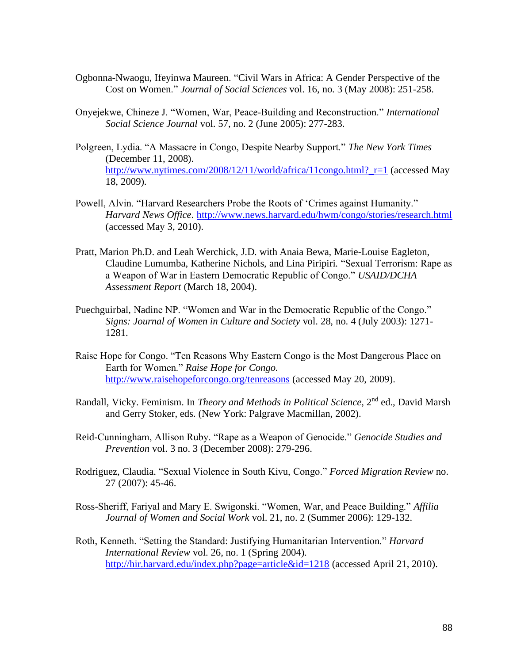- [Ogbonna-Nwaogu, Ifeyinwa Maureen.](http://search2.scholarsportal.info.ezproxy.uwindsor.ca/ids70/p_search_form.php?field=au&query=ogbonna+nwaogu+ifeyinwa+maureen&log=literal&SID=62b9e072875caf9a4e03c06876948bb0) ["Civil Wars in Africa: A Gender Perspective of the](http://search2.scholarsportal.info.ezproxy.uwindsor.ca/ids70/view_record.php?id=10&recnum=6&log=from_res&SID=62b9e072875caf9a4e03c06876948bb0)  [Cost on Women.](http://search2.scholarsportal.info.ezproxy.uwindsor.ca/ids70/view_record.php?id=10&recnum=6&log=from_res&SID=62b9e072875caf9a4e03c06876948bb0)" *Journal of Social Sciences* vol. 16, no. 3 (May 2008): 251-258.
- Onyejekwe, Chineze J. "Women, War, Peace-Building and Reconstruction." *International Social Science Journal* vol. 57, no. 2 (June 2005): 277-283.
- Polgreen, Lydia. "A Massacre in Congo, Despite Nearby Support." *The New York Times*  (December 11, 2008). http://www.nytimes.com/2008/12/11/world/africa/11congo.html? r=1 (accessed May 18, 2009).
- Powell, Alvin. "Harvard Researchers Probe the Roots of 'Crimes against Humanity." *Harvard News Office*.<http://www.news.harvard.edu/hwm/congo/stories/research.html> (accessed May 3, 2010).
- Pratt, Marion Ph.D. and Leah Werchick, J.D. with Anaia Bewa, Marie-Louise Eagleton, Claudine Lumumba, Katherine Nichols, and Lina Piripiri. "Sexual Terrorism: Rape as a Weapon of War in Eastern Democratic Republic of Congo." *USAID/DCHA Assessment Report* (March 18, 2004).
- Puechguirbal, Nadine NP. "Women and War in the Democratic Republic of the Congo." *Signs: Journal of Women in Culture and Society* vol. 28, no. 4 (July 2003): 1271- 1281.
- Raise Hope for Congo. "Ten Reasons Why Eastern Congo is the Most Dangerous Place on Earth for Women." *Raise Hope for Congo.*  <http://www.raisehopeforcongo.org/tenreasons> (accessed May 20, 2009).
- Randall, Vicky. Feminism. In *Theory and Methods in Political Science*, 2<sup>nd</sup> ed., David Marsh and Gerry Stoker, eds. (New York: Palgrave Macmillan, 2002).
- Reid-Cunningham, Allison Ruby. "Rape as a Weapon of Genocide." *Genocide Studies and Prevention* vol. 3 no. 3 (December 2008): 279-296.
- Rodriguez, Claudia. "Sexual Violence in South Kivu, Congo." *Forced Migration Review* no. 27 (2007): 45-46.
- Ross-Sheriff, Fariyal and Mary E. Swigonski. "Women, War, and Peace Building." *Affilia Journal of Women and Social Work* vol. 21, no. 2 (Summer 2006): 129-132.
- Roth, Kenneth. "Setting the Standard: Justifying Humanitarian Intervention." *Harvard International Review* vol. 26, no. 1 (Spring 2004). <http://hir.harvard.edu/index.php?page=article&id=1218> (accessed April 21, 2010).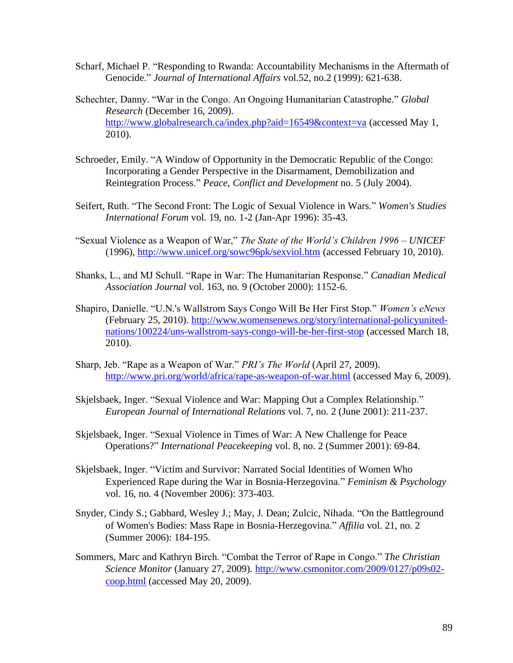- [Scharf, Michael P.](http://search0.scholarsportal.info.ezproxy.uwindsor.ca/ids70/p_search_form.php?field=au&query=scharf+michael+p&log=literal&SID=8a0074029ff2575b4019a46e4ca961b6) ["Responding to Rwanda: Accountability Mechanisms in the Aftermath of](http://search0.scholarsportal.info.ezproxy.uwindsor.ca/ids70/view_record.php?id=7&recnum=47&log=from_res&SID=8a0074029ff2575b4019a46e4ca961b6)  [Genocide.](http://search0.scholarsportal.info.ezproxy.uwindsor.ca/ids70/view_record.php?id=7&recnum=47&log=from_res&SID=8a0074029ff2575b4019a46e4ca961b6)" *Journal of International Affairs* vol.52, no.2 (1999): 621-638.
- Schechter, Danny. "War in the Congo. An Ongoing Humanitarian Catastrophe." *Global Research* (December 16, 2009). <http://www.globalresearch.ca/index.php?aid=16549&context=va> (accessed May 1, 2010).
- [Schroeder, Emily.](http://search0.scholarsportal.info.ezproxy.uwindsor.ca/ids70/p_search_form.php?field=au&query=schroeder+emily&log=literal&SID=8a0074029ff2575b4019a46e4ca961b6) ["A Window of Opportunity in the Democratic Republic of the Congo:](http://search0.scholarsportal.info.ezproxy.uwindsor.ca/ids70/view_record.php?id=3&recnum=25&log=from_res&SID=8a0074029ff2575b4019a46e4ca961b6)  [Incorporating a Gender Perspective in the Disarmament, Demobilization and](http://search0.scholarsportal.info.ezproxy.uwindsor.ca/ids70/view_record.php?id=3&recnum=25&log=from_res&SID=8a0074029ff2575b4019a46e4ca961b6)  [Reintegration Process.](http://search0.scholarsportal.info.ezproxy.uwindsor.ca/ids70/view_record.php?id=3&recnum=25&log=from_res&SID=8a0074029ff2575b4019a46e4ca961b6)" *Peace, Conflict and Development* no. 5 (July 2004).
- [Seifert, Ruth.](http://search0.scholarsportal.info.ezproxy.uwindsor.ca/ids70/p_search_form.php?field=au&query=seifert+ruth&log=literal&SID=8a0074029ff2575b4019a46e4ca961b6) ["The Second Front: The Logic of Sexual Violence](http://search0.scholarsportal.info.ezproxy.uwindsor.ca/ids70/view_record.php?id=8&recnum=5&log=from_res&SID=8a0074029ff2575b4019a46e4ca961b6) in Wars." *Women's Studies International Forum* vol. 19, no. 1-2 (Jan-Apr 1996): 35-43.
- "Sexual Violence as a Weapon of War," *The State of the World's Children 1996 – UNICEF* (1996),<http://www.unicef.org/sowc96pk/sexviol.htm> (accessed February 10, 2010).
- Shanks, L., and MJ Schull. "Rape in War: The Humanitarian Response." *Canadian Medical Association Journal* vol. 163, no. 9 (October 2000): 1152-6.
- Shapiro, Danielle. "U.N.'s Wallstrom Says Congo Will Be Her First Stop." *Women's eNews* (February 25, 2010). [http://www.womensenews.org/story/international-policyunited](http://www.womensenews.org/story/international-policyunited-nations/100224/uns-wallstrom-says-congo-will-be-her-first-stop)[nations/100224/uns-wallstrom-says-congo-will-be-her-first-stop](http://www.womensenews.org/story/international-policyunited-nations/100224/uns-wallstrom-says-congo-will-be-her-first-stop) (accessed March 18, 2010).
- Sharp, Jeb. "Rape as a Weapon of War." *PRI's The World* (April 27, 2009). <http://www.pri.org/world/africa/rape-as-weapon-of-war.html> (accessed May 6, 2009).
- [Skjelsbaek, Inger.](http://search0.scholarsportal.info.ezproxy.uwindsor.ca/ids70/p_search_form.php?field=au&query=skjelsbaek+inger&log=literal&SID=0850191d0c8cf81dbd48c8bb3342610c) ["Sexual Violence and War: Mapping Out a Complex Relationship.](http://search0.scholarsportal.info.ezproxy.uwindsor.ca/ids70/view_record.php?id=2&recnum=11&log=from_res&SID=0850191d0c8cf81dbd48c8bb3342610c)" *European Journal of International Relations* vol. 7, no. 2 (June 2001): 211-237.
- [Skjelsbaek, Inger.](http://search0.scholarsportal.info.ezproxy.uwindsor.ca/ids70/p_search_form.php?field=au&query=skjelsbaek+inger&log=literal&SID=8a0074029ff2575b4019a46e4ca961b6) "Sexual Violence [in Times of War: A New Challenge for Peace](http://search0.scholarsportal.info.ezproxy.uwindsor.ca/ids70/view_record.php?id=8&recnum=4&log=from_res&SID=8a0074029ff2575b4019a46e4ca961b6)  [Operations?"](http://search0.scholarsportal.info.ezproxy.uwindsor.ca/ids70/view_record.php?id=8&recnum=4&log=from_res&SID=8a0074029ff2575b4019a46e4ca961b6) *International Peacekeeping* vol. 8, no. 2 (Summer 2001): 69-84.
- [Skjelsbaek, Inger.](http://search0.scholarsportal.info.ezproxy.uwindsor.ca/ids70/p_search_form.php?field=au&query=skjelsbaek+inger&log=literal&SID=8a0074029ff2575b4019a46e4ca961b6) ["Victim and Survivor: Narrated Social Identities of Women Who](http://search0.scholarsportal.info.ezproxy.uwindsor.ca/ids70/view_record.php?id=8&recnum=6&log=from_res&SID=8a0074029ff2575b4019a46e4ca961b6)  [Experienced Rape during the War in Bosnia-Herzegovina.](http://search0.scholarsportal.info.ezproxy.uwindsor.ca/ids70/view_record.php?id=8&recnum=6&log=from_res&SID=8a0074029ff2575b4019a46e4ca961b6)" *Feminism & Psychology* vol. 16, no. 4 (November 2006): 373-403.
- [Snyder, Cindy S.;](http://search0.scholarsportal.info.ezproxy.uwindsor.ca/ids70/p_search_form.php?field=au&query=snyder+cindy+s&log=literal&SID=8a0074029ff2575b4019a46e4ca961b6) [Gabbard, Wesley J.;](http://search0.scholarsportal.info.ezproxy.uwindsor.ca/ids70/p_search_form.php?field=au&query=gabbard+wesley+j&log=literal&SID=8a0074029ff2575b4019a46e4ca961b6) [May, J. Dean;](http://search0.scholarsportal.info.ezproxy.uwindsor.ca/ids70/p_search_form.php?field=au&query=may+j+dean&log=literal&SID=8a0074029ff2575b4019a46e4ca961b6) [Zulcic, Nihada.](http://search0.scholarsportal.info.ezproxy.uwindsor.ca/ids70/p_search_form.php?field=au&query=zulcic+nihada&log=literal&SID=8a0074029ff2575b4019a46e4ca961b6) ["On the Battleground](http://search0.scholarsportal.info.ezproxy.uwindsor.ca/ids70/view_record.php?id=8&recnum=34&log=from_res&SID=8a0074029ff2575b4019a46e4ca961b6)  [of Women's Bodies: Mass Rape in Bosnia-Herzegovina.](http://search0.scholarsportal.info.ezproxy.uwindsor.ca/ids70/view_record.php?id=8&recnum=34&log=from_res&SID=8a0074029ff2575b4019a46e4ca961b6)" *Affilia* vol. 21, no. 2 (Summer 2006): 184-195.
- Sommers, Marc and Kathryn Birch. "Combat the Terror of Rape in Congo." *The Christian Science Monitor* (January 27, 2009). [http://www.csmonitor.com/2009/0127/p09s02](http://www.csmonitor.com/2009/0127/p09s02-coop.html) [coop.html](http://www.csmonitor.com/2009/0127/p09s02-coop.html) (accessed May 20, 2009).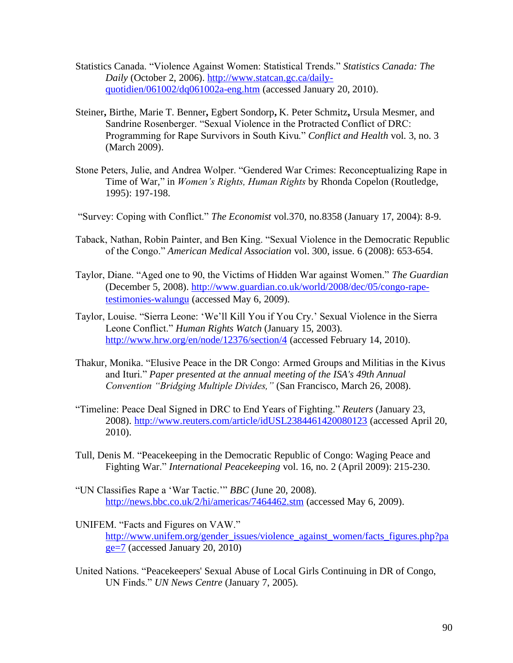- Statistics Canada. "Violence Against Women: Statistical Trends." *Statistics Canada: The Daily* (October 2, 2006). [http://www.statcan.gc.ca/daily](http://www.statcan.gc.ca/daily-quotidien/061002/dq061002a-eng.htm)[quotidien/061002/dq061002a-eng.htm](http://www.statcan.gc.ca/daily-quotidien/061002/dq061002a-eng.htm) (accessed January 20, 2010).
- Steiner**,** Birthe, Marie T. Benner**,** Egbert Sondorp**,** K. Peter Schmitz**,** Ursula Mesmer, and Sandrine Rosenberger. "Sexual Violence in the Protracted Conflict of DRC: Programming for Rape Survivors in South Kivu." *Conflict and Health* vol. 3, no. 3 (March 2009).
- Stone Peters, Julie, and Andrea Wolper. "Gendered War Crimes: Reconceptualizing Rape in Time of War*,*" in *Women's Rights, Human Rights* by Rhonda Copelon (Routledge, 1995): 197-198.
- ["Survey: Coping with Conflict."](http://search0.scholarsportal.info.ezproxy.uwindsor.ca/ids70/view_record.php?id=7&recnum=12&log=from_res&SID=8a0074029ff2575b4019a46e4ca961b6) *The Economist* vol.370, no.8358 (January 17, 2004): 8-9.
- Taback, Nathan, Robin Painter, and Ben King. "Sexual Violence in the Democratic Republic of the Congo." *American Medical Association* vol. 300, issue. 6 (2008): 653-654.
- Taylor, Diane. "Aged one to 90, the Victims of Hidden War against Women." *The Guardian*  (December 5, 2008). [http://www.guardian.co.uk/world/2008/dec/05/congo-rape](http://www.guardian.co.uk/world/2008/dec/05/congo-rape-testimonies-walungu)[testimonies-walungu](http://www.guardian.co.uk/world/2008/dec/05/congo-rape-testimonies-walungu) (accessed May 6, 2009).
- Taylor, Louise. "Sierra Leone: 'We'll Kill You if You Cry.' Sexual Violence in the Sierra Leone Conflict." *Human Rights Watch* (January 15, 2003). <http://www.hrw.org/en/node/12376/section/4> (accessed February 14, 2010).
- Thakur, Monika. "Elusive Peace in the DR Congo: Armed Groups and Militias in the Kivus and Ituri." *Paper presented at the annual meeting of the ISA's 49th Annual Convention "Bridging Multiple Divides,"* (San Francisco, March 26, 2008).
- "Timeline: Peace Deal Signed in DRC to End Years of Fighting." *Reuters* (January 23, 2008).<http://www.reuters.com/article/idUSL2384461420080123> (accessed April 20, 2010).
- [Tull, Denis M.](http://search0.scholarsportal.info.ezproxy.uwindsor.ca/ids70/p_search_form.php?field=au&query=tull+denis+m&log=literal&SID=8a0074029ff2575b4019a46e4ca961b6) ["Peacekeeping in the Democratic Republic of Congo: Waging Peace and](http://search0.scholarsportal.info.ezproxy.uwindsor.ca/ids70/view_record.php?id=3&recnum=44&log=from_res&SID=8a0074029ff2575b4019a46e4ca961b6)  [Fighting War.](http://search0.scholarsportal.info.ezproxy.uwindsor.ca/ids70/view_record.php?id=3&recnum=44&log=from_res&SID=8a0074029ff2575b4019a46e4ca961b6)" *International Peacekeeping* vol. 16, no. 2 (April 2009): 215-230.
- "UN Classifies Rape a 'War Tactic.'" *BBC* (June 20, 2008). <http://news.bbc.co.uk/2/hi/americas/7464462.stm> (accessed May 6, 2009).
- UNIFEM. "Facts and Figures on VAW." [http://www.unifem.org/gender\\_issues/violence\\_against\\_women/facts\\_figures.php?pa](http://www.unifem.org/gender_issues/violence_against_women/facts_figures.php?page=7)  $ge=7$  (accessed January 20, 2010)
- United Nations. "Peacekeepers' Sexual Abuse of Local Girls Continuing in DR of Congo, UN Finds." *UN News Centre* (January 7, 2005).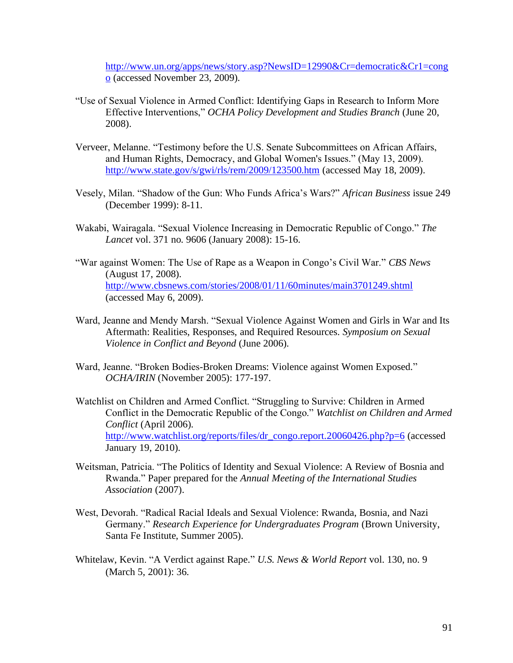[http://www.un.org/apps/news/story.asp?NewsID=12990&Cr=democratic&Cr1=cong](http://www.un.org/apps/news/story.asp?NewsID=12990&Cr=democratic&Cr1=congo) [o](http://www.un.org/apps/news/story.asp?NewsID=12990&Cr=democratic&Cr1=congo) (accessed November 23, 2009).

- "Use of Sexual Violence in Armed Conflict: Identifying Gaps in Research to Inform More Effective Interventions," *OCHA Policy Development and Studies Branch* (June 20, 2008).
- Verveer, Melanne. "Testimony before the U.S. Senate Subcommittees on African Affairs, and Human Rights, Democracy, and Global Women's Issues." (May 13, 2009). <http://www.state.gov/s/gwi/rls/rem/2009/123500.htm> (accessed May 18, 2009).
- Vesely, Milan. "Shadow of the Gun: Who Funds Africa's Wars?" *African Business* issue 249 (December 1999): 8-11.
- Wakabi, Wairagala. "Sexual Violence Increasing in Democratic Republic of Congo." *The Lancet* vol. 371 no. 9606 (January 2008): 15-16.
- "War against Women: The Use of Rape as a Weapon in Congo's Civil War." *CBS News*  (August 17, 2008). <http://www.cbsnews.com/stories/2008/01/11/60minutes/main3701249.shtml> (accessed May 6, 2009).
- Ward, Jeanne and Mendy Marsh. "Sexual Violence Against Women and Girls in War and Its Aftermath: Realities, Responses, and Required Resources. *Symposium on Sexual Violence in Conflict and Beyond* (June 2006).
- Ward, Jeanne. "Broken Bodies-Broken Dreams: Violence against Women Exposed." *OCHA/IRIN* (November 2005): 177-197.
- Watchlist on Children and Armed Conflict. "Struggling to Survive: Children in Armed Conflict in the Democratic Republic of the Congo." *Watchlist on Children and Armed Conflict* (April 2006). [http://www.watchlist.org/reports/files/dr\\_congo.report.20060426.php?p=6](http://www.watchlist.org/reports/files/dr_congo.report.20060426.php?p=6) (accessed January 19, 2010).
- Weitsman, Patricia. "The Politics of Identity and Sexual Violence: A Review of Bosnia and Rwanda." Paper prepared for the *Annual Meeting of the International Studies Association* (2007).
- West, Devorah. "Radical Racial Ideals and Sexual Violence: Rwanda, Bosnia, and Nazi Germany." *Research Experience for Undergraduates Program* (Brown University, Santa Fe Institute, Summer 2005).
- [Whitelaw, Kevin.](http://search0.scholarsportal.info.ezproxy.uwindsor.ca/ids70/p_search_form.php?field=au&query=whitelaw+kevin&log=literal&SID=8a0074029ff2575b4019a46e4ca961b6) ["A Verdict against Rape."](http://search0.scholarsportal.info.ezproxy.uwindsor.ca/ids70/view_record.php?id=8&recnum=13&log=from_res&SID=8a0074029ff2575b4019a46e4ca961b6) *U.S. News & World Report* vol. 130, no. 9 (March 5, 2001): 36.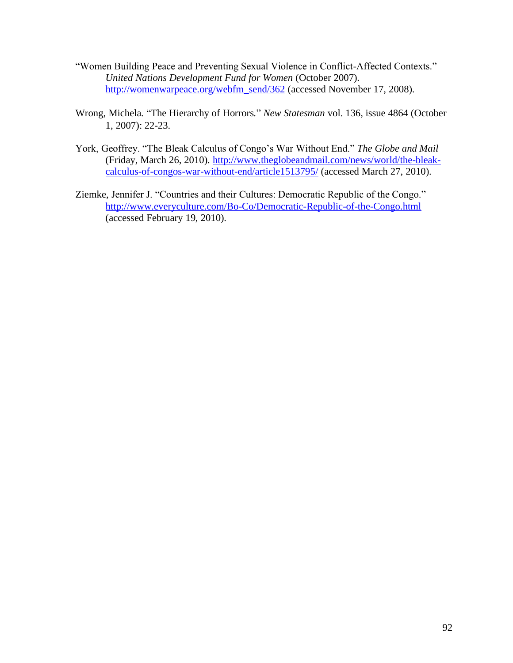- "Women Building Peace and Preventing Sexual Violence in Conflict-Affected Contexts." *United Nations Development Fund for Women* (October 2007). [http://womenwarpeace.org/webfm\\_send/362](http://womenwarpeace.org/webfm_send/362) (accessed November 17, 2008).
- [Wrong,](javascript:void(0);) Michela*.* "The Hierarchy of Horrors*.*" *[New Statesman](http://proquest.umi.com.ezproxy.uwindsor.ca/pqdlink?RQT=318&pmid=14007&TS=1266199811&clientId=2241&VInst=PROD&VName=PQD&VType=PQD)* vol. 136, issue 4864 (October 1, 2007): 22-23.
- York, Geoffrey. "The Bleak Calculus of Congo's War Without End." *The Globe and Mail*  (Friday, March 26, 2010). [http://www.theglobeandmail.com/news/world/the-bleak](http://www.theglobeandmail.com/news/world/the-bleak-calculus-of-congos-war-without-end/article1513795/)[calculus-of-congos-war-without-end/article1513795/](http://www.theglobeandmail.com/news/world/the-bleak-calculus-of-congos-war-without-end/article1513795/) (accessed March 27, 2010).
- Ziemke, Jennifer J. "Countries and their Cultures: Democratic Republic of the Congo." <http://www.everyculture.com/Bo-Co/Democratic-Republic-of-the-Congo.html> (accessed February 19, 2010).